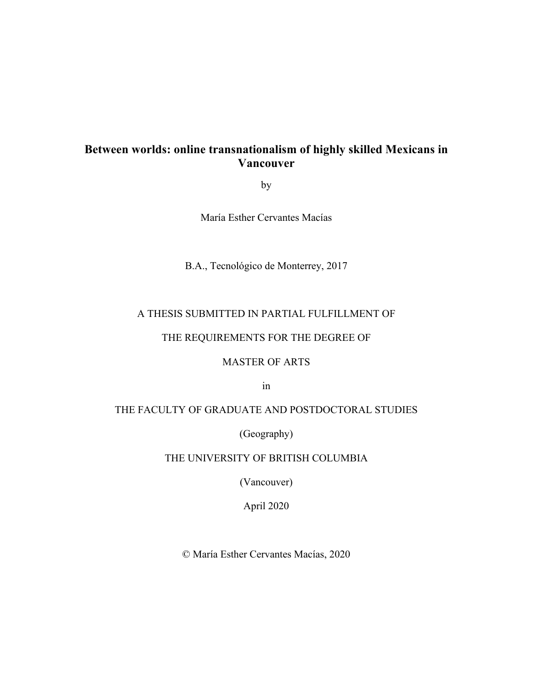### **Between worlds: online transnationalism of highly skilled Mexicans in Vancouver**

by

María Esther Cervantes Macías

B.A., Tecnológico de Monterrey, 2017

### A THESIS SUBMITTED IN PARTIAL FULFILLMENT OF

### THE REQUIREMENTS FOR THE DEGREE OF

### MASTER OF ARTS

in

### THE FACULTY OF GRADUATE AND POSTDOCTORAL STUDIES

(Geography)

### THE UNIVERSITY OF BRITISH COLUMBIA

(Vancouver)

April 2020

© María Esther Cervantes Macías, 2020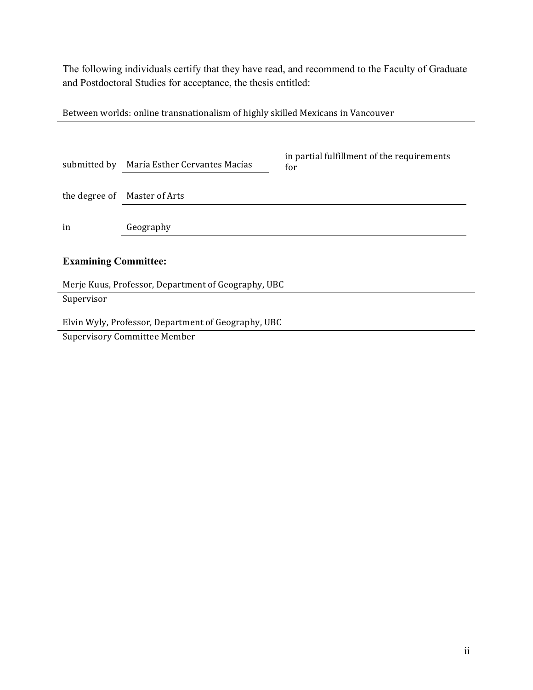The following individuals certify that they have read, and recommend to the Faculty of Graduate and Postdoctoral Studies for acceptance, the thesis entitled:

Between worlds: online transnationalism of highly skilled Mexicans in Vancouver

| submitted by                                        | María Esther Cervantes Macías | in partial fulfillment of the requirements<br>for |  |  |
|-----------------------------------------------------|-------------------------------|---------------------------------------------------|--|--|
| the degree of                                       | Master of Arts                |                                                   |  |  |
| in                                                  | Geography                     |                                                   |  |  |
| <b>Examining Committee:</b>                         |                               |                                                   |  |  |
| Merje Kuus, Professor, Department of Geography, UBC |                               |                                                   |  |  |
| Supervisor                                          |                               |                                                   |  |  |

Elvin Wyly, Professor, Department of Geography, UBC

Supervisory Committee Member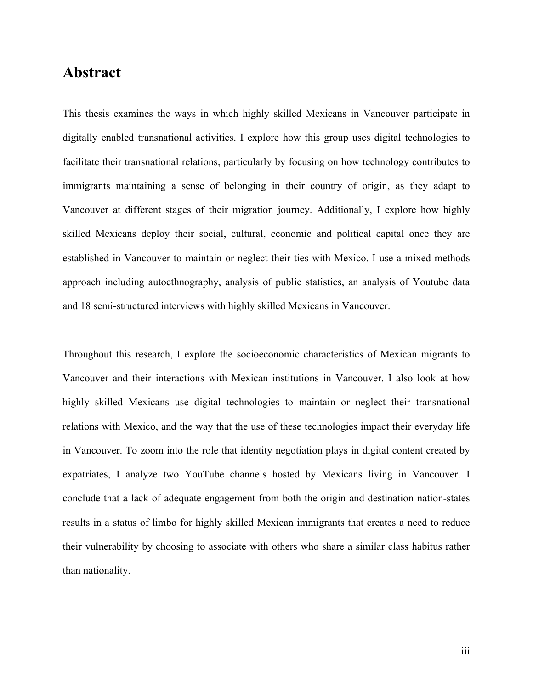## **Abstract**

This thesis examines the ways in which highly skilled Mexicans in Vancouver participate in digitally enabled transnational activities. I explore how this group uses digital technologies to facilitate their transnational relations, particularly by focusing on how technology contributes to immigrants maintaining a sense of belonging in their country of origin, as they adapt to Vancouver at different stages of their migration journey. Additionally, I explore how highly skilled Mexicans deploy their social, cultural, economic and political capital once they are established in Vancouver to maintain or neglect their ties with Mexico. I use a mixed methods approach including autoethnography, analysis of public statistics, an analysis of Youtube data and 18 semi-structured interviews with highly skilled Mexicans in Vancouver.

Throughout this research, I explore the socioeconomic characteristics of Mexican migrants to Vancouver and their interactions with Mexican institutions in Vancouver. I also look at how highly skilled Mexicans use digital technologies to maintain or neglect their transnational relations with Mexico, and the way that the use of these technologies impact their everyday life in Vancouver. To zoom into the role that identity negotiation plays in digital content created by expatriates, I analyze two YouTube channels hosted by Mexicans living in Vancouver. I conclude that a lack of adequate engagement from both the origin and destination nation-states results in a status of limbo for highly skilled Mexican immigrants that creates a need to reduce their vulnerability by choosing to associate with others who share a similar class habitus rather than nationality.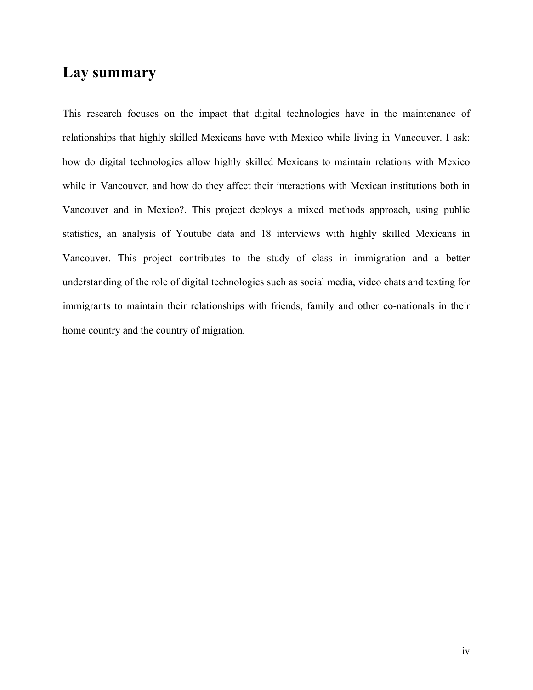## **Lay summary**

This research focuses on the impact that digital technologies have in the maintenance of relationships that highly skilled Mexicans have with Mexico while living in Vancouver. I ask: how do digital technologies allow highly skilled Mexicans to maintain relations with Mexico while in Vancouver, and how do they affect their interactions with Mexican institutions both in Vancouver and in Mexico?. This project deploys a mixed methods approach, using public statistics, an analysis of Youtube data and 18 interviews with highly skilled Mexicans in Vancouver. This project contributes to the study of class in immigration and a better understanding of the role of digital technologies such as social media, video chats and texting for immigrants to maintain their relationships with friends, family and other co-nationals in their home country and the country of migration.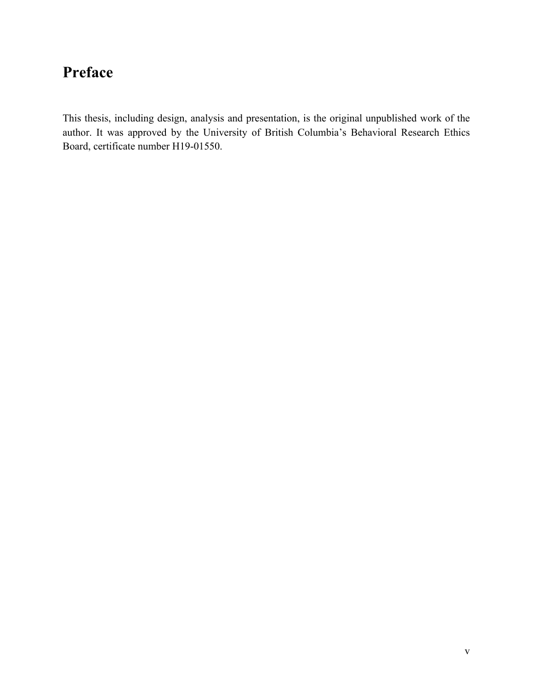# **Preface**

This thesis, including design, analysis and presentation, is the original unpublished work of the author. It was approved by the University of British Columbia's Behavioral Research Ethics Board, certificate number H19-01550.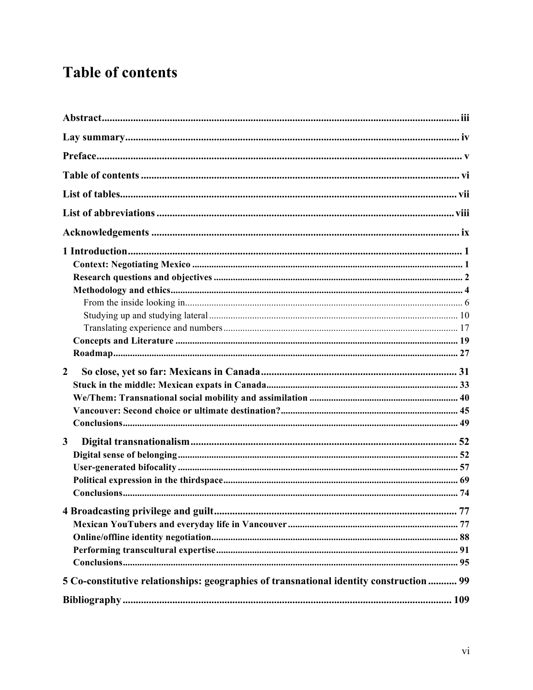# **Table of contents**

| $\mathbf{2}$                                                                            |  |
|-----------------------------------------------------------------------------------------|--|
|                                                                                         |  |
|                                                                                         |  |
|                                                                                         |  |
|                                                                                         |  |
|                                                                                         |  |
| $\mathbf{3}$                                                                            |  |
|                                                                                         |  |
|                                                                                         |  |
|                                                                                         |  |
|                                                                                         |  |
|                                                                                         |  |
|                                                                                         |  |
|                                                                                         |  |
|                                                                                         |  |
| 5 Co-constitutive relationships: geographies of transnational identity construction  99 |  |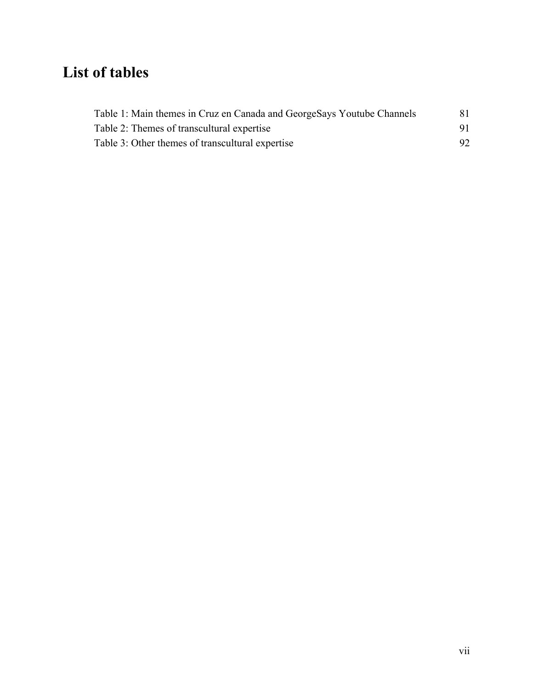# **List of tables**

| Table 1: Main themes in Cruz en Canada and GeorgeSays Youtube Channels | 81 |
|------------------------------------------------------------------------|----|
| Table 2: Themes of transcultural expertise                             | 91 |
| Table 3: Other themes of transcultural expertise                       | 92 |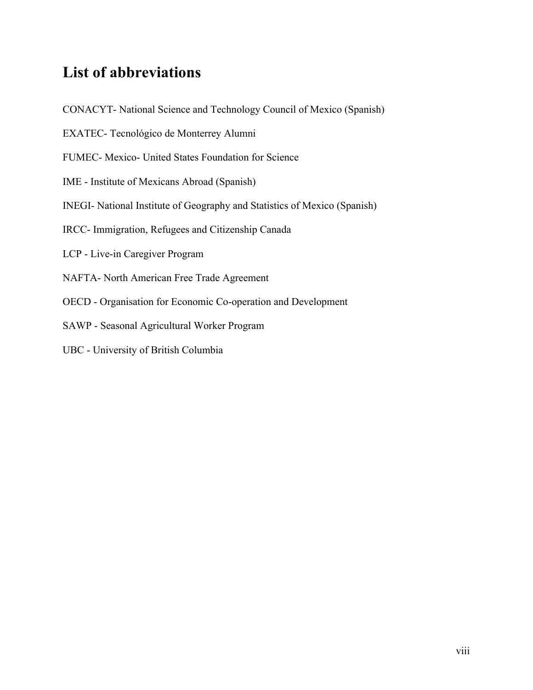## **List of abbreviations**

- CONACYT- National Science and Technology Council of Mexico (Spanish)
- EXATEC- Tecnológico de Monterrey Alumni
- FUMEC- Mexico- United States Foundation for Science
- IME Institute of Mexicans Abroad (Spanish)
- INEGI- National Institute of Geography and Statistics of Mexico (Spanish)
- IRCC- Immigration, Refugees and Citizenship Canada
- LCP Live-in Caregiver Program
- NAFTA- North American Free Trade Agreement
- OECD Organisation for Economic Co-operation and Development
- SAWP Seasonal Agricultural Worker Program
- UBC University of British Columbia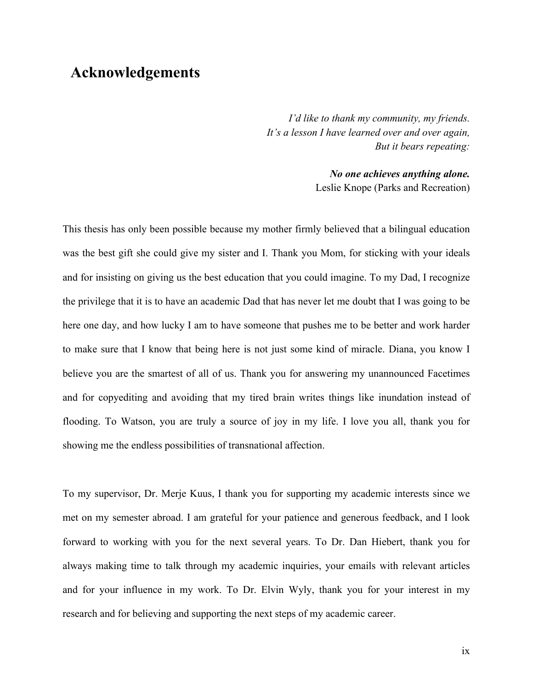## **Acknowledgements**

*I'd like to thank my community, my friends. It's a lesson I have learned over and over again, But it bears repeating:*

> *No one achieves anything alone.* Leslie Knope (Parks and Recreation)

This thesis has only been possible because my mother firmly believed that a bilingual education was the best gift she could give my sister and I. Thank you Mom, for sticking with your ideals and for insisting on giving us the best education that you could imagine. To my Dad, I recognize the privilege that it is to have an academic Dad that has never let me doubt that I was going to be here one day, and how lucky I am to have someone that pushes me to be better and work harder to make sure that I know that being here is not just some kind of miracle. Diana, you know I believe you are the smartest of all of us. Thank you for answering my unannounced Facetimes and for copyediting and avoiding that my tired brain writes things like inundation instead of flooding. To Watson, you are truly a source of joy in my life. I love you all, thank you for showing me the endless possibilities of transnational affection.

To my supervisor, Dr. Merje Kuus, I thank you for supporting my academic interests since we met on my semester abroad. I am grateful for your patience and generous feedback, and I look forward to working with you for the next several years. To Dr. Dan Hiebert, thank you for always making time to talk through my academic inquiries, your emails with relevant articles and for your influence in my work. To Dr. Elvin Wyly, thank you for your interest in my research and for believing and supporting the next steps of my academic career.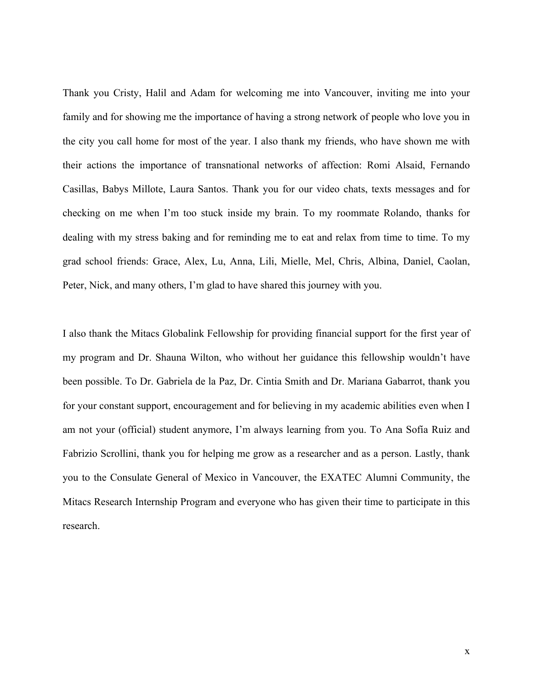Thank you Cristy, Halil and Adam for welcoming me into Vancouver, inviting me into your family and for showing me the importance of having a strong network of people who love you in the city you call home for most of the year. I also thank my friends, who have shown me with their actions the importance of transnational networks of affection: Romi Alsaid, Fernando Casillas, Babys Millote, Laura Santos. Thank you for our video chats, texts messages and for checking on me when I'm too stuck inside my brain. To my roommate Rolando, thanks for dealing with my stress baking and for reminding me to eat and relax from time to time. To my grad school friends: Grace, Alex, Lu, Anna, Lili, Mielle, Mel, Chris, Albina, Daniel, Caolan, Peter, Nick, and many others, I'm glad to have shared this journey with you.

I also thank the Mitacs Globalink Fellowship for providing financial support for the first year of my program and Dr. Shauna Wilton, who without her guidance this fellowship wouldn't have been possible. To Dr. Gabriela de la Paz, Dr. Cintia Smith and Dr. Mariana Gabarrot, thank you for your constant support, encouragement and for believing in my academic abilities even when I am not your (official) student anymore, I'm always learning from you. To Ana Sofía Ruiz and Fabrizio Scrollini, thank you for helping me grow as a researcher and as a person. Lastly, thank you to the Consulate General of Mexico in Vancouver, the EXATEC Alumni Community, the Mitacs Research Internship Program and everyone who has given their time to participate in this research.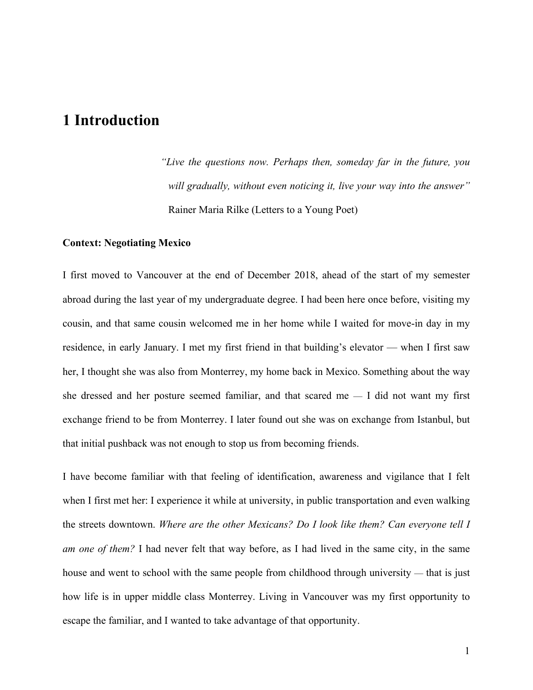## **1 Introduction**

*"Live the questions now. Perhaps then, someday far in the future, you will gradually, without even noticing it, live your way into the answer"*  Rainer Maria Rilke (Letters to a Young Poet)

### **Context: Negotiating Mexico**

I first moved to Vancouver at the end of December 2018, ahead of the start of my semester abroad during the last year of my undergraduate degree. I had been here once before, visiting my cousin, and that same cousin welcomed me in her home while I waited for move-in day in my residence, in early January. I met my first friend in that building's elevator — when I first saw her, I thought she was also from Monterrey, my home back in Mexico. Something about the way she dressed and her posture seemed familiar, and that scared me — I did not want my first exchange friend to be from Monterrey. I later found out she was on exchange from Istanbul, but that initial pushback was not enough to stop us from becoming friends.

I have become familiar with that feeling of identification, awareness and vigilance that I felt when I first met her: I experience it while at university, in public transportation and even walking the streets downtown. *Where are the other Mexicans? Do I look like them? Can everyone tell I am one of them?* I had never felt that way before, as I had lived in the same city, in the same house and went to school with the same people from childhood through university — that is just how life is in upper middle class Monterrey. Living in Vancouver was my first opportunity to escape the familiar, and I wanted to take advantage of that opportunity.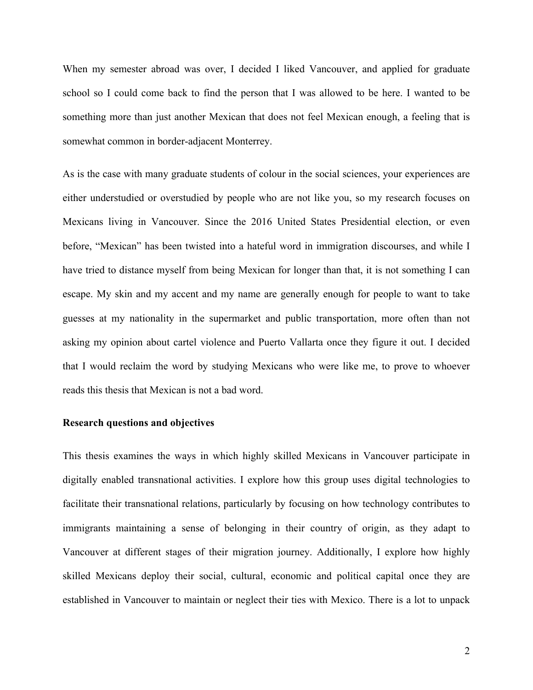When my semester abroad was over, I decided I liked Vancouver, and applied for graduate school so I could come back to find the person that I was allowed to be here. I wanted to be something more than just another Mexican that does not feel Mexican enough, a feeling that is somewhat common in border-adjacent Monterrey.

As is the case with many graduate students of colour in the social sciences, your experiences are either understudied or overstudied by people who are not like you, so my research focuses on Mexicans living in Vancouver. Since the 2016 United States Presidential election, or even before, "Mexican" has been twisted into a hateful word in immigration discourses, and while I have tried to distance myself from being Mexican for longer than that, it is not something I can escape. My skin and my accent and my name are generally enough for people to want to take guesses at my nationality in the supermarket and public transportation, more often than not asking my opinion about cartel violence and Puerto Vallarta once they figure it out. I decided that I would reclaim the word by studying Mexicans who were like me, to prove to whoever reads this thesis that Mexican is not a bad word.

### **Research questions and objectives**

This thesis examines the ways in which highly skilled Mexicans in Vancouver participate in digitally enabled transnational activities. I explore how this group uses digital technologies to facilitate their transnational relations, particularly by focusing on how technology contributes to immigrants maintaining a sense of belonging in their country of origin, as they adapt to Vancouver at different stages of their migration journey. Additionally, I explore how highly skilled Mexicans deploy their social, cultural, economic and political capital once they are established in Vancouver to maintain or neglect their ties with Mexico. There is a lot to unpack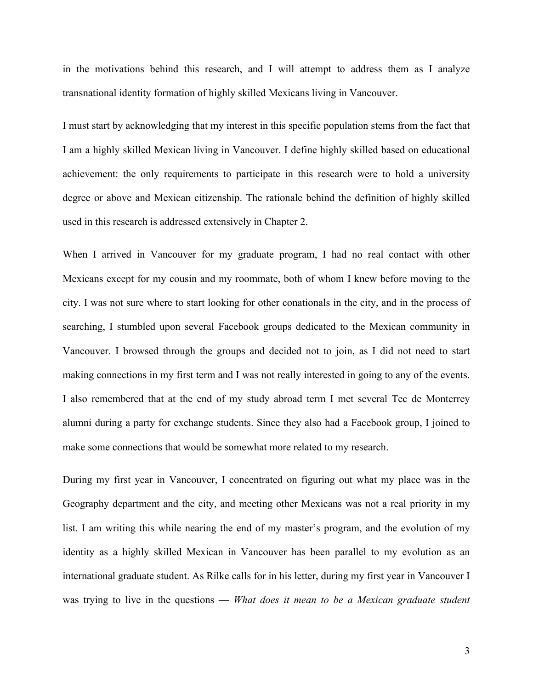in the motivations behind this research, and I will attempt to address them as I analyze transnational identity formation of highly skilled Mexicans living in Vancouver.

I must start by acknowledging that my interest in this specific population stems from the fact that I am a highly skilled Mexican living in Vancouver. I define highly skilled based on educational achievement: the only requirements to participate in this research were to hold a university degree or above and Mexican citizenship. The rationale behind the definition of highly skilled used in this research is addressed extensively in Chapter 2.

When I arrived in Vancouver for my graduate program, I had no real contact with other Mexicans except for my cousin and my roommate, both of whom I knew before moving to the city. I was not sure where to start looking for other conationals in the city, and in the process of searching, I stumbled upon several Facebook groups dedicated to the Mexican community in Vancouver. I browsed through the groups and decided not to join, as I did not need to start making connections in my first term and I was not really interested in going to any of the events. I also remembered that at the end of my study abroad term I met several Tec de Monterrey alumni during a party for exchange students. Since they also had a Facebook group, I joined to make some connections that would be somewhat more related to my research.

During my first year in Vancouver, I concentrated on figuring out what my place was in the Geography department and the city, and meeting other Mexicans was not a real priority in my list. I am writing this while nearing the end of my master's program, and the evolution of my identity as a highly skilled Mexican in Vancouver has been parallel to my evolution as an international graduate student. As Rilke calls for in his letter, during my first year in Vancouver I was trying to live in the questions — *What does it mean to be a Mexican graduate student* 

3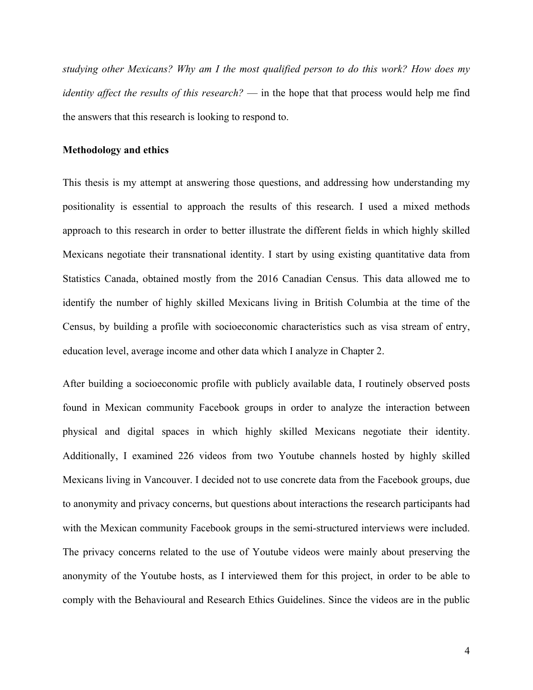*studying other Mexicans? Why am I the most qualified person to do this work? How does my identity affect the results of this research?* — in the hope that that process would help me find the answers that this research is looking to respond to.

### **Methodology and ethics**

This thesis is my attempt at answering those questions, and addressing how understanding my positionality is essential to approach the results of this research. I used a mixed methods approach to this research in order to better illustrate the different fields in which highly skilled Mexicans negotiate their transnational identity. I start by using existing quantitative data from Statistics Canada, obtained mostly from the 2016 Canadian Census. This data allowed me to identify the number of highly skilled Mexicans living in British Columbia at the time of the Census, by building a profile with socioeconomic characteristics such as visa stream of entry, education level, average income and other data which I analyze in Chapter 2.

After building a socioeconomic profile with publicly available data, I routinely observed posts found in Mexican community Facebook groups in order to analyze the interaction between physical and digital spaces in which highly skilled Mexicans negotiate their identity. Additionally, I examined 226 videos from two Youtube channels hosted by highly skilled Mexicans living in Vancouver. I decided not to use concrete data from the Facebook groups, due to anonymity and privacy concerns, but questions about interactions the research participants had with the Mexican community Facebook groups in the semi-structured interviews were included. The privacy concerns related to the use of Youtube videos were mainly about preserving the anonymity of the Youtube hosts, as I interviewed them for this project, in order to be able to comply with the Behavioural and Research Ethics Guidelines. Since the videos are in the public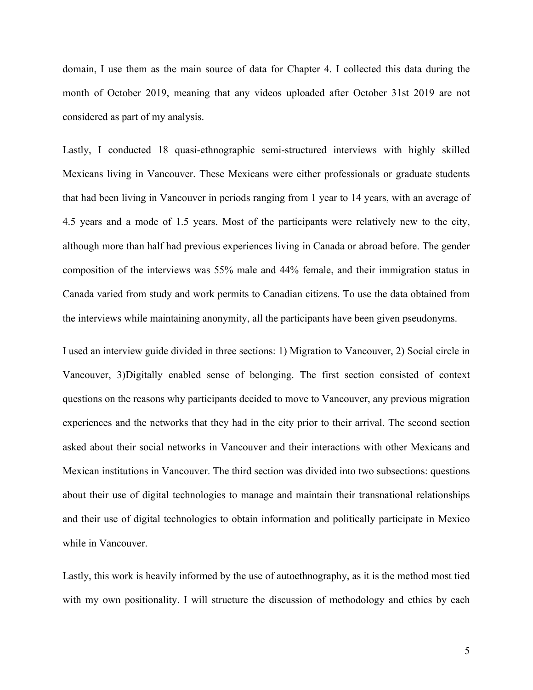domain, I use them as the main source of data for Chapter 4. I collected this data during the month of October 2019, meaning that any videos uploaded after October 31st 2019 are not considered as part of my analysis.

Lastly, I conducted 18 quasi-ethnographic semi-structured interviews with highly skilled Mexicans living in Vancouver. These Mexicans were either professionals or graduate students that had been living in Vancouver in periods ranging from 1 year to 14 years, with an average of 4.5 years and a mode of 1.5 years. Most of the participants were relatively new to the city, although more than half had previous experiences living in Canada or abroad before. The gender composition of the interviews was 55% male and 44% female, and their immigration status in Canada varied from study and work permits to Canadian citizens. To use the data obtained from the interviews while maintaining anonymity, all the participants have been given pseudonyms.

I used an interview guide divided in three sections: 1) Migration to Vancouver, 2) Social circle in Vancouver, 3)Digitally enabled sense of belonging. The first section consisted of context questions on the reasons why participants decided to move to Vancouver, any previous migration experiences and the networks that they had in the city prior to their arrival. The second section asked about their social networks in Vancouver and their interactions with other Mexicans and Mexican institutions in Vancouver. The third section was divided into two subsections: questions about their use of digital technologies to manage and maintain their transnational relationships and their use of digital technologies to obtain information and politically participate in Mexico while in Vancouver.

Lastly, this work is heavily informed by the use of autoethnography, as it is the method most tied with my own positionality. I will structure the discussion of methodology and ethics by each

5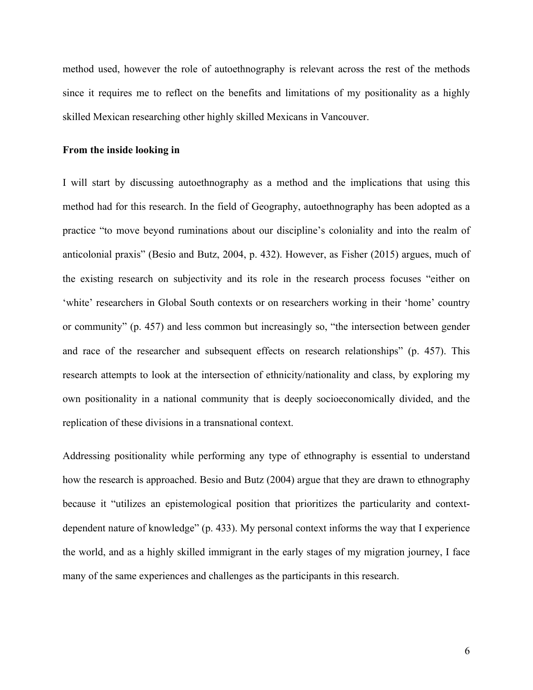method used, however the role of autoethnography is relevant across the rest of the methods since it requires me to reflect on the benefits and limitations of my positionality as a highly skilled Mexican researching other highly skilled Mexicans in Vancouver.

### **From the inside looking in**

I will start by discussing autoethnography as a method and the implications that using this method had for this research. In the field of Geography, autoethnography has been adopted as a practice "to move beyond ruminations about our discipline's coloniality and into the realm of anticolonial praxis" (Besio and Butz, 2004, p. 432). However, as Fisher (2015) argues, much of the existing research on subjectivity and its role in the research process focuses "either on 'white' researchers in Global South contexts or on researchers working in their 'home' country or community" (p. 457) and less common but increasingly so, "the intersection between gender and race of the researcher and subsequent effects on research relationships" (p. 457). This research attempts to look at the intersection of ethnicity/nationality and class, by exploring my own positionality in a national community that is deeply socioeconomically divided, and the replication of these divisions in a transnational context.

Addressing positionality while performing any type of ethnography is essential to understand how the research is approached. Besio and Butz (2004) argue that they are drawn to ethnography because it "utilizes an epistemological position that prioritizes the particularity and contextdependent nature of knowledge" (p. 433). My personal context informs the way that I experience the world, and as a highly skilled immigrant in the early stages of my migration journey, I face many of the same experiences and challenges as the participants in this research.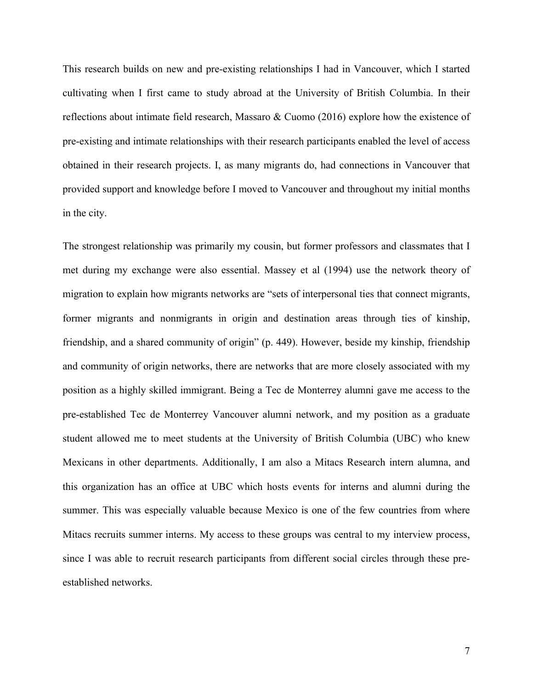This research builds on new and pre-existing relationships I had in Vancouver, which I started cultivating when I first came to study abroad at the University of British Columbia. In their reflections about intimate field research, Massaro & Cuomo (2016) explore how the existence of pre-existing and intimate relationships with their research participants enabled the level of access obtained in their research projects. I, as many migrants do, had connections in Vancouver that provided support and knowledge before I moved to Vancouver and throughout my initial months in the city.

The strongest relationship was primarily my cousin, but former professors and classmates that I met during my exchange were also essential. Massey et al (1994) use the network theory of migration to explain how migrants networks are "sets of interpersonal ties that connect migrants, former migrants and nonmigrants in origin and destination areas through ties of kinship, friendship, and a shared community of origin" (p. 449). However, beside my kinship, friendship and community of origin networks, there are networks that are more closely associated with my position as a highly skilled immigrant. Being a Tec de Monterrey alumni gave me access to the pre-established Tec de Monterrey Vancouver alumni network, and my position as a graduate student allowed me to meet students at the University of British Columbia (UBC) who knew Mexicans in other departments. Additionally, I am also a Mitacs Research intern alumna, and this organization has an office at UBC which hosts events for interns and alumni during the summer. This was especially valuable because Mexico is one of the few countries from where Mitacs recruits summer interns. My access to these groups was central to my interview process, since I was able to recruit research participants from different social circles through these preestablished networks.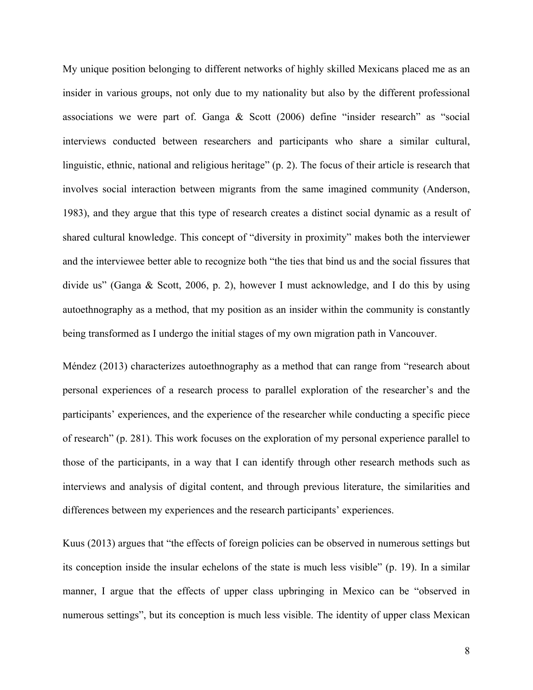My unique position belonging to different networks of highly skilled Mexicans placed me as an insider in various groups, not only due to my nationality but also by the different professional associations we were part of. Ganga & Scott (2006) define "insider research" as "social interviews conducted between researchers and participants who share a similar cultural, linguistic, ethnic, national and religious heritage" (p. 2). The focus of their article is research that involves social interaction between migrants from the same imagined community (Anderson, 1983), and they argue that this type of research creates a distinct social dynamic as a result of shared cultural knowledge. This concept of "diversity in proximity" makes both the interviewer and the interviewee better able to recognize both "the ties that bind us and the social fissures that divide us" (Ganga & Scott, 2006, p. 2), however I must acknowledge, and I do this by using autoethnography as a method, that my position as an insider within the community is constantly being transformed as I undergo the initial stages of my own migration path in Vancouver.

Méndez (2013) characterizes autoethnography as a method that can range from "research about personal experiences of a research process to parallel exploration of the researcher's and the participants' experiences, and the experience of the researcher while conducting a specific piece of research" (p. 281). This work focuses on the exploration of my personal experience parallel to those of the participants, in a way that I can identify through other research methods such as interviews and analysis of digital content, and through previous literature, the similarities and differences between my experiences and the research participants' experiences.

Kuus (2013) argues that "the effects of foreign policies can be observed in numerous settings but its conception inside the insular echelons of the state is much less visible" (p. 19). In a similar manner, I argue that the effects of upper class upbringing in Mexico can be "observed in numerous settings", but its conception is much less visible. The identity of upper class Mexican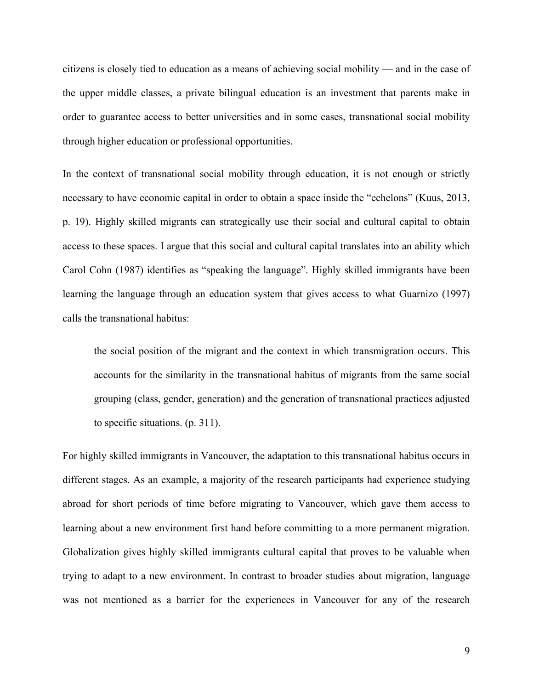citizens is closely tied to education as a means of achieving social mobility — and in the case of the upper middle classes, a private bilingual education is an investment that parents make in order to guarantee access to better universities and in some cases, transnational social mobility through higher education or professional opportunities.

In the context of transnational social mobility through education, it is not enough or strictly necessary to have economic capital in order to obtain a space inside the "echelons" (Kuus, 2013, p. 19). Highly skilled migrants can strategically use their social and cultural capital to obtain access to these spaces. I argue that this social and cultural capital translates into an ability which Carol Cohn (1987) identifies as "speaking the language". Highly skilled immigrants have been learning the language through an education system that gives access to what Guarnizo (1997) calls the transnational habitus:

the social position of the migrant and the context in which transmigration occurs. This accounts for the similarity in the transnational habitus of migrants from the same social grouping (class, gender, generation) and the generation of transnational practices adjusted to specific situations. (p. 311).

For highly skilled immigrants in Vancouver, the adaptation to this transnational habitus occurs in different stages. As an example, a majority of the research participants had experience studying abroad for short periods of time before migrating to Vancouver, which gave them access to learning about a new environment first hand before committing to a more permanent migration. Globalization gives highly skilled immigrants cultural capital that proves to be valuable when trying to adapt to a new environment. In contrast to broader studies about migration, language was not mentioned as a barrier for the experiences in Vancouver for any of the research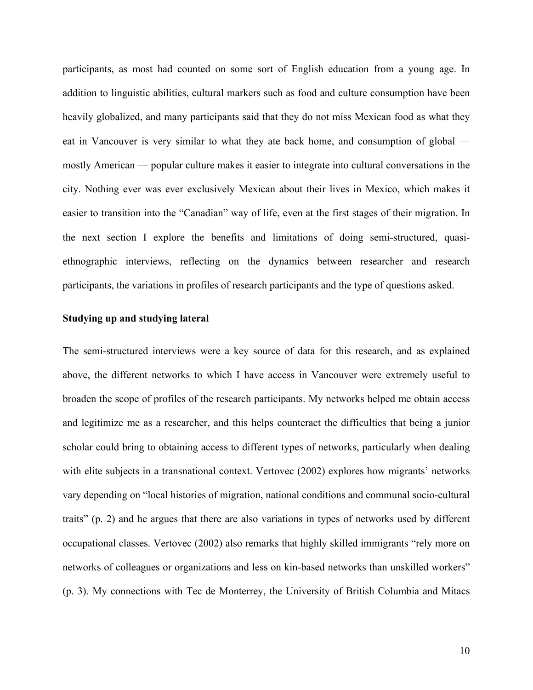participants, as most had counted on some sort of English education from a young age. In addition to linguistic abilities, cultural markers such as food and culture consumption have been heavily globalized, and many participants said that they do not miss Mexican food as what they eat in Vancouver is very similar to what they ate back home, and consumption of global mostly American — popular culture makes it easier to integrate into cultural conversations in the city. Nothing ever was ever exclusively Mexican about their lives in Mexico, which makes it easier to transition into the "Canadian" way of life, even at the first stages of their migration. In the next section I explore the benefits and limitations of doing semi-structured, quasiethnographic interviews, reflecting on the dynamics between researcher and research participants, the variations in profiles of research participants and the type of questions asked.

### **Studying up and studying lateral**

The semi-structured interviews were a key source of data for this research, and as explained above, the different networks to which I have access in Vancouver were extremely useful to broaden the scope of profiles of the research participants. My networks helped me obtain access and legitimize me as a researcher, and this helps counteract the difficulties that being a junior scholar could bring to obtaining access to different types of networks, particularly when dealing with elite subjects in a transnational context. Vertovec (2002) explores how migrants' networks vary depending on "local histories of migration, national conditions and communal socio-cultural traits" (p. 2) and he argues that there are also variations in types of networks used by different occupational classes. Vertovec (2002) also remarks that highly skilled immigrants "rely more on networks of colleagues or organizations and less on kin-based networks than unskilled workers" (p. 3). My connections with Tec de Monterrey, the University of British Columbia and Mitacs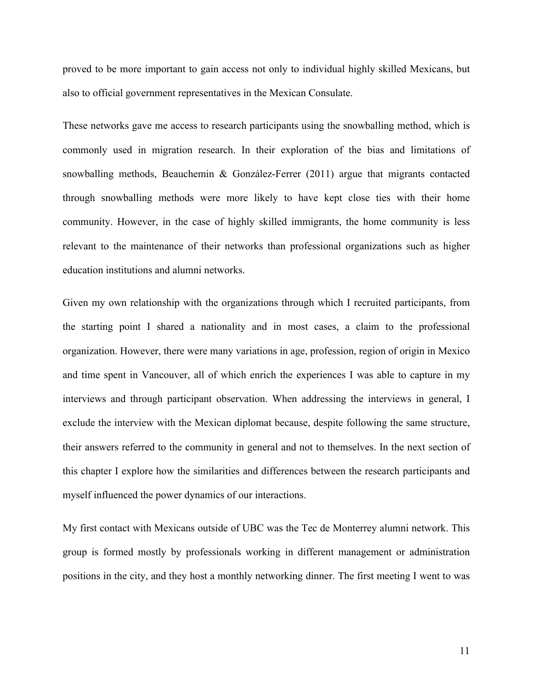proved to be more important to gain access not only to individual highly skilled Mexicans, but also to official government representatives in the Mexican Consulate.

These networks gave me access to research participants using the snowballing method, which is commonly used in migration research. In their exploration of the bias and limitations of snowballing methods, Beauchemin & González-Ferrer (2011) argue that migrants contacted through snowballing methods were more likely to have kept close ties with their home community. However, in the case of highly skilled immigrants, the home community is less relevant to the maintenance of their networks than professional organizations such as higher education institutions and alumni networks.

Given my own relationship with the organizations through which I recruited participants, from the starting point I shared a nationality and in most cases, a claim to the professional organization. However, there were many variations in age, profession, region of origin in Mexico and time spent in Vancouver, all of which enrich the experiences I was able to capture in my interviews and through participant observation. When addressing the interviews in general, I exclude the interview with the Mexican diplomat because, despite following the same structure, their answers referred to the community in general and not to themselves. In the next section of this chapter I explore how the similarities and differences between the research participants and myself influenced the power dynamics of our interactions.

My first contact with Mexicans outside of UBC was the Tec de Monterrey alumni network. This group is formed mostly by professionals working in different management or administration positions in the city, and they host a monthly networking dinner. The first meeting I went to was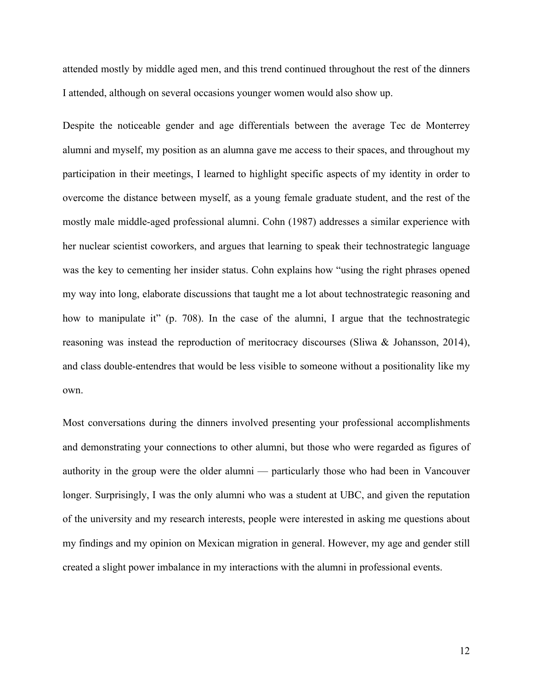attended mostly by middle aged men, and this trend continued throughout the rest of the dinners I attended, although on several occasions younger women would also show up.

Despite the noticeable gender and age differentials between the average Tec de Monterrey alumni and myself, my position as an alumna gave me access to their spaces, and throughout my participation in their meetings, I learned to highlight specific aspects of my identity in order to overcome the distance between myself, as a young female graduate student, and the rest of the mostly male middle-aged professional alumni. Cohn (1987) addresses a similar experience with her nuclear scientist coworkers, and argues that learning to speak their technostrategic language was the key to cementing her insider status. Cohn explains how "using the right phrases opened my way into long, elaborate discussions that taught me a lot about technostrategic reasoning and how to manipulate it" (p. 708). In the case of the alumni, I argue that the technostrategic reasoning was instead the reproduction of meritocracy discourses (Sliwa & Johansson, 2014), and class double-entendres that would be less visible to someone without a positionality like my own.

Most conversations during the dinners involved presenting your professional accomplishments and demonstrating your connections to other alumni, but those who were regarded as figures of authority in the group were the older alumni — particularly those who had been in Vancouver longer. Surprisingly, I was the only alumni who was a student at UBC, and given the reputation of the university and my research interests, people were interested in asking me questions about my findings and my opinion on Mexican migration in general. However, my age and gender still created a slight power imbalance in my interactions with the alumni in professional events.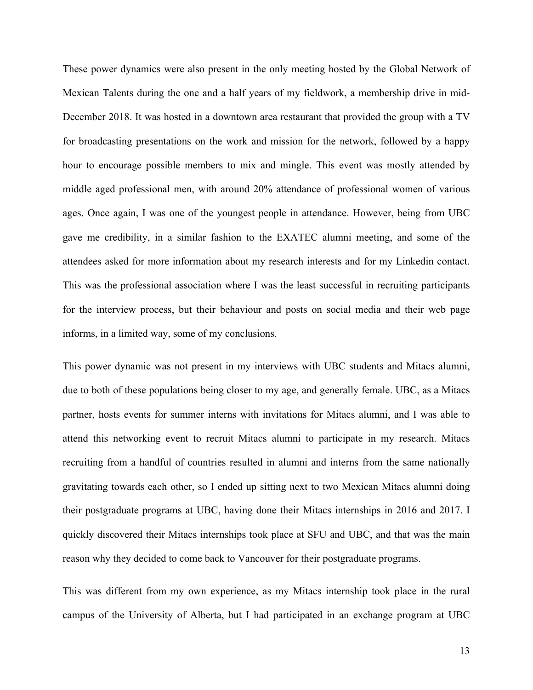These power dynamics were also present in the only meeting hosted by the Global Network of Mexican Talents during the one and a half years of my fieldwork, a membership drive in mid-December 2018. It was hosted in a downtown area restaurant that provided the group with a TV for broadcasting presentations on the work and mission for the network, followed by a happy hour to encourage possible members to mix and mingle. This event was mostly attended by middle aged professional men, with around 20% attendance of professional women of various ages. Once again, I was one of the youngest people in attendance. However, being from UBC gave me credibility, in a similar fashion to the EXATEC alumni meeting, and some of the attendees asked for more information about my research interests and for my Linkedin contact. This was the professional association where I was the least successful in recruiting participants for the interview process, but their behaviour and posts on social media and their web page informs, in a limited way, some of my conclusions.

This power dynamic was not present in my interviews with UBC students and Mitacs alumni, due to both of these populations being closer to my age, and generally female. UBC, as a Mitacs partner, hosts events for summer interns with invitations for Mitacs alumni, and I was able to attend this networking event to recruit Mitacs alumni to participate in my research. Mitacs recruiting from a handful of countries resulted in alumni and interns from the same nationally gravitating towards each other, so I ended up sitting next to two Mexican Mitacs alumni doing their postgraduate programs at UBC, having done their Mitacs internships in 2016 and 2017. I quickly discovered their Mitacs internships took place at SFU and UBC, and that was the main reason why they decided to come back to Vancouver for their postgraduate programs.

This was different from my own experience, as my Mitacs internship took place in the rural campus of the University of Alberta, but I had participated in an exchange program at UBC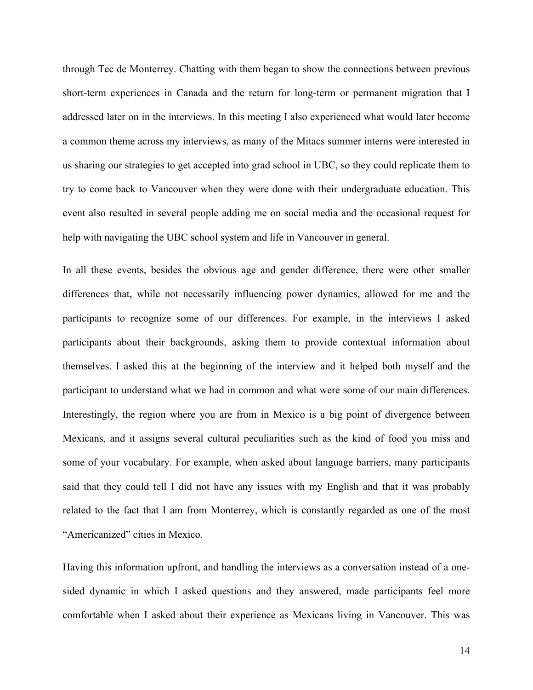through Tec de Monterrey. Chatting with them began to show the connections between previous short-term experiences in Canada and the return for long-term or permanent migration that I addressed later on in the interviews. In this meeting I also experienced what would later become a common theme across my interviews, as many of the Mitacs summer interns were interested in us sharing our strategies to get accepted into grad school in UBC, so they could replicate them to try to come back to Vancouver when they were done with their undergraduate education. This event also resulted in several people adding me on social media and the occasional request for help with navigating the UBC school system and life in Vancouver in general.

In all these events, besides the obvious age and gender difference, there were other smaller differences that, while not necessarily influencing power dynamics, allowed for me and the participants to recognize some of our differences. For example, in the interviews I asked participants about their backgrounds, asking them to provide contextual information about themselves. I asked this at the beginning of the interview and it helped both myself and the participant to understand what we had in common and what were some of our main differences. Interestingly, the region where you are from in Mexico is a big point of divergence between Mexicans, and it assigns several cultural peculiarities such as the kind of food you miss and some of your vocabulary. For example, when asked about language barriers, many participants said that they could tell I did not have any issues with my English and that it was probably related to the fact that I am from Monterrey, which is constantly regarded as one of the most "Americanized" cities in Mexico.

Having this information upfront, and handling the interviews as a conversation instead of a onesided dynamic in which I asked questions and they answered, made participants feel more comfortable when I asked about their experience as Mexicans living in Vancouver. This was

14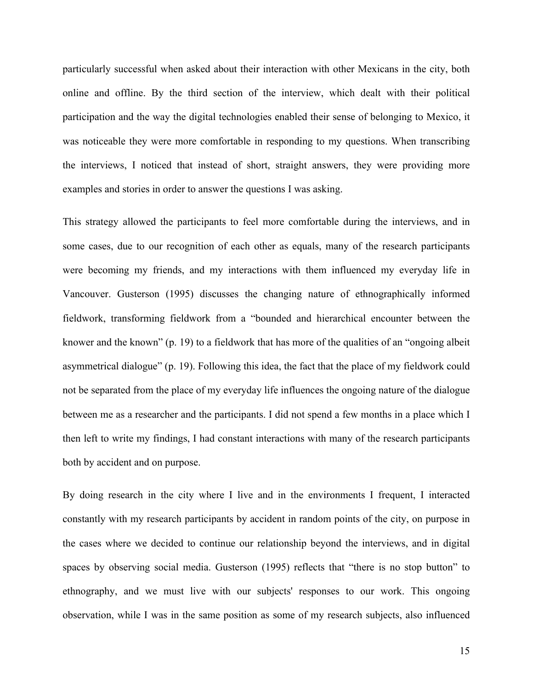particularly successful when asked about their interaction with other Mexicans in the city, both online and offline. By the third section of the interview, which dealt with their political participation and the way the digital technologies enabled their sense of belonging to Mexico, it was noticeable they were more comfortable in responding to my questions. When transcribing the interviews, I noticed that instead of short, straight answers, they were providing more examples and stories in order to answer the questions I was asking.

This strategy allowed the participants to feel more comfortable during the interviews, and in some cases, due to our recognition of each other as equals, many of the research participants were becoming my friends, and my interactions with them influenced my everyday life in Vancouver. Gusterson (1995) discusses the changing nature of ethnographically informed fieldwork, transforming fieldwork from a "bounded and hierarchical encounter between the knower and the known" (p. 19) to a fieldwork that has more of the qualities of an "ongoing albeit asymmetrical dialogue" (p. 19). Following this idea, the fact that the place of my fieldwork could not be separated from the place of my everyday life influences the ongoing nature of the dialogue between me as a researcher and the participants. I did not spend a few months in a place which I then left to write my findings, I had constant interactions with many of the research participants both by accident and on purpose.

By doing research in the city where I live and in the environments I frequent, I interacted constantly with my research participants by accident in random points of the city, on purpose in the cases where we decided to continue our relationship beyond the interviews, and in digital spaces by observing social media. Gusterson (1995) reflects that "there is no stop button" to ethnography, and we must live with our subjects' responses to our work. This ongoing observation, while I was in the same position as some of my research subjects, also influenced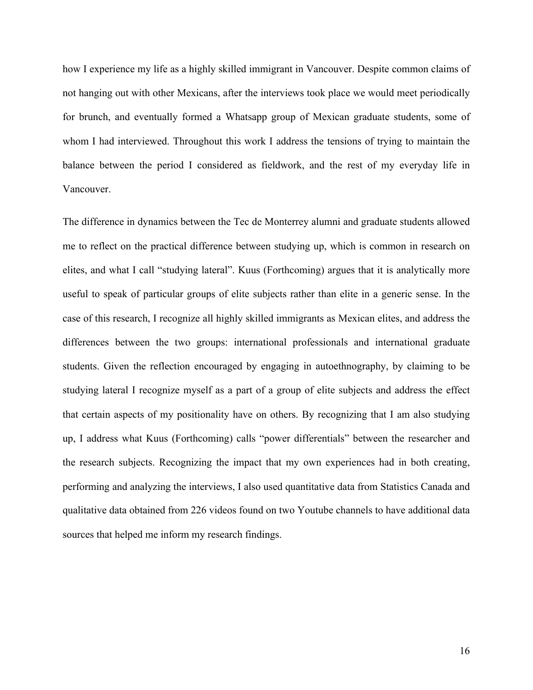how I experience my life as a highly skilled immigrant in Vancouver. Despite common claims of not hanging out with other Mexicans, after the interviews took place we would meet periodically for brunch, and eventually formed a Whatsapp group of Mexican graduate students, some of whom I had interviewed. Throughout this work I address the tensions of trying to maintain the balance between the period I considered as fieldwork, and the rest of my everyday life in Vancouver.

The difference in dynamics between the Tec de Monterrey alumni and graduate students allowed me to reflect on the practical difference between studying up, which is common in research on elites, and what I call "studying lateral". Kuus (Forthcoming) argues that it is analytically more useful to speak of particular groups of elite subjects rather than elite in a generic sense. In the case of this research, I recognize all highly skilled immigrants as Mexican elites, and address the differences between the two groups: international professionals and international graduate students. Given the reflection encouraged by engaging in autoethnography, by claiming to be studying lateral I recognize myself as a part of a group of elite subjects and address the effect that certain aspects of my positionality have on others. By recognizing that I am also studying up, I address what Kuus (Forthcoming) calls "power differentials" between the researcher and the research subjects. Recognizing the impact that my own experiences had in both creating, performing and analyzing the interviews, I also used quantitative data from Statistics Canada and qualitative data obtained from 226 videos found on two Youtube channels to have additional data sources that helped me inform my research findings.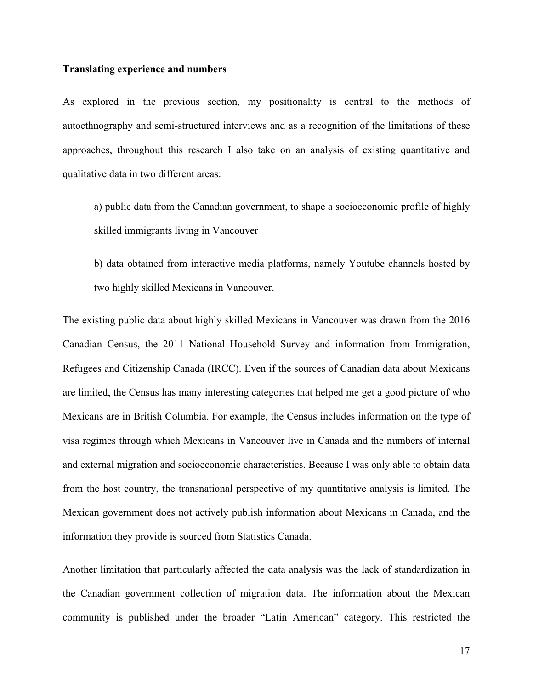### **Translating experience and numbers**

As explored in the previous section, my positionality is central to the methods of autoethnography and semi-structured interviews and as a recognition of the limitations of these approaches, throughout this research I also take on an analysis of existing quantitative and qualitative data in two different areas:

a) public data from the Canadian government, to shape a socioeconomic profile of highly skilled immigrants living in Vancouver

b) data obtained from interactive media platforms, namely Youtube channels hosted by two highly skilled Mexicans in Vancouver.

The existing public data about highly skilled Mexicans in Vancouver was drawn from the 2016 Canadian Census, the 2011 National Household Survey and information from Immigration, Refugees and Citizenship Canada (IRCC). Even if the sources of Canadian data about Mexicans are limited, the Census has many interesting categories that helped me get a good picture of who Mexicans are in British Columbia. For example, the Census includes information on the type of visa regimes through which Mexicans in Vancouver live in Canada and the numbers of internal and external migration and socioeconomic characteristics. Because I was only able to obtain data from the host country, the transnational perspective of my quantitative analysis is limited. The Mexican government does not actively publish information about Mexicans in Canada, and the information they provide is sourced from Statistics Canada.

Another limitation that particularly affected the data analysis was the lack of standardization in the Canadian government collection of migration data. The information about the Mexican community is published under the broader "Latin American" category. This restricted the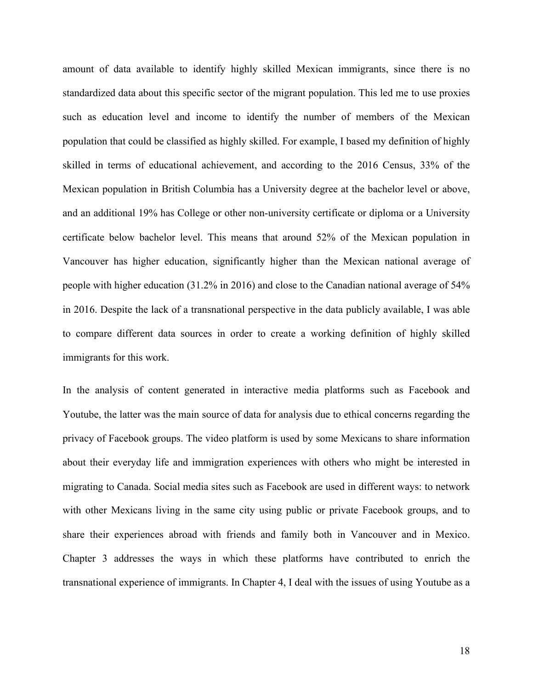amount of data available to identify highly skilled Mexican immigrants, since there is no standardized data about this specific sector of the migrant population. This led me to use proxies such as education level and income to identify the number of members of the Mexican population that could be classified as highly skilled. For example, I based my definition of highly skilled in terms of educational achievement, and according to the 2016 Census, 33% of the Mexican population in British Columbia has a University degree at the bachelor level or above, and an additional 19% has College or other non-university certificate or diploma or a University certificate below bachelor level. This means that around 52% of the Mexican population in Vancouver has higher education, significantly higher than the Mexican national average of people with higher education (31.2% in 2016) and close to the Canadian national average of 54% in 2016. Despite the lack of a transnational perspective in the data publicly available, I was able to compare different data sources in order to create a working definition of highly skilled immigrants for this work.

In the analysis of content generated in interactive media platforms such as Facebook and Youtube, the latter was the main source of data for analysis due to ethical concerns regarding the privacy of Facebook groups. The video platform is used by some Mexicans to share information about their everyday life and immigration experiences with others who might be interested in migrating to Canada. Social media sites such as Facebook are used in different ways: to network with other Mexicans living in the same city using public or private Facebook groups, and to share their experiences abroad with friends and family both in Vancouver and in Mexico. Chapter 3 addresses the ways in which these platforms have contributed to enrich the transnational experience of immigrants. In Chapter 4, I deal with the issues of using Youtube as a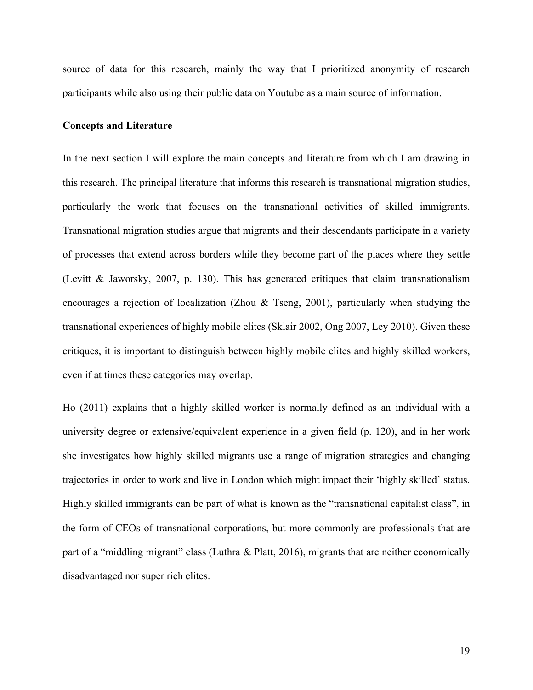source of data for this research, mainly the way that I prioritized anonymity of research participants while also using their public data on Youtube as a main source of information.

#### **Concepts and Literature**

In the next section I will explore the main concepts and literature from which I am drawing in this research. The principal literature that informs this research is transnational migration studies, particularly the work that focuses on the transnational activities of skilled immigrants. Transnational migration studies argue that migrants and their descendants participate in a variety of processes that extend across borders while they become part of the places where they settle (Levitt & Jaworsky, 2007, p. 130). This has generated critiques that claim transnationalism encourages a rejection of localization (Zhou & Tseng, 2001), particularly when studying the transnational experiences of highly mobile elites (Sklair 2002, Ong 2007, Ley 2010). Given these critiques, it is important to distinguish between highly mobile elites and highly skilled workers, even if at times these categories may overlap.

Ho (2011) explains that a highly skilled worker is normally defined as an individual with a university degree or extensive/equivalent experience in a given field (p. 120), and in her work she investigates how highly skilled migrants use a range of migration strategies and changing trajectories in order to work and live in London which might impact their 'highly skilled' status. Highly skilled immigrants can be part of what is known as the "transnational capitalist class", in the form of CEOs of transnational corporations, but more commonly are professionals that are part of a "middling migrant" class (Luthra & Platt, 2016), migrants that are neither economically disadvantaged nor super rich elites.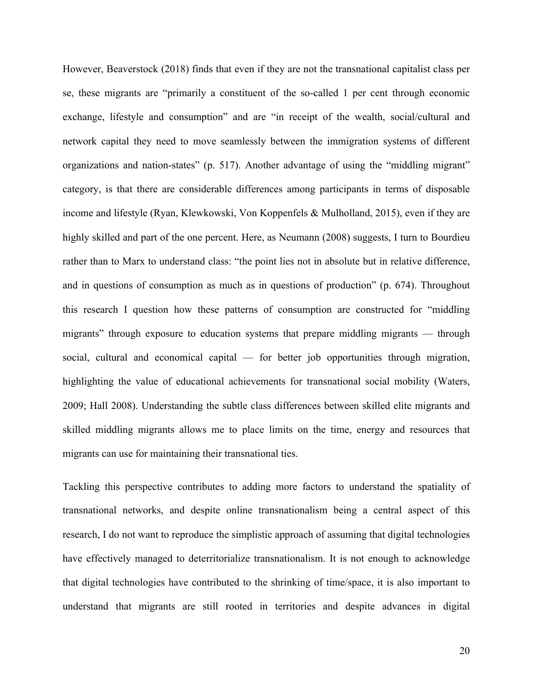However, Beaverstock (2018) finds that even if they are not the transnational capitalist class per se, these migrants are "primarily a constituent of the so-called 1 per cent through economic exchange, lifestyle and consumption" and are "in receipt of the wealth, social/cultural and network capital they need to move seamlessly between the immigration systems of different organizations and nation-states" (p. 517). Another advantage of using the "middling migrant" category, is that there are considerable differences among participants in terms of disposable income and lifestyle (Ryan, Klewkowski, Von Koppenfels & Mulholland, 2015), even if they are highly skilled and part of the one percent. Here, as Neumann (2008) suggests, I turn to Bourdieu rather than to Marx to understand class: "the point lies not in absolute but in relative difference, and in questions of consumption as much as in questions of production" (p. 674). Throughout this research I question how these patterns of consumption are constructed for "middling migrants" through exposure to education systems that prepare middling migrants — through social, cultural and economical capital — for better job opportunities through migration, highlighting the value of educational achievements for transnational social mobility (Waters, 2009; Hall 2008). Understanding the subtle class differences between skilled elite migrants and skilled middling migrants allows me to place limits on the time, energy and resources that migrants can use for maintaining their transnational ties.

Tackling this perspective contributes to adding more factors to understand the spatiality of transnational networks, and despite online transnationalism being a central aspect of this research, I do not want to reproduce the simplistic approach of assuming that digital technologies have effectively managed to deterritorialize transnationalism. It is not enough to acknowledge that digital technologies have contributed to the shrinking of time/space, it is also important to understand that migrants are still rooted in territories and despite advances in digital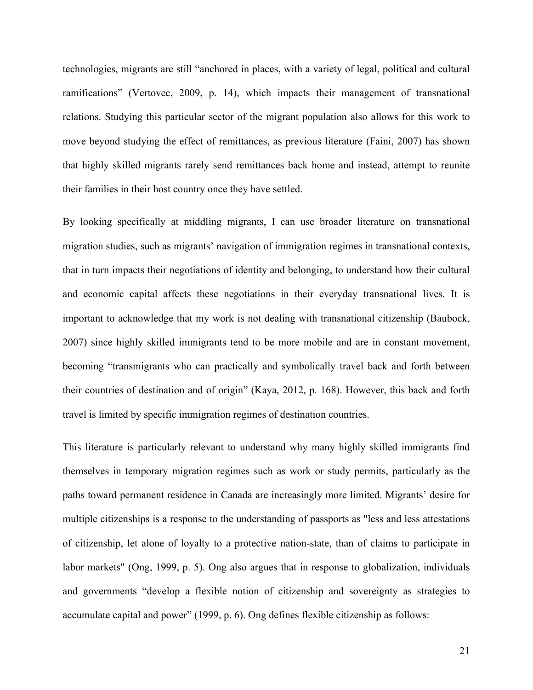technologies, migrants are still "anchored in places, with a variety of legal, political and cultural ramifications" (Vertovec, 2009, p. 14), which impacts their management of transnational relations. Studying this particular sector of the migrant population also allows for this work to move beyond studying the effect of remittances, as previous literature (Faini, 2007) has shown that highly skilled migrants rarely send remittances back home and instead, attempt to reunite their families in their host country once they have settled.

By looking specifically at middling migrants, I can use broader literature on transnational migration studies, such as migrants' navigation of immigration regimes in transnational contexts, that in turn impacts their negotiations of identity and belonging, to understand how their cultural and economic capital affects these negotiations in their everyday transnational lives. It is important to acknowledge that my work is not dealing with transnational citizenship (Baubock, 2007) since highly skilled immigrants tend to be more mobile and are in constant movement, becoming "transmigrants who can practically and symbolically travel back and forth between their countries of destination and of origin" (Kaya, 2012, p. 168). However, this back and forth travel is limited by specific immigration regimes of destination countries.

This literature is particularly relevant to understand why many highly skilled immigrants find themselves in temporary migration regimes such as work or study permits, particularly as the paths toward permanent residence in Canada are increasingly more limited. Migrants' desire for multiple citizenships is a response to the understanding of passports as "less and less attestations of citizenship, let alone of loyalty to a protective nation-state, than of claims to participate in labor markets" (Ong, 1999, p. 5). Ong also argues that in response to globalization, individuals and governments "develop a flexible notion of citizenship and sovereignty as strategies to accumulate capital and power" (1999, p. 6). Ong defines flexible citizenship as follows: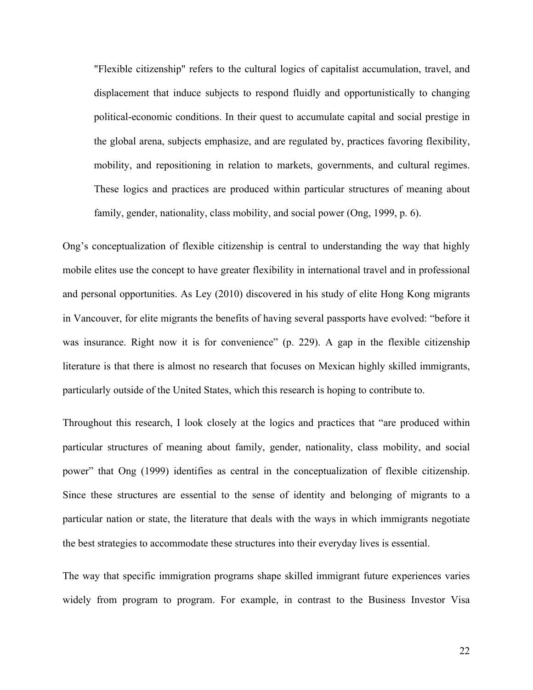"Flexible citizenship" refers to the cultural logics of capitalist accumulation, travel, and displacement that induce subjects to respond fluidly and opportunistically to changing political-economic conditions. In their quest to accumulate capital and social prestige in the global arena, subjects emphasize, and are regulated by, practices favoring flexibility, mobility, and repositioning in relation to markets, governments, and cultural regimes. These logics and practices are produced within particular structures of meaning about family, gender, nationality, class mobility, and social power (Ong, 1999, p. 6).

Ong's conceptualization of flexible citizenship is central to understanding the way that highly mobile elites use the concept to have greater flexibility in international travel and in professional and personal opportunities. As Ley (2010) discovered in his study of elite Hong Kong migrants in Vancouver, for elite migrants the benefits of having several passports have evolved: "before it was insurance. Right now it is for convenience" (p. 229). A gap in the flexible citizenship literature is that there is almost no research that focuses on Mexican highly skilled immigrants, particularly outside of the United States, which this research is hoping to contribute to.

Throughout this research, I look closely at the logics and practices that "are produced within particular structures of meaning about family, gender, nationality, class mobility, and social power" that Ong (1999) identifies as central in the conceptualization of flexible citizenship. Since these structures are essential to the sense of identity and belonging of migrants to a particular nation or state, the literature that deals with the ways in which immigrants negotiate the best strategies to accommodate these structures into their everyday lives is essential.

The way that specific immigration programs shape skilled immigrant future experiences varies widely from program to program. For example, in contrast to the Business Investor Visa

22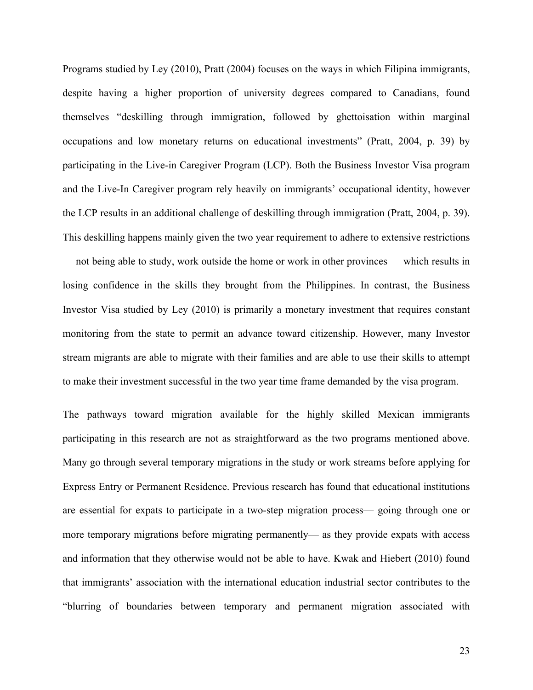Programs studied by Ley (2010), Pratt (2004) focuses on the ways in which Filipina immigrants, despite having a higher proportion of university degrees compared to Canadians, found themselves "deskilling through immigration, followed by ghettoisation within marginal occupations and low monetary returns on educational investments" (Pratt, 2004, p. 39) by participating in the Live-in Caregiver Program (LCP). Both the Business Investor Visa program and the Live-In Caregiver program rely heavily on immigrants' occupational identity, however the LCP results in an additional challenge of deskilling through immigration (Pratt, 2004, p. 39). This deskilling happens mainly given the two year requirement to adhere to extensive restrictions — not being able to study, work outside the home or work in other provinces — which results in losing confidence in the skills they brought from the Philippines. In contrast, the Business Investor Visa studied by Ley (2010) is primarily a monetary investment that requires constant monitoring from the state to permit an advance toward citizenship. However, many Investor stream migrants are able to migrate with their families and are able to use their skills to attempt to make their investment successful in the two year time frame demanded by the visa program.

The pathways toward migration available for the highly skilled Mexican immigrants participating in this research are not as straightforward as the two programs mentioned above. Many go through several temporary migrations in the study or work streams before applying for Express Entry or Permanent Residence. Previous research has found that educational institutions are essential for expats to participate in a two-step migration process— going through one or more temporary migrations before migrating permanently— as they provide expats with access and information that they otherwise would not be able to have. Kwak and Hiebert (2010) found that immigrants' association with the international education industrial sector contributes to the "blurring of boundaries between temporary and permanent migration associated with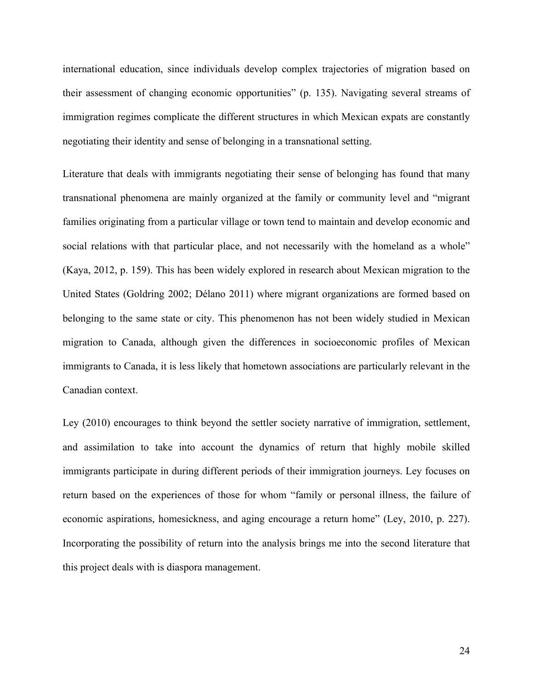international education, since individuals develop complex trajectories of migration based on their assessment of changing economic opportunities" (p. 135). Navigating several streams of immigration regimes complicate the different structures in which Mexican expats are constantly negotiating their identity and sense of belonging in a transnational setting.

Literature that deals with immigrants negotiating their sense of belonging has found that many transnational phenomena are mainly organized at the family or community level and "migrant families originating from a particular village or town tend to maintain and develop economic and social relations with that particular place, and not necessarily with the homeland as a whole" (Kaya, 2012, p. 159). This has been widely explored in research about Mexican migration to the United States (Goldring 2002; Délano 2011) where migrant organizations are formed based on belonging to the same state or city. This phenomenon has not been widely studied in Mexican migration to Canada, although given the differences in socioeconomic profiles of Mexican immigrants to Canada, it is less likely that hometown associations are particularly relevant in the Canadian context.

Ley (2010) encourages to think beyond the settler society narrative of immigration, settlement, and assimilation to take into account the dynamics of return that highly mobile skilled immigrants participate in during different periods of their immigration journeys. Ley focuses on return based on the experiences of those for whom "family or personal illness, the failure of economic aspirations, homesickness, and aging encourage a return home" (Ley, 2010, p. 227). Incorporating the possibility of return into the analysis brings me into the second literature that this project deals with is diaspora management.

24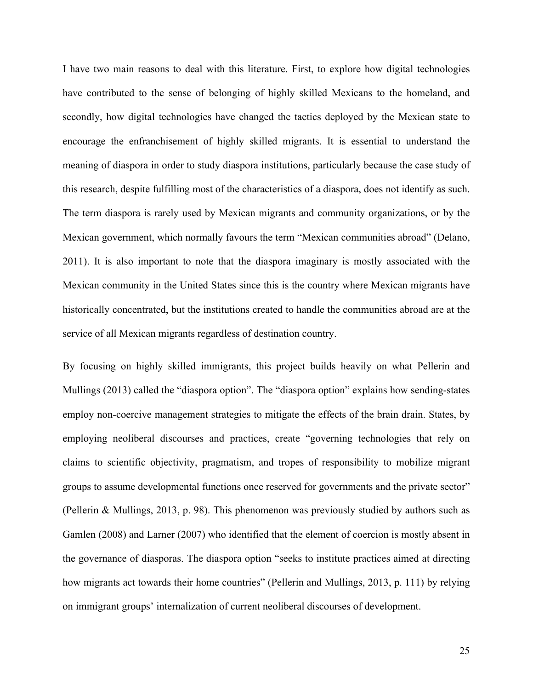I have two main reasons to deal with this literature. First, to explore how digital technologies have contributed to the sense of belonging of highly skilled Mexicans to the homeland, and secondly, how digital technologies have changed the tactics deployed by the Mexican state to encourage the enfranchisement of highly skilled migrants. It is essential to understand the meaning of diaspora in order to study diaspora institutions, particularly because the case study of this research, despite fulfilling most of the characteristics of a diaspora, does not identify as such. The term diaspora is rarely used by Mexican migrants and community organizations, or by the Mexican government, which normally favours the term "Mexican communities abroad" (Delano, 2011). It is also important to note that the diaspora imaginary is mostly associated with the Mexican community in the United States since this is the country where Mexican migrants have historically concentrated, but the institutions created to handle the communities abroad are at the service of all Mexican migrants regardless of destination country.

By focusing on highly skilled immigrants, this project builds heavily on what Pellerin and Mullings (2013) called the "diaspora option". The "diaspora option" explains how sending-states employ non-coercive management strategies to mitigate the effects of the brain drain. States, by employing neoliberal discourses and practices, create "governing technologies that rely on claims to scientific objectivity, pragmatism, and tropes of responsibility to mobilize migrant groups to assume developmental functions once reserved for governments and the private sector" (Pellerin & Mullings, 2013, p. 98). This phenomenon was previously studied by authors such as Gamlen (2008) and Larner (2007) who identified that the element of coercion is mostly absent in the governance of diasporas. The diaspora option "seeks to institute practices aimed at directing how migrants act towards their home countries" (Pellerin and Mullings, 2013, p. 111) by relying on immigrant groups' internalization of current neoliberal discourses of development.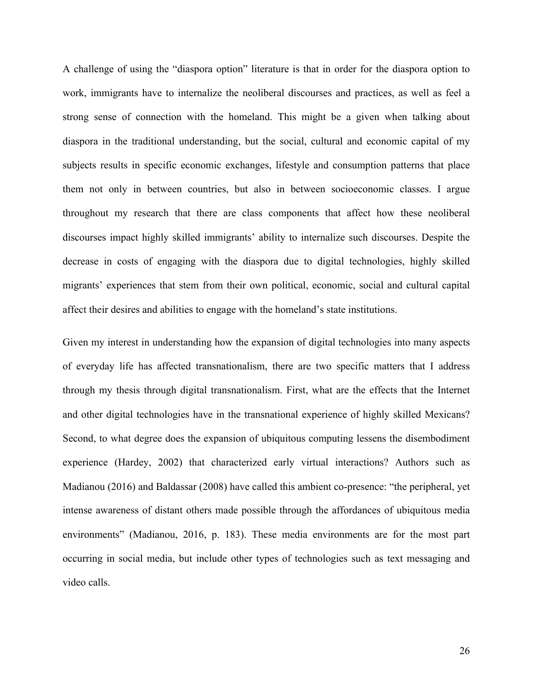A challenge of using the "diaspora option" literature is that in order for the diaspora option to work, immigrants have to internalize the neoliberal discourses and practices, as well as feel a strong sense of connection with the homeland. This might be a given when talking about diaspora in the traditional understanding, but the social, cultural and economic capital of my subjects results in specific economic exchanges, lifestyle and consumption patterns that place them not only in between countries, but also in between socioeconomic classes. I argue throughout my research that there are class components that affect how these neoliberal discourses impact highly skilled immigrants' ability to internalize such discourses. Despite the decrease in costs of engaging with the diaspora due to digital technologies, highly skilled migrants' experiences that stem from their own political, economic, social and cultural capital affect their desires and abilities to engage with the homeland's state institutions.

Given my interest in understanding how the expansion of digital technologies into many aspects of everyday life has affected transnationalism, there are two specific matters that I address through my thesis through digital transnationalism. First, what are the effects that the Internet and other digital technologies have in the transnational experience of highly skilled Mexicans? Second, to what degree does the expansion of ubiquitous computing lessens the disembodiment experience (Hardey, 2002) that characterized early virtual interactions? Authors such as Madianou (2016) and Baldassar (2008) have called this ambient co-presence: "the peripheral, yet intense awareness of distant others made possible through the affordances of ubiquitous media environments" (Madianou, 2016, p. 183). These media environments are for the most part occurring in social media, but include other types of technologies such as text messaging and video calls.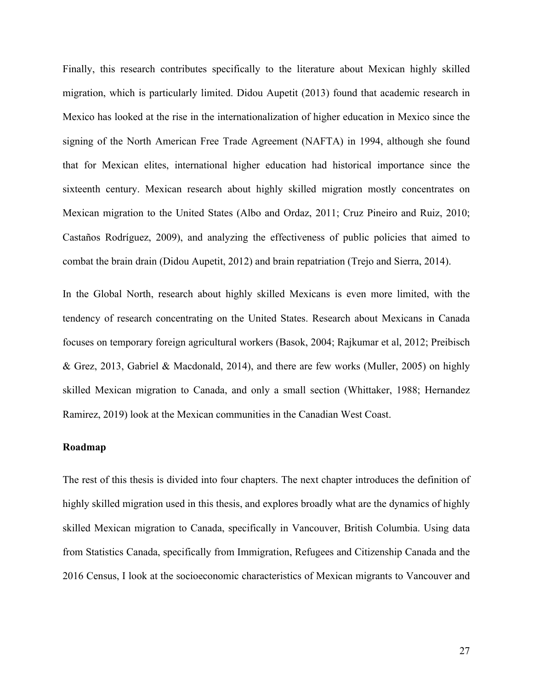Finally, this research contributes specifically to the literature about Mexican highly skilled migration, which is particularly limited. Didou Aupetit (2013) found that academic research in Mexico has looked at the rise in the internationalization of higher education in Mexico since the signing of the North American Free Trade Agreement (NAFTA) in 1994, although she found that for Mexican elites, international higher education had historical importance since the sixteenth century. Mexican research about highly skilled migration mostly concentrates on Mexican migration to the United States (Albo and Ordaz, 2011; Cruz Pineiro and Ruiz, 2010; Castaños Rodríguez, 2009), and analyzing the effectiveness of public policies that aimed to combat the brain drain (Didou Aupetit, 2012) and brain repatriation (Trejo and Sierra, 2014).

In the Global North, research about highly skilled Mexicans is even more limited, with the tendency of research concentrating on the United States. Research about Mexicans in Canada focuses on temporary foreign agricultural workers (Basok, 2004; Rajkumar et al, 2012; Preibisch & Grez, 2013, Gabriel & Macdonald, 2014), and there are few works (Muller, 2005) on highly skilled Mexican migration to Canada, and only a small section (Whittaker, 1988; Hernandez Ramirez, 2019) look at the Mexican communities in the Canadian West Coast.

# **Roadmap**

The rest of this thesis is divided into four chapters. The next chapter introduces the definition of highly skilled migration used in this thesis, and explores broadly what are the dynamics of highly skilled Mexican migration to Canada, specifically in Vancouver, British Columbia. Using data from Statistics Canada, specifically from Immigration, Refugees and Citizenship Canada and the 2016 Census, I look at the socioeconomic characteristics of Mexican migrants to Vancouver and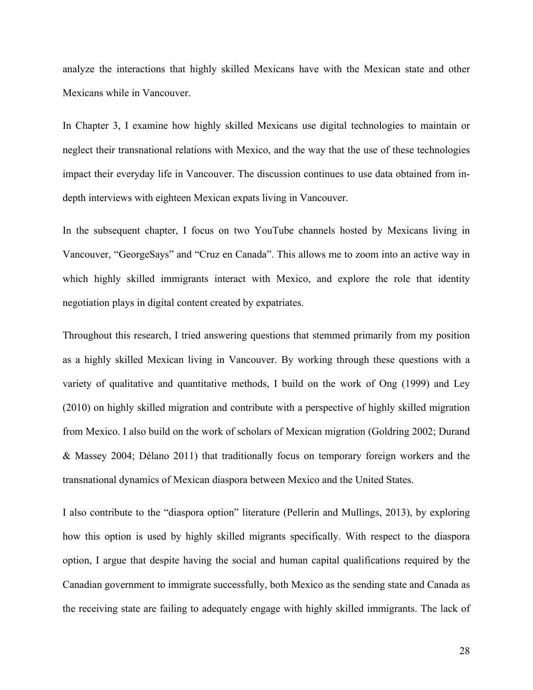analyze the interactions that highly skilled Mexicans have with the Mexican state and other Mexicans while in Vancouver.

In Chapter 3, I examine how highly skilled Mexicans use digital technologies to maintain or neglect their transnational relations with Mexico, and the way that the use of these technologies impact their everyday life in Vancouver. The discussion continues to use data obtained from indepth interviews with eighteen Mexican expats living in Vancouver.

In the subsequent chapter, I focus on two YouTube channels hosted by Mexicans living in Vancouver, "GeorgeSays" and "Cruz en Canada". This allows me to zoom into an active way in which highly skilled immigrants interact with Mexico, and explore the role that identity negotiation plays in digital content created by expatriates.

Throughout this research, I tried answering questions that stemmed primarily from my position as a highly skilled Mexican living in Vancouver. By working through these questions with a variety of qualitative and quantitative methods, I build on the work of Ong (1999) and Ley (2010) on highly skilled migration and contribute with a perspective of highly skilled migration from Mexico. I also build on the work of scholars of Mexican migration (Goldring 2002; Durand & Massey 2004; Délano 2011) that traditionally focus on temporary foreign workers and the transnational dynamics of Mexican diaspora between Mexico and the United States.

I also contribute to the "diaspora option" literature (Pellerin and Mullings, 2013), by exploring how this option is used by highly skilled migrants specifically. With respect to the diaspora option, I argue that despite having the social and human capital qualifications required by the Canadian government to immigrate successfully, both Mexico as the sending state and Canada as the receiving state are failing to adequately engage with highly skilled immigrants. The lack of

28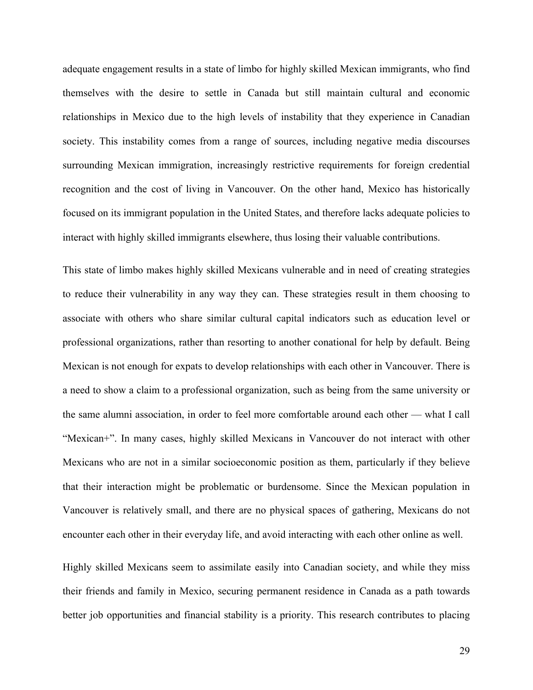adequate engagement results in a state of limbo for highly skilled Mexican immigrants, who find themselves with the desire to settle in Canada but still maintain cultural and economic relationships in Mexico due to the high levels of instability that they experience in Canadian society. This instability comes from a range of sources, including negative media discourses surrounding Mexican immigration, increasingly restrictive requirements for foreign credential recognition and the cost of living in Vancouver. On the other hand, Mexico has historically focused on its immigrant population in the United States, and therefore lacks adequate policies to interact with highly skilled immigrants elsewhere, thus losing their valuable contributions.

This state of limbo makes highly skilled Mexicans vulnerable and in need of creating strategies to reduce their vulnerability in any way they can. These strategies result in them choosing to associate with others who share similar cultural capital indicators such as education level or professional organizations, rather than resorting to another conational for help by default. Being Mexican is not enough for expats to develop relationships with each other in Vancouver. There is a need to show a claim to a professional organization, such as being from the same university or the same alumni association, in order to feel more comfortable around each other — what I call "Mexican+". In many cases, highly skilled Mexicans in Vancouver do not interact with other Mexicans who are not in a similar socioeconomic position as them, particularly if they believe that their interaction might be problematic or burdensome. Since the Mexican population in Vancouver is relatively small, and there are no physical spaces of gathering, Mexicans do not encounter each other in their everyday life, and avoid interacting with each other online as well.

Highly skilled Mexicans seem to assimilate easily into Canadian society, and while they miss their friends and family in Mexico, securing permanent residence in Canada as a path towards better job opportunities and financial stability is a priority. This research contributes to placing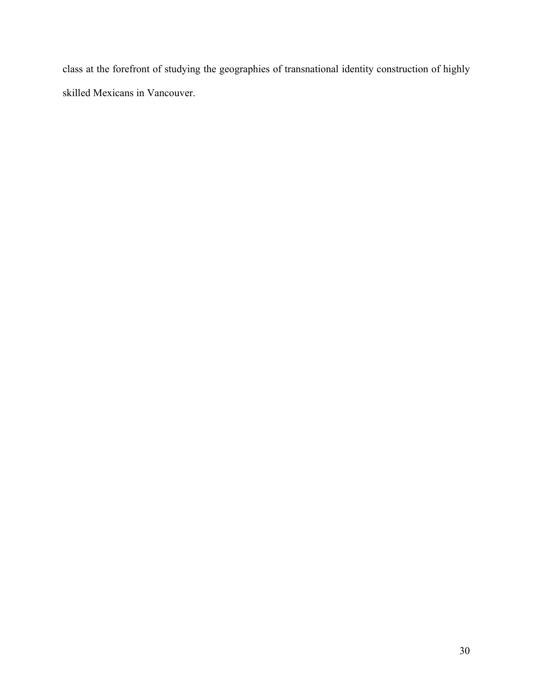class at the forefront of studying the geographies of transnational identity construction of highly skilled Mexicans in Vancouver.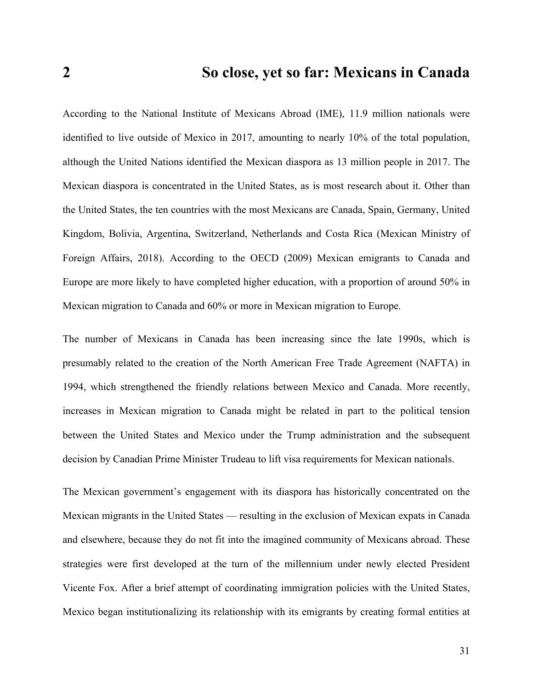According to the National Institute of Mexicans Abroad (IME), 11.9 million nationals were identified to live outside of Mexico in 2017, amounting to nearly 10% of the total population, although the United Nations identified the Mexican diaspora as 13 million people in 2017. The Mexican diaspora is concentrated in the United States, as is most research about it. Other than the United States, the ten countries with the most Mexicans are Canada, Spain, Germany, United Kingdom, Bolivia, Argentina, Switzerland, Netherlands and Costa Rica (Mexican Ministry of Foreign Affairs, 2018). According to the OECD (2009) Mexican emigrants to Canada and Europe are more likely to have completed higher education, with a proportion of around 50% in Mexican migration to Canada and 60% or more in Mexican migration to Europe.

The number of Mexicans in Canada has been increasing since the late 1990s, which is presumably related to the creation of the North American Free Trade Agreement (NAFTA) in 1994, which strengthened the friendly relations between Mexico and Canada. More recently, increases in Mexican migration to Canada might be related in part to the political tension between the United States and Mexico under the Trump administration and the subsequent decision by Canadian Prime Minister Trudeau to lift visa requirements for Mexican nationals.

The Mexican government's engagement with its diaspora has historically concentrated on the Mexican migrants in the United States — resulting in the exclusion of Mexican expats in Canada and elsewhere, because they do not fit into the imagined community of Mexicans abroad. These strategies were first developed at the turn of the millennium under newly elected President Vicente Fox. After a brief attempt of coordinating immigration policies with the United States, Mexico began institutionalizing its relationship with its emigrants by creating formal entities at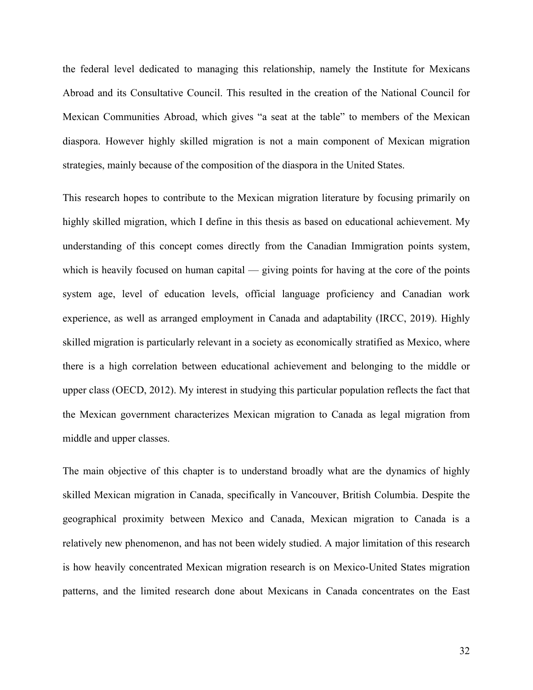the federal level dedicated to managing this relationship, namely the Institute for Mexicans Abroad and its Consultative Council. This resulted in the creation of the National Council for Mexican Communities Abroad, which gives "a seat at the table" to members of the Mexican diaspora. However highly skilled migration is not a main component of Mexican migration strategies, mainly because of the composition of the diaspora in the United States.

This research hopes to contribute to the Mexican migration literature by focusing primarily on highly skilled migration, which I define in this thesis as based on educational achievement. My understanding of this concept comes directly from the Canadian Immigration points system, which is heavily focused on human capital — giving points for having at the core of the points system age, level of education levels, official language proficiency and Canadian work experience, as well as arranged employment in Canada and adaptability (IRCC, 2019). Highly skilled migration is particularly relevant in a society as economically stratified as Mexico, where there is a high correlation between educational achievement and belonging to the middle or upper class (OECD, 2012). My interest in studying this particular population reflects the fact that the Mexican government characterizes Mexican migration to Canada as legal migration from middle and upper classes.

The main objective of this chapter is to understand broadly what are the dynamics of highly skilled Mexican migration in Canada, specifically in Vancouver, British Columbia. Despite the geographical proximity between Mexico and Canada, Mexican migration to Canada is a relatively new phenomenon, and has not been widely studied. A major limitation of this research is how heavily concentrated Mexican migration research is on Mexico-United States migration patterns, and the limited research done about Mexicans in Canada concentrates on the East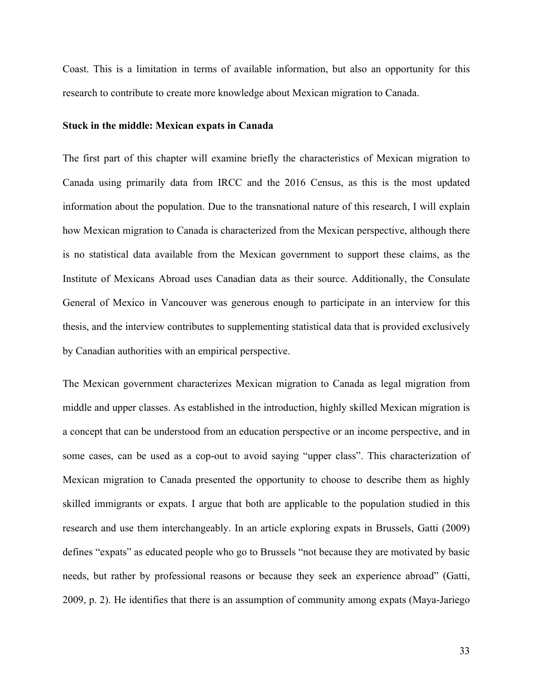Coast. This is a limitation in terms of available information, but also an opportunity for this research to contribute to create more knowledge about Mexican migration to Canada.

#### **Stuck in the middle: Mexican expats in Canada**

The first part of this chapter will examine briefly the characteristics of Mexican migration to Canada using primarily data from IRCC and the 2016 Census, as this is the most updated information about the population. Due to the transnational nature of this research, I will explain how Mexican migration to Canada is characterized from the Mexican perspective, although there is no statistical data available from the Mexican government to support these claims, as the Institute of Mexicans Abroad uses Canadian data as their source. Additionally, the Consulate General of Mexico in Vancouver was generous enough to participate in an interview for this thesis, and the interview contributes to supplementing statistical data that is provided exclusively by Canadian authorities with an empirical perspective.

The Mexican government characterizes Mexican migration to Canada as legal migration from middle and upper classes. As established in the introduction, highly skilled Mexican migration is a concept that can be understood from an education perspective or an income perspective, and in some cases, can be used as a cop-out to avoid saying "upper class". This characterization of Mexican migration to Canada presented the opportunity to choose to describe them as highly skilled immigrants or expats. I argue that both are applicable to the population studied in this research and use them interchangeably. In an article exploring expats in Brussels, Gatti (2009) defines "expats" as educated people who go to Brussels "not because they are motivated by basic needs, but rather by professional reasons or because they seek an experience abroad" (Gatti, 2009, p. 2). He identifies that there is an assumption of community among expats (Maya-Jariego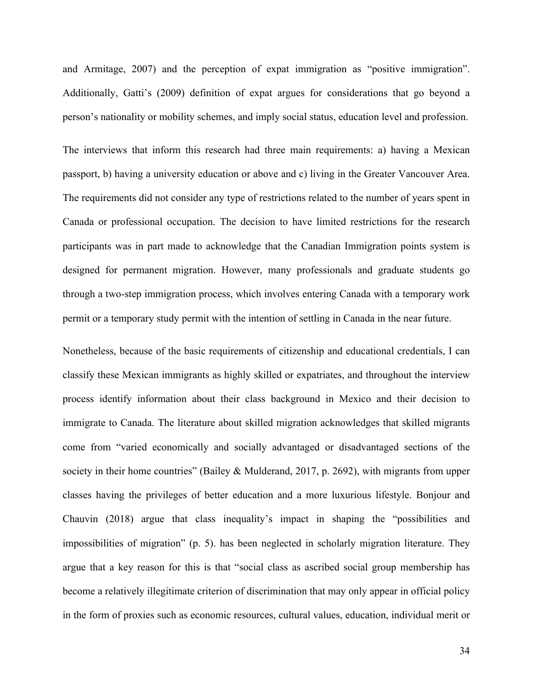and Armitage, 2007) and the perception of expat immigration as "positive immigration". Additionally, Gatti's (2009) definition of expat argues for considerations that go beyond a person's nationality or mobility schemes, and imply social status, education level and profession.

The interviews that inform this research had three main requirements: a) having a Mexican passport, b) having a university education or above and c) living in the Greater Vancouver Area. The requirements did not consider any type of restrictions related to the number of years spent in Canada or professional occupation. The decision to have limited restrictions for the research participants was in part made to acknowledge that the Canadian Immigration points system is designed for permanent migration. However, many professionals and graduate students go through a two-step immigration process, which involves entering Canada with a temporary work permit or a temporary study permit with the intention of settling in Canada in the near future.

Nonetheless, because of the basic requirements of citizenship and educational credentials, I can classify these Mexican immigrants as highly skilled or expatriates, and throughout the interview process identify information about their class background in Mexico and their decision to immigrate to Canada. The literature about skilled migration acknowledges that skilled migrants come from "varied economically and socially advantaged or disadvantaged sections of the society in their home countries" (Bailey & Mulderand, 2017, p. 2692), with migrants from upper classes having the privileges of better education and a more luxurious lifestyle. Bonjour and Chauvin (2018) argue that class inequality's impact in shaping the "possibilities and impossibilities of migration" (p. 5). has been neglected in scholarly migration literature. They argue that a key reason for this is that "social class as ascribed social group membership has become a relatively illegitimate criterion of discrimination that may only appear in official policy in the form of proxies such as economic resources, cultural values, education, individual merit or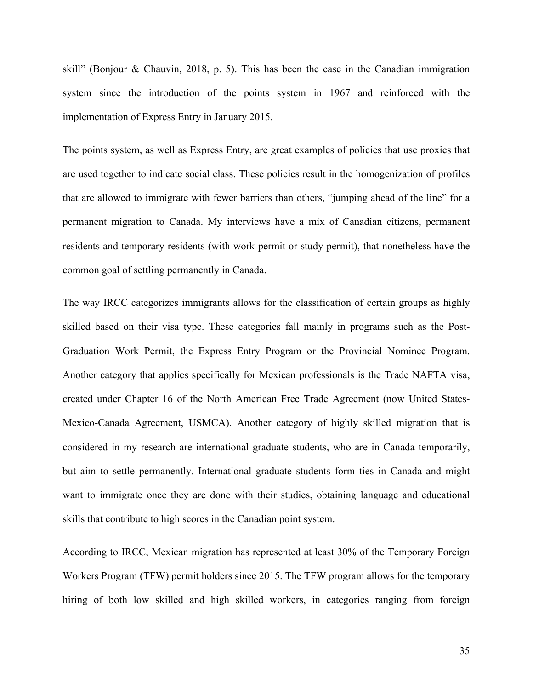skill" (Bonjour & Chauvin, 2018, p. 5). This has been the case in the Canadian immigration system since the introduction of the points system in 1967 and reinforced with the implementation of Express Entry in January 2015.

The points system, as well as Express Entry, are great examples of policies that use proxies that are used together to indicate social class. These policies result in the homogenization of profiles that are allowed to immigrate with fewer barriers than others, "jumping ahead of the line" for a permanent migration to Canada. My interviews have a mix of Canadian citizens, permanent residents and temporary residents (with work permit or study permit), that nonetheless have the common goal of settling permanently in Canada.

The way IRCC categorizes immigrants allows for the classification of certain groups as highly skilled based on their visa type. These categories fall mainly in programs such as the Post-Graduation Work Permit, the Express Entry Program or the Provincial Nominee Program. Another category that applies specifically for Mexican professionals is the Trade NAFTA visa, created under Chapter 16 of the North American Free Trade Agreement (now United States-Mexico-Canada Agreement, USMCA). Another category of highly skilled migration that is considered in my research are international graduate students, who are in Canada temporarily, but aim to settle permanently. International graduate students form ties in Canada and might want to immigrate once they are done with their studies, obtaining language and educational skills that contribute to high scores in the Canadian point system.

According to IRCC, Mexican migration has represented at least 30% of the Temporary Foreign Workers Program (TFW) permit holders since 2015. The TFW program allows for the temporary hiring of both low skilled and high skilled workers, in categories ranging from foreign

35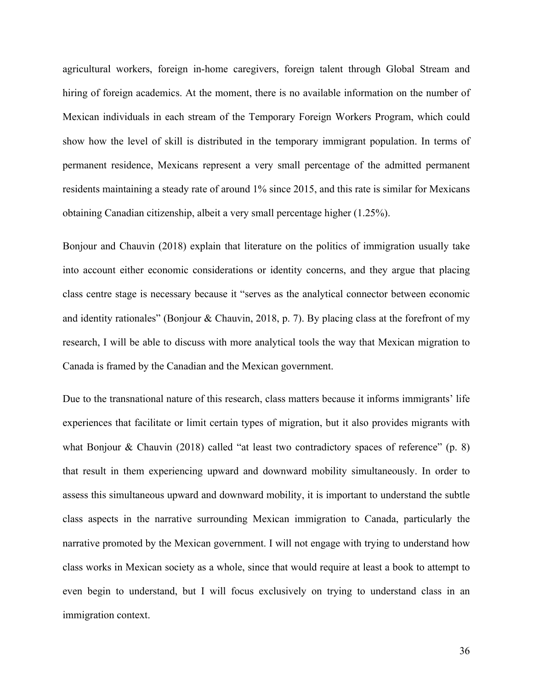agricultural workers, foreign in-home caregivers, foreign talent through Global Stream and hiring of foreign academics. At the moment, there is no available information on the number of Mexican individuals in each stream of the Temporary Foreign Workers Program, which could show how the level of skill is distributed in the temporary immigrant population. In terms of permanent residence, Mexicans represent a very small percentage of the admitted permanent residents maintaining a steady rate of around 1% since 2015, and this rate is similar for Mexicans obtaining Canadian citizenship, albeit a very small percentage higher (1.25%).

Bonjour and Chauvin (2018) explain that literature on the politics of immigration usually take into account either economic considerations or identity concerns, and they argue that placing class centre stage is necessary because it "serves as the analytical connector between economic and identity rationales" (Bonjour & Chauvin, 2018, p. 7). By placing class at the forefront of my research, I will be able to discuss with more analytical tools the way that Mexican migration to Canada is framed by the Canadian and the Mexican government.

Due to the transnational nature of this research, class matters because it informs immigrants' life experiences that facilitate or limit certain types of migration, but it also provides migrants with what Bonjour & Chauvin (2018) called "at least two contradictory spaces of reference" (p. 8) that result in them experiencing upward and downward mobility simultaneously. In order to assess this simultaneous upward and downward mobility, it is important to understand the subtle class aspects in the narrative surrounding Mexican immigration to Canada, particularly the narrative promoted by the Mexican government. I will not engage with trying to understand how class works in Mexican society as a whole, since that would require at least a book to attempt to even begin to understand, but I will focus exclusively on trying to understand class in an immigration context.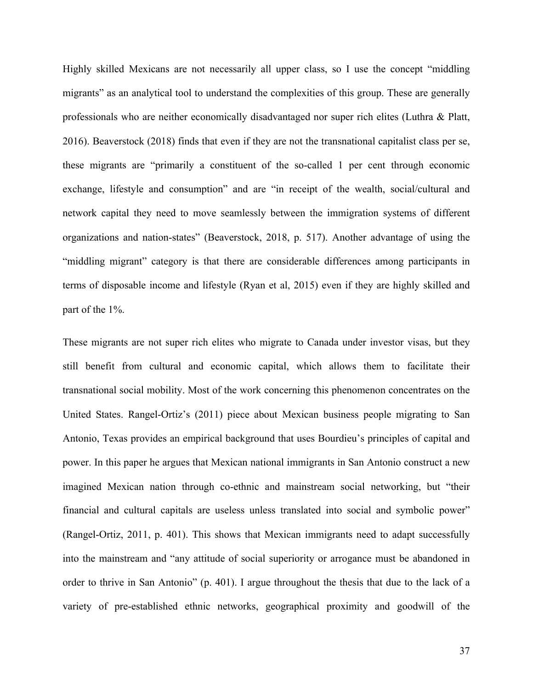Highly skilled Mexicans are not necessarily all upper class, so I use the concept "middling migrants" as an analytical tool to understand the complexities of this group. These are generally professionals who are neither economically disadvantaged nor super rich elites (Luthra & Platt, 2016). Beaverstock (2018) finds that even if they are not the transnational capitalist class per se, these migrants are "primarily a constituent of the so-called 1 per cent through economic exchange, lifestyle and consumption" and are "in receipt of the wealth, social/cultural and network capital they need to move seamlessly between the immigration systems of different organizations and nation-states" (Beaverstock, 2018, p. 517). Another advantage of using the "middling migrant" category is that there are considerable differences among participants in terms of disposable income and lifestyle (Ryan et al, 2015) even if they are highly skilled and part of the 1%.

These migrants are not super rich elites who migrate to Canada under investor visas, but they still benefit from cultural and economic capital, which allows them to facilitate their transnational social mobility. Most of the work concerning this phenomenon concentrates on the United States. Rangel-Ortiz's (2011) piece about Mexican business people migrating to San Antonio, Texas provides an empirical background that uses Bourdieu's principles of capital and power. In this paper he argues that Mexican national immigrants in San Antonio construct a new imagined Mexican nation through co-ethnic and mainstream social networking, but "their financial and cultural capitals are useless unless translated into social and symbolic power" (Rangel-Ortiz, 2011, p. 401). This shows that Mexican immigrants need to adapt successfully into the mainstream and "any attitude of social superiority or arrogance must be abandoned in order to thrive in San Antonio" (p. 401). I argue throughout the thesis that due to the lack of a variety of pre-established ethnic networks, geographical proximity and goodwill of the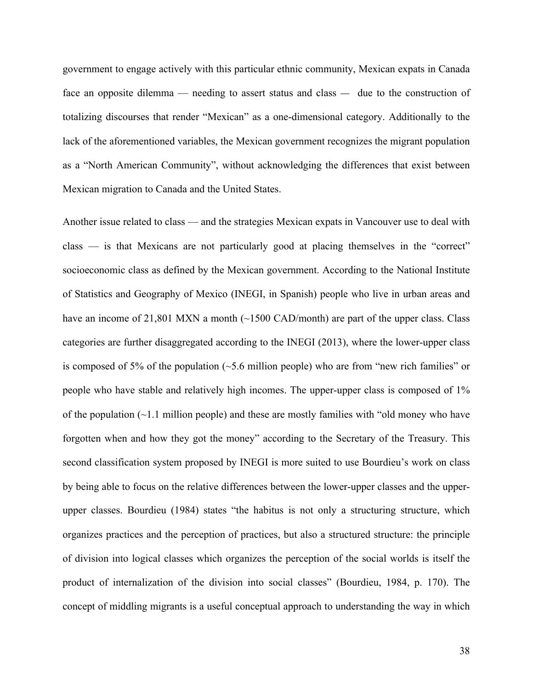government to engage actively with this particular ethnic community, Mexican expats in Canada face an opposite dilemma — needing to assert status and class — due to the construction of totalizing discourses that render "Mexican" as a one-dimensional category. Additionally to the lack of the aforementioned variables, the Mexican government recognizes the migrant population as a "North American Community", without acknowledging the differences that exist between Mexican migration to Canada and the United States.

Another issue related to class — and the strategies Mexican expats in Vancouver use to deal with class — is that Mexicans are not particularly good at placing themselves in the "correct" socioeconomic class as defined by the Mexican government. According to the National Institute of Statistics and Geography of Mexico (INEGI, in Spanish) people who live in urban areas and have an income of 21,801 MXN a month  $(\sim 1500 \text{ CAD/mol})$  are part of the upper class. Class categories are further disaggregated according to the INEGI (2013), where the lower-upper class is composed of 5% of the population  $(\sim 5.6$  million people) who are from "new rich families" or people who have stable and relatively high incomes. The upper-upper class is composed of 1% of the population (~1.1 million people) and these are mostly families with "old money who have forgotten when and how they got the money" according to the Secretary of the Treasury. This second classification system proposed by INEGI is more suited to use Bourdieu's work on class by being able to focus on the relative differences between the lower-upper classes and the upperupper classes. Bourdieu (1984) states "the habitus is not only a structuring structure, which organizes practices and the perception of practices, but also a structured structure: the principle of division into logical classes which organizes the perception of the social worlds is itself the product of internalization of the division into social classes" (Bourdieu, 1984, p. 170). The concept of middling migrants is a useful conceptual approach to understanding the way in which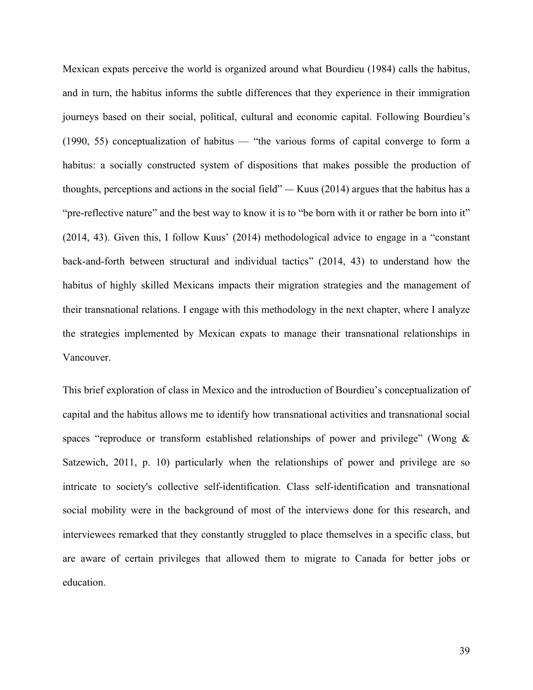Mexican expats perceive the world is organized around what Bourdieu (1984) calls the habitus, and in turn, the habitus informs the subtle differences that they experience in their immigration journeys based on their social, political, cultural and economic capital. Following Bourdieu's (1990, 55) conceptualization of habitus — "the various forms of capital converge to form a habitus: a socially constructed system of dispositions that makes possible the production of thoughts, perceptions and actions in the social field" — Kuus (2014) argues that the habitus has a "pre-reflective nature" and the best way to know it is to "be born with it or rather be born into it" (2014, 43). Given this, I follow Kuus' (2014) methodological advice to engage in a "constant back-and-forth between structural and individual tactics" (2014, 43) to understand how the habitus of highly skilled Mexicans impacts their migration strategies and the management of their transnational relations. I engage with this methodology in the next chapter, where I analyze the strategies implemented by Mexican expats to manage their transnational relationships in Vancouver.

This brief exploration of class in Mexico and the introduction of Bourdieu's conceptualization of capital and the habitus allows me to identify how transnational activities and transnational social spaces "reproduce or transform established relationships of power and privilege" (Wong & Satzewich, 2011, p. 10) particularly when the relationships of power and privilege are so intricate to society's collective self-identification. Class self-identification and transnational social mobility were in the background of most of the interviews done for this research, and interviewees remarked that they constantly struggled to place themselves in a specific class, but are aware of certain privileges that allowed them to migrate to Canada for better jobs or education.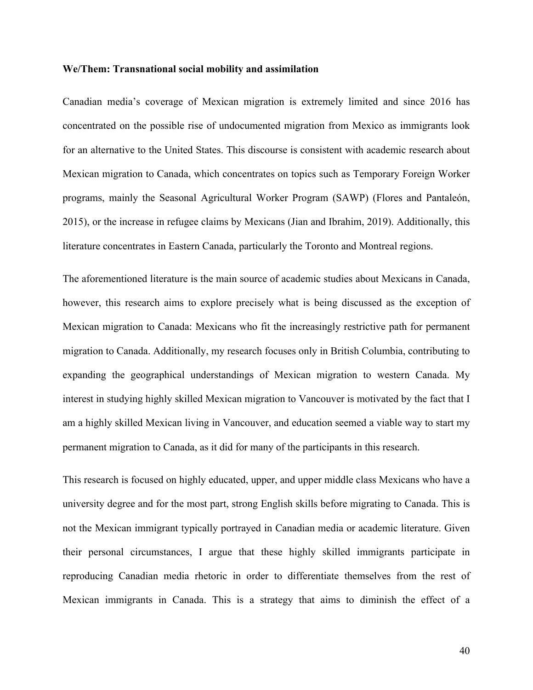#### **We/Them: Transnational social mobility and assimilation**

Canadian media's coverage of Mexican migration is extremely limited and since 2016 has concentrated on the possible rise of undocumented migration from Mexico as immigrants look for an alternative to the United States. This discourse is consistent with academic research about Mexican migration to Canada, which concentrates on topics such as Temporary Foreign Worker programs, mainly the Seasonal Agricultural Worker Program (SAWP) (Flores and Pantaleón, 2015), or the increase in refugee claims by Mexicans (Jian and Ibrahim, 2019). Additionally, this literature concentrates in Eastern Canada, particularly the Toronto and Montreal regions.

The aforementioned literature is the main source of academic studies about Mexicans in Canada, however, this research aims to explore precisely what is being discussed as the exception of Mexican migration to Canada: Mexicans who fit the increasingly restrictive path for permanent migration to Canada. Additionally, my research focuses only in British Columbia, contributing to expanding the geographical understandings of Mexican migration to western Canada. My interest in studying highly skilled Mexican migration to Vancouver is motivated by the fact that I am a highly skilled Mexican living in Vancouver, and education seemed a viable way to start my permanent migration to Canada, as it did for many of the participants in this research.

This research is focused on highly educated, upper, and upper middle class Mexicans who have a university degree and for the most part, strong English skills before migrating to Canada. This is not the Mexican immigrant typically portrayed in Canadian media or academic literature. Given their personal circumstances, I argue that these highly skilled immigrants participate in reproducing Canadian media rhetoric in order to differentiate themselves from the rest of Mexican immigrants in Canada. This is a strategy that aims to diminish the effect of a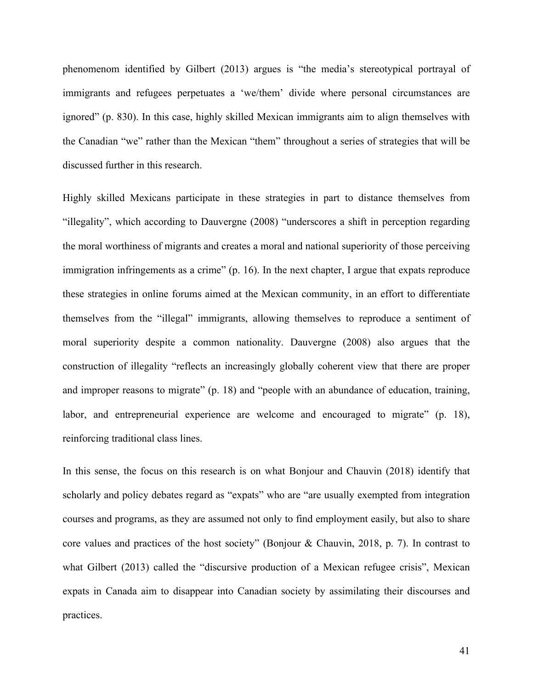phenomenom identified by Gilbert (2013) argues is "the media's stereotypical portrayal of immigrants and refugees perpetuates a 'we/them' divide where personal circumstances are ignored" (p. 830). In this case, highly skilled Mexican immigrants aim to align themselves with the Canadian "we" rather than the Mexican "them" throughout a series of strategies that will be discussed further in this research.

Highly skilled Mexicans participate in these strategies in part to distance themselves from "illegality", which according to Dauvergne (2008) "underscores a shift in perception regarding the moral worthiness of migrants and creates a moral and national superiority of those perceiving immigration infringements as a crime" (p. 16). In the next chapter, I argue that expats reproduce these strategies in online forums aimed at the Mexican community, in an effort to differentiate themselves from the "illegal" immigrants, allowing themselves to reproduce a sentiment of moral superiority despite a common nationality. Dauvergne (2008) also argues that the construction of illegality "reflects an increasingly globally coherent view that there are proper and improper reasons to migrate" (p. 18) and "people with an abundance of education, training, labor, and entrepreneurial experience are welcome and encouraged to migrate" (p. 18), reinforcing traditional class lines.

In this sense, the focus on this research is on what Bonjour and Chauvin (2018) identify that scholarly and policy debates regard as "expats" who are "are usually exempted from integration courses and programs, as they are assumed not only to find employment easily, but also to share core values and practices of the host society" (Bonjour & Chauvin, 2018, p. 7). In contrast to what Gilbert (2013) called the "discursive production of a Mexican refugee crisis", Mexican expats in Canada aim to disappear into Canadian society by assimilating their discourses and practices.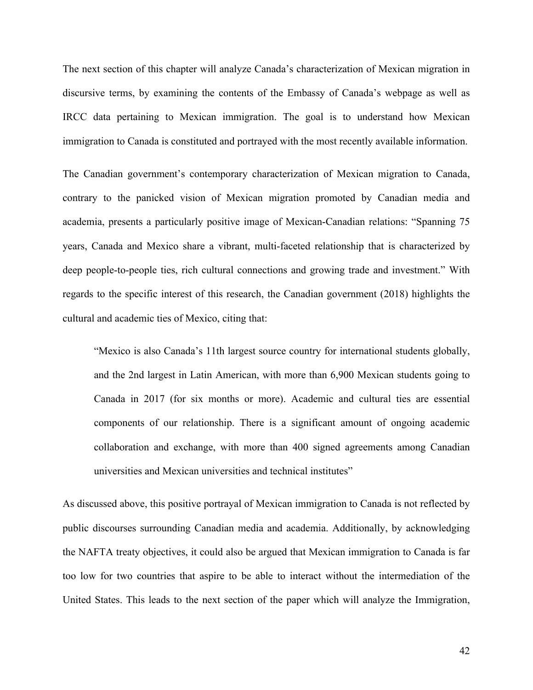The next section of this chapter will analyze Canada's characterization of Mexican migration in discursive terms, by examining the contents of the Embassy of Canada's webpage as well as IRCC data pertaining to Mexican immigration. The goal is to understand how Mexican immigration to Canada is constituted and portrayed with the most recently available information.

The Canadian government's contemporary characterization of Mexican migration to Canada, contrary to the panicked vision of Mexican migration promoted by Canadian media and academia, presents a particularly positive image of Mexican-Canadian relations: "Spanning 75 years, Canada and Mexico share a vibrant, multi-faceted relationship that is characterized by deep people-to-people ties, rich cultural connections and growing trade and investment." With regards to the specific interest of this research, the Canadian government (2018) highlights the cultural and academic ties of Mexico, citing that:

"Mexico is also Canada's 11th largest source country for international students globally, and the 2nd largest in Latin American, with more than 6,900 Mexican students going to Canada in 2017 (for six months or more). Academic and cultural ties are essential components of our relationship. There is a significant amount of ongoing academic collaboration and exchange, with more than 400 signed agreements among Canadian universities and Mexican universities and technical institutes"

As discussed above, this positive portrayal of Mexican immigration to Canada is not reflected by public discourses surrounding Canadian media and academia. Additionally, by acknowledging the NAFTA treaty objectives, it could also be argued that Mexican immigration to Canada is far too low for two countries that aspire to be able to interact without the intermediation of the United States. This leads to the next section of the paper which will analyze the Immigration,

42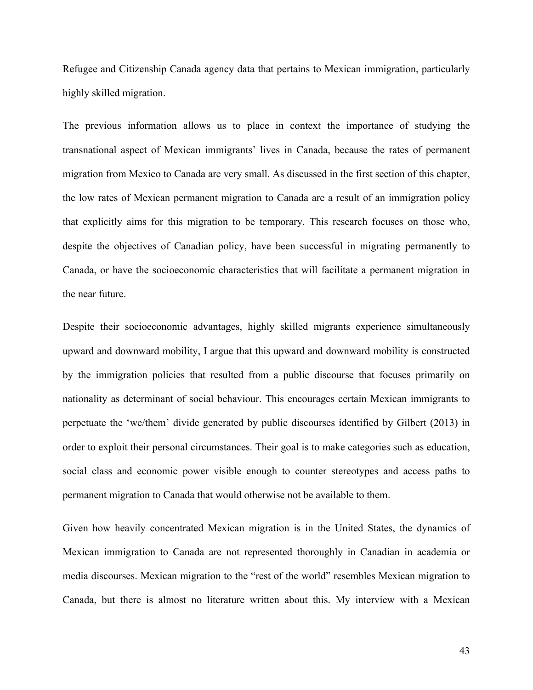Refugee and Citizenship Canada agency data that pertains to Mexican immigration, particularly highly skilled migration.

The previous information allows us to place in context the importance of studying the transnational aspect of Mexican immigrants' lives in Canada, because the rates of permanent migration from Mexico to Canada are very small. As discussed in the first section of this chapter, the low rates of Mexican permanent migration to Canada are a result of an immigration policy that explicitly aims for this migration to be temporary. This research focuses on those who, despite the objectives of Canadian policy, have been successful in migrating permanently to Canada, or have the socioeconomic characteristics that will facilitate a permanent migration in the near future.

Despite their socioeconomic advantages, highly skilled migrants experience simultaneously upward and downward mobility, I argue that this upward and downward mobility is constructed by the immigration policies that resulted from a public discourse that focuses primarily on nationality as determinant of social behaviour. This encourages certain Mexican immigrants to perpetuate the 'we/them' divide generated by public discourses identified by Gilbert (2013) in order to exploit their personal circumstances. Their goal is to make categories such as education, social class and economic power visible enough to counter stereotypes and access paths to permanent migration to Canada that would otherwise not be available to them.

Given how heavily concentrated Mexican migration is in the United States, the dynamics of Mexican immigration to Canada are not represented thoroughly in Canadian in academia or media discourses. Mexican migration to the "rest of the world" resembles Mexican migration to Canada, but there is almost no literature written about this. My interview with a Mexican

43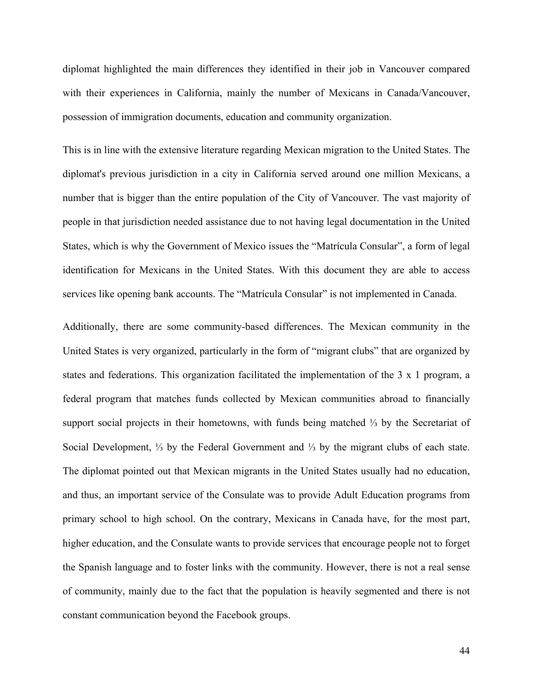diplomat highlighted the main differences they identified in their job in Vancouver compared with their experiences in California, mainly the number of Mexicans in Canada/Vancouver, possession of immigration documents, education and community organization.

This is in line with the extensive literature regarding Mexican migration to the United States. The diplomat's previous jurisdiction in a city in California served around one million Mexicans, a number that is bigger than the entire population of the City of Vancouver. The vast majority of people in that jurisdiction needed assistance due to not having legal documentation in the United States, which is why the Government of Mexico issues the "Matrícula Consular", a form of legal identification for Mexicans in the United States. With this document they are able to access services like opening bank accounts. The "Matrícula Consular" is not implemented in Canada.

Additionally, there are some community-based differences. The Mexican community in the United States is very organized, particularly in the form of "migrant clubs" that are organized by states and federations. This organization facilitated the implementation of the 3 x 1 program, a federal program that matches funds collected by Mexican communities abroad to financially support social projects in their hometowns, with funds being matched ⅓ by the Secretariat of Social Development, ⅓ by the Federal Government and ⅓ by the migrant clubs of each state. The diplomat pointed out that Mexican migrants in the United States usually had no education, and thus, an important service of the Consulate was to provide Adult Education programs from primary school to high school. On the contrary, Mexicans in Canada have, for the most part, higher education, and the Consulate wants to provide services that encourage people not to forget the Spanish language and to foster links with the community. However, there is not a real sense of community, mainly due to the fact that the population is heavily segmented and there is not constant communication beyond the Facebook groups.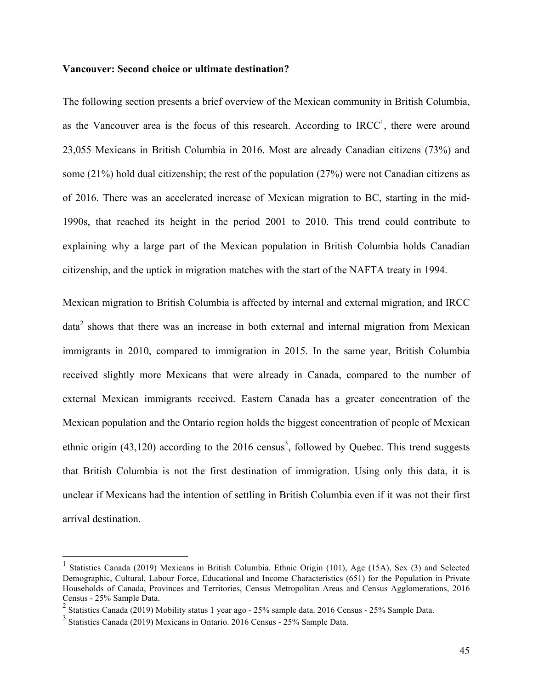## **Vancouver: Second choice or ultimate destination?**

The following section presents a brief overview of the Mexican community in British Columbia, as the Vancouver area is the focus of this research. According to  $IRCC<sup>1</sup>$ , there were around 23,055 Mexicans in British Columbia in 2016. Most are already Canadian citizens (73%) and some (21%) hold dual citizenship; the rest of the population (27%) were not Canadian citizens as of 2016. There was an accelerated increase of Mexican migration to BC, starting in the mid-1990s, that reached its height in the period 2001 to 2010. This trend could contribute to explaining why a large part of the Mexican population in British Columbia holds Canadian citizenship, and the uptick in migration matches with the start of the NAFTA treaty in 1994.

Mexican migration to British Columbia is affected by internal and external migration, and IRCC  $data<sup>2</sup>$  shows that there was an increase in both external and internal migration from Mexican immigrants in 2010, compared to immigration in 2015. In the same year, British Columbia received slightly more Mexicans that were already in Canada, compared to the number of external Mexican immigrants received. Eastern Canada has a greater concentration of the Mexican population and the Ontario region holds the biggest concentration of people of Mexican ethnic origin  $(43,120)$  according to the 2016 census<sup>3</sup>, followed by Quebec. This trend suggests that British Columbia is not the first destination of immigration. Using only this data, it is unclear if Mexicans had the intention of settling in British Columbia even if it was not their first arrival destination.

 <sup>1</sup> Statistics Canada (2019) Mexicans in British Columbia. Ethnic Origin (101), Age (15A), Sex (3) and Selected Demographic, Cultural, Labour Force, Educational and Income Characteristics (651) for the Population in Private Households of Canada, Provinces and Territories, Census Metropolitan Areas and Census Agglomerations, 2016 Census - 25% Sample Data.

<sup>&</sup>lt;sup>2</sup> Statistics Canada (2019) Mobility status 1 year ago - 25% sample data. 2016 Census - 25% Sample Data.

<sup>3</sup> Statistics Canada (2019) Mexicans in Ontario. 2016 Census - 25% Sample Data.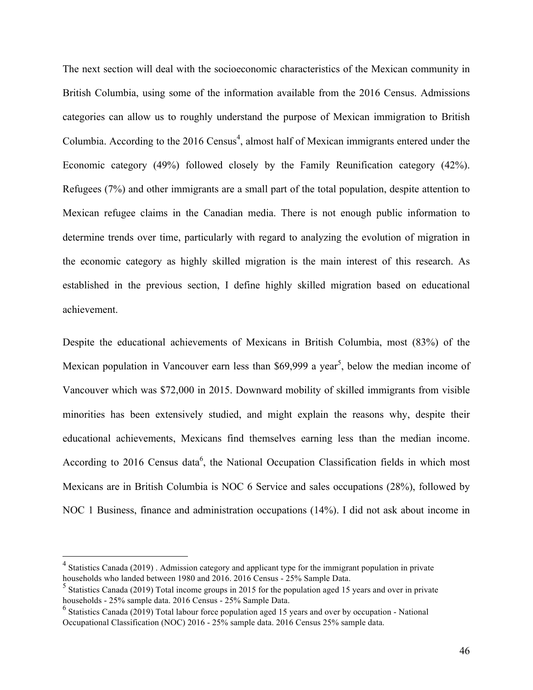The next section will deal with the socioeconomic characteristics of the Mexican community in British Columbia, using some of the information available from the 2016 Census. Admissions categories can allow us to roughly understand the purpose of Mexican immigration to British Columbia. According to the  $2016$  Census<sup>4</sup>, almost half of Mexican immigrants entered under the Economic category (49%) followed closely by the Family Reunification category (42%). Refugees (7%) and other immigrants are a small part of the total population, despite attention to Mexican refugee claims in the Canadian media. There is not enough public information to determine trends over time, particularly with regard to analyzing the evolution of migration in the economic category as highly skilled migration is the main interest of this research. As established in the previous section, I define highly skilled migration based on educational achievement.

Despite the educational achievements of Mexicans in British Columbia, most (83%) of the Mexican population in Vancouver earn less than \$69,999 a year<sup>5</sup>, below the median income of Vancouver which was \$72,000 in 2015. Downward mobility of skilled immigrants from visible minorities has been extensively studied, and might explain the reasons why, despite their educational achievements, Mexicans find themselves earning less than the median income. According to 2016 Census data<sup>6</sup>, the National Occupation Classification fields in which most Mexicans are in British Columbia is NOC 6 Service and sales occupations (28%), followed by NOC 1 Business, finance and administration occupations (14%). I did not ask about income in

<sup>&</sup>lt;sup>4</sup> Statistics Canada (2019). Admission category and applicant type for the immigrant population in private households who landed between 1980 and 2016. 2016 Census - 25% Sample Data.

<sup>&</sup>lt;sup>5</sup> Statistics Canada (2019) Total income groups in 2015 for the population aged 15 years and over in private households - 25% sample data. 2016 Census - 25% Sample Data.

<sup>&</sup>lt;sup>6</sup> Statistics Canada (2019) Total labour force population aged 15 years and over by occupation - National Occupational Classification (NOC) 2016 - 25% sample data. 2016 Census 25% sample data.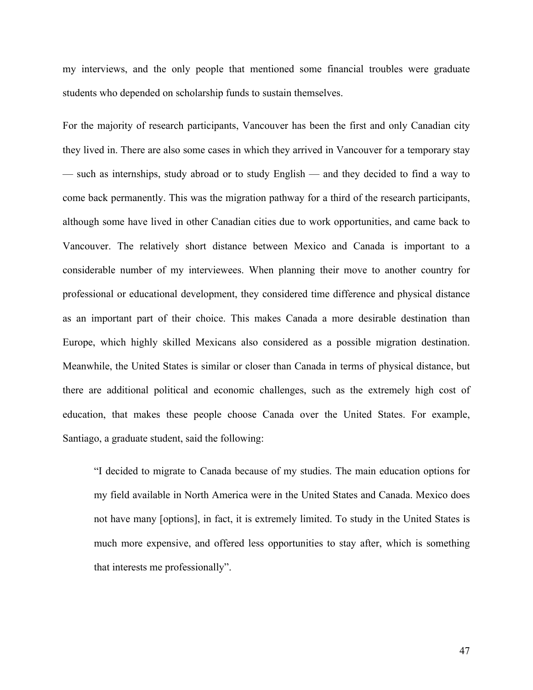my interviews, and the only people that mentioned some financial troubles were graduate students who depended on scholarship funds to sustain themselves.

For the majority of research participants, Vancouver has been the first and only Canadian city they lived in. There are also some cases in which they arrived in Vancouver for a temporary stay — such as internships, study abroad or to study English — and they decided to find a way to come back permanently. This was the migration pathway for a third of the research participants, although some have lived in other Canadian cities due to work opportunities, and came back to Vancouver. The relatively short distance between Mexico and Canada is important to a considerable number of my interviewees. When planning their move to another country for professional or educational development, they considered time difference and physical distance as an important part of their choice. This makes Canada a more desirable destination than Europe, which highly skilled Mexicans also considered as a possible migration destination. Meanwhile, the United States is similar or closer than Canada in terms of physical distance, but there are additional political and economic challenges, such as the extremely high cost of education, that makes these people choose Canada over the United States. For example, Santiago, a graduate student, said the following:

"I decided to migrate to Canada because of my studies. The main education options for my field available in North America were in the United States and Canada. Mexico does not have many [options], in fact, it is extremely limited. To study in the United States is much more expensive, and offered less opportunities to stay after, which is something that interests me professionally".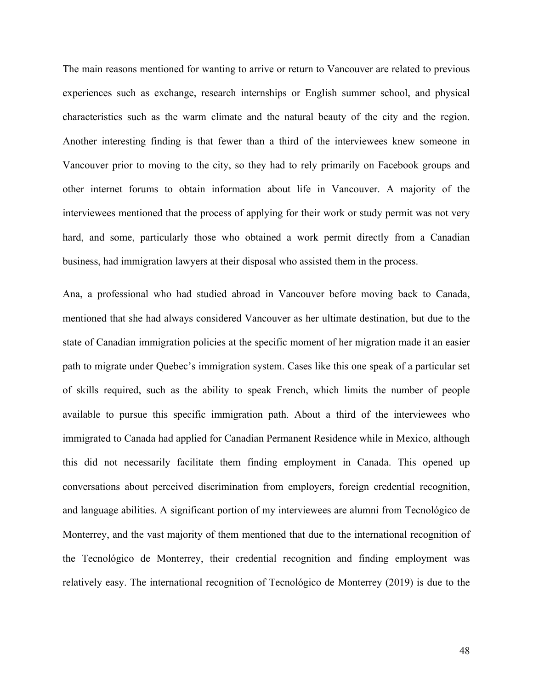The main reasons mentioned for wanting to arrive or return to Vancouver are related to previous experiences such as exchange, research internships or English summer school, and physical characteristics such as the warm climate and the natural beauty of the city and the region. Another interesting finding is that fewer than a third of the interviewees knew someone in Vancouver prior to moving to the city, so they had to rely primarily on Facebook groups and other internet forums to obtain information about life in Vancouver. A majority of the interviewees mentioned that the process of applying for their work or study permit was not very hard, and some, particularly those who obtained a work permit directly from a Canadian business, had immigration lawyers at their disposal who assisted them in the process.

Ana, a professional who had studied abroad in Vancouver before moving back to Canada, mentioned that she had always considered Vancouver as her ultimate destination, but due to the state of Canadian immigration policies at the specific moment of her migration made it an easier path to migrate under Quebec's immigration system. Cases like this one speak of a particular set of skills required, such as the ability to speak French, which limits the number of people available to pursue this specific immigration path. About a third of the interviewees who immigrated to Canada had applied for Canadian Permanent Residence while in Mexico, although this did not necessarily facilitate them finding employment in Canada. This opened up conversations about perceived discrimination from employers, foreign credential recognition, and language abilities. A significant portion of my interviewees are alumni from Tecnológico de Monterrey, and the vast majority of them mentioned that due to the international recognition of the Tecnológico de Monterrey, their credential recognition and finding employment was relatively easy. The international recognition of Tecnológico de Monterrey (2019) is due to the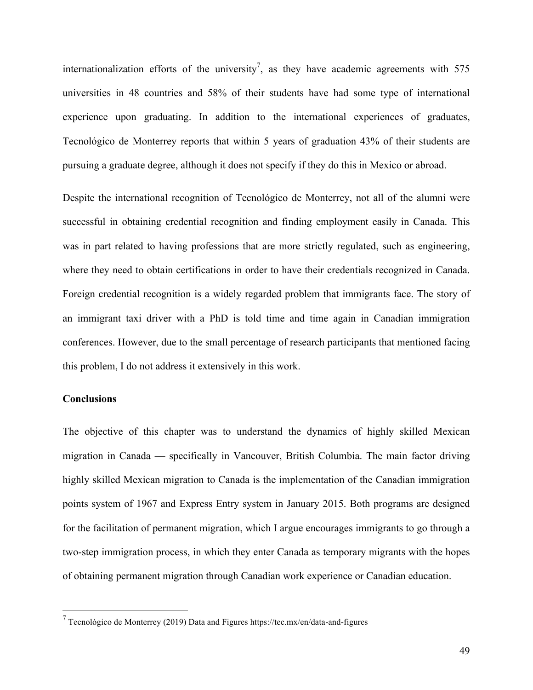internationalization efforts of the university<sup>7</sup>, as they have academic agreements with 575 universities in 48 countries and 58% of their students have had some type of international experience upon graduating. In addition to the international experiences of graduates, Tecnológico de Monterrey reports that within 5 years of graduation 43% of their students are pursuing a graduate degree, although it does not specify if they do this in Mexico or abroad.

Despite the international recognition of Tecnológico de Monterrey, not all of the alumni were successful in obtaining credential recognition and finding employment easily in Canada. This was in part related to having professions that are more strictly regulated, such as engineering, where they need to obtain certifications in order to have their credentials recognized in Canada. Foreign credential recognition is a widely regarded problem that immigrants face. The story of an immigrant taxi driver with a PhD is told time and time again in Canadian immigration conferences. However, due to the small percentage of research participants that mentioned facing this problem, I do not address it extensively in this work.

# **Conclusions**

The objective of this chapter was to understand the dynamics of highly skilled Mexican migration in Canada — specifically in Vancouver, British Columbia. The main factor driving highly skilled Mexican migration to Canada is the implementation of the Canadian immigration points system of 1967 and Express Entry system in January 2015. Both programs are designed for the facilitation of permanent migration, which I argue encourages immigrants to go through a two-step immigration process, in which they enter Canada as temporary migrants with the hopes of obtaining permanent migration through Canadian work experience or Canadian education.

 $7$  Tecnológico de Monterrey (2019) Data and Figures https://tec.mx/en/data-and-figures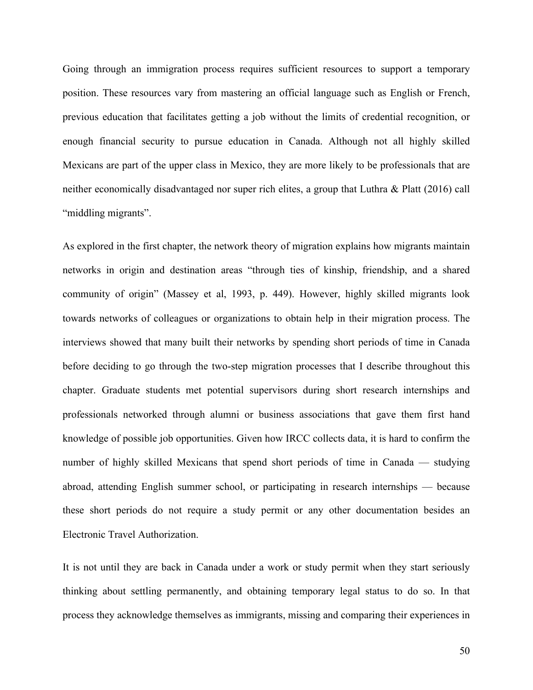Going through an immigration process requires sufficient resources to support a temporary position. These resources vary from mastering an official language such as English or French, previous education that facilitates getting a job without the limits of credential recognition, or enough financial security to pursue education in Canada. Although not all highly skilled Mexicans are part of the upper class in Mexico, they are more likely to be professionals that are neither economically disadvantaged nor super rich elites, a group that Luthra & Platt (2016) call "middling migrants".

As explored in the first chapter, the network theory of migration explains how migrants maintain networks in origin and destination areas "through ties of kinship, friendship, and a shared community of origin" (Massey et al, 1993, p. 449). However, highly skilled migrants look towards networks of colleagues or organizations to obtain help in their migration process. The interviews showed that many built their networks by spending short periods of time in Canada before deciding to go through the two-step migration processes that I describe throughout this chapter. Graduate students met potential supervisors during short research internships and professionals networked through alumni or business associations that gave them first hand knowledge of possible job opportunities. Given how IRCC collects data, it is hard to confirm the number of highly skilled Mexicans that spend short periods of time in Canada — studying abroad, attending English summer school, or participating in research internships — because these short periods do not require a study permit or any other documentation besides an Electronic Travel Authorization.

It is not until they are back in Canada under a work or study permit when they start seriously thinking about settling permanently, and obtaining temporary legal status to do so. In that process they acknowledge themselves as immigrants, missing and comparing their experiences in

50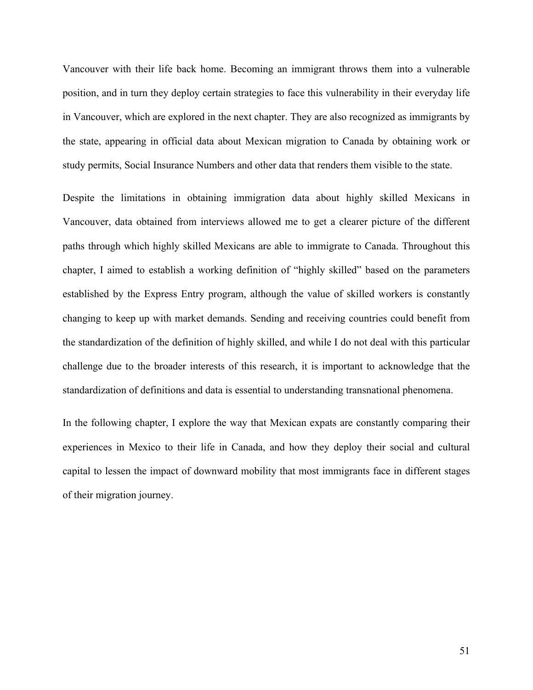Vancouver with their life back home. Becoming an immigrant throws them into a vulnerable position, and in turn they deploy certain strategies to face this vulnerability in their everyday life in Vancouver, which are explored in the next chapter. They are also recognized as immigrants by the state, appearing in official data about Mexican migration to Canada by obtaining work or study permits, Social Insurance Numbers and other data that renders them visible to the state.

Despite the limitations in obtaining immigration data about highly skilled Mexicans in Vancouver, data obtained from interviews allowed me to get a clearer picture of the different paths through which highly skilled Mexicans are able to immigrate to Canada. Throughout this chapter, I aimed to establish a working definition of "highly skilled" based on the parameters established by the Express Entry program, although the value of skilled workers is constantly changing to keep up with market demands. Sending and receiving countries could benefit from the standardization of the definition of highly skilled, and while I do not deal with this particular challenge due to the broader interests of this research, it is important to acknowledge that the standardization of definitions and data is essential to understanding transnational phenomena.

In the following chapter, I explore the way that Mexican expats are constantly comparing their experiences in Mexico to their life in Canada, and how they deploy their social and cultural capital to lessen the impact of downward mobility that most immigrants face in different stages of their migration journey.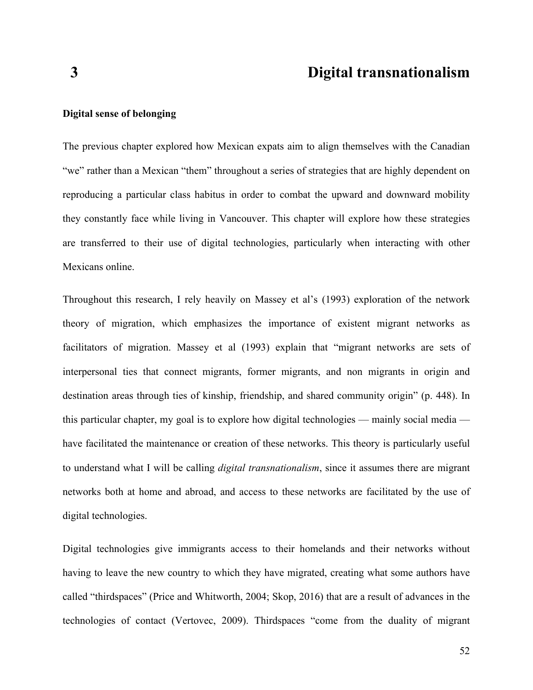# **3 Digital transnationalism**

## **Digital sense of belonging**

The previous chapter explored how Mexican expats aim to align themselves with the Canadian "we" rather than a Mexican "them" throughout a series of strategies that are highly dependent on reproducing a particular class habitus in order to combat the upward and downward mobility they constantly face while living in Vancouver. This chapter will explore how these strategies are transferred to their use of digital technologies, particularly when interacting with other Mexicans online.

Throughout this research, I rely heavily on Massey et al's (1993) exploration of the network theory of migration, which emphasizes the importance of existent migrant networks as facilitators of migration. Massey et al (1993) explain that "migrant networks are sets of interpersonal ties that connect migrants, former migrants, and non migrants in origin and destination areas through ties of kinship, friendship, and shared community origin" (p. 448). In this particular chapter, my goal is to explore how digital technologies — mainly social media have facilitated the maintenance or creation of these networks. This theory is particularly useful to understand what I will be calling *digital transnationalism*, since it assumes there are migrant networks both at home and abroad, and access to these networks are facilitated by the use of digital technologies.

Digital technologies give immigrants access to their homelands and their networks without having to leave the new country to which they have migrated, creating what some authors have called "thirdspaces" (Price and Whitworth, 2004; Skop, 2016) that are a result of advances in the technologies of contact (Vertovec, 2009). Thirdspaces "come from the duality of migrant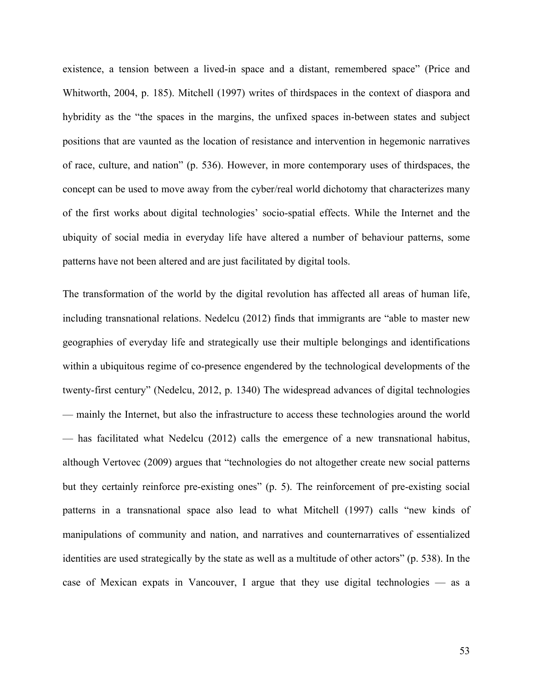existence, a tension between a lived-in space and a distant, remembered space" (Price and Whitworth, 2004, p. 185). Mitchell (1997) writes of thirdspaces in the context of diaspora and hybridity as the "the spaces in the margins, the unfixed spaces in-between states and subject positions that are vaunted as the location of resistance and intervention in hegemonic narratives of race, culture, and nation" (p. 536). However, in more contemporary uses of thirdspaces, the concept can be used to move away from the cyber/real world dichotomy that characterizes many of the first works about digital technologies' socio-spatial effects. While the Internet and the ubiquity of social media in everyday life have altered a number of behaviour patterns, some patterns have not been altered and are just facilitated by digital tools.

The transformation of the world by the digital revolution has affected all areas of human life, including transnational relations. Nedelcu (2012) finds that immigrants are "able to master new geographies of everyday life and strategically use their multiple belongings and identifications within a ubiquitous regime of co-presence engendered by the technological developments of the twenty-first century" (Nedelcu, 2012, p. 1340) The widespread advances of digital technologies — mainly the Internet, but also the infrastructure to access these technologies around the world — has facilitated what Nedelcu (2012) calls the emergence of a new transnational habitus, although Vertovec (2009) argues that "technologies do not altogether create new social patterns but they certainly reinforce pre-existing ones" (p. 5). The reinforcement of pre-existing social patterns in a transnational space also lead to what Mitchell (1997) calls "new kinds of manipulations of community and nation, and narratives and counternarratives of essentialized identities are used strategically by the state as well as a multitude of other actors" (p. 538). In the case of Mexican expats in Vancouver, I argue that they use digital technologies — as a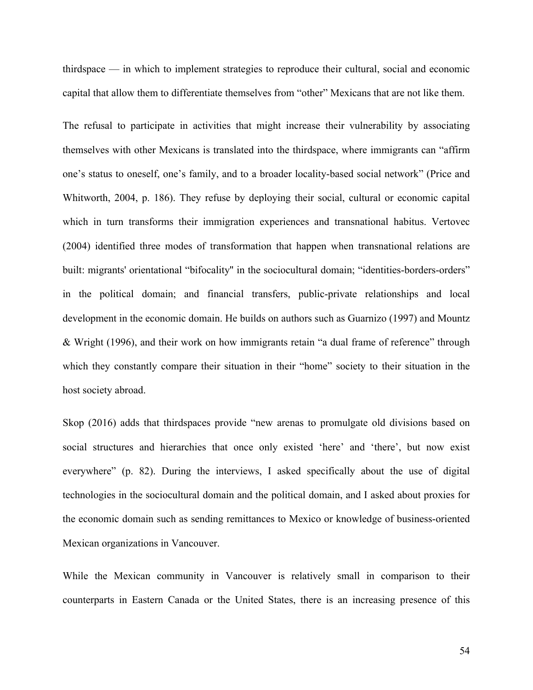thirdspace — in which to implement strategies to reproduce their cultural, social and economic capital that allow them to differentiate themselves from "other" Mexicans that are not like them.

The refusal to participate in activities that might increase their vulnerability by associating themselves with other Mexicans is translated into the thirdspace, where immigrants can "affirm one's status to oneself, one's family, and to a broader locality-based social network" (Price and Whitworth, 2004, p. 186). They refuse by deploying their social, cultural or economic capital which in turn transforms their immigration experiences and transnational habitus. Vertovec (2004) identified three modes of transformation that happen when transnational relations are built: migrants' orientational "bifocality" in the sociocultural domain; "identities-borders-orders" in the political domain; and financial transfers, public-private relationships and local development in the economic domain. He builds on authors such as Guarnizo (1997) and Mountz & Wright (1996), and their work on how immigrants retain "a dual frame of reference" through which they constantly compare their situation in their "home" society to their situation in the host society abroad.

Skop (2016) adds that thirdspaces provide "new arenas to promulgate old divisions based on social structures and hierarchies that once only existed 'here' and 'there', but now exist everywhere" (p. 82). During the interviews, I asked specifically about the use of digital technologies in the sociocultural domain and the political domain, and I asked about proxies for the economic domain such as sending remittances to Mexico or knowledge of business-oriented Mexican organizations in Vancouver.

While the Mexican community in Vancouver is relatively small in comparison to their counterparts in Eastern Canada or the United States, there is an increasing presence of this

54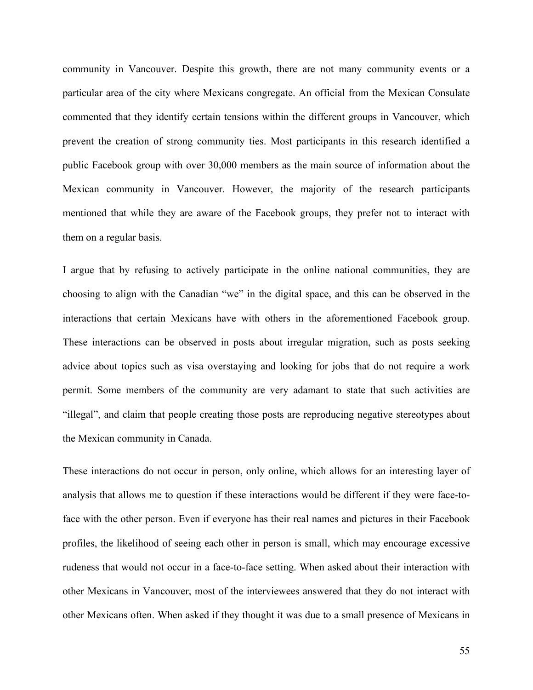community in Vancouver. Despite this growth, there are not many community events or a particular area of the city where Mexicans congregate. An official from the Mexican Consulate commented that they identify certain tensions within the different groups in Vancouver, which prevent the creation of strong community ties. Most participants in this research identified a public Facebook group with over 30,000 members as the main source of information about the Mexican community in Vancouver. However, the majority of the research participants mentioned that while they are aware of the Facebook groups, they prefer not to interact with them on a regular basis.

I argue that by refusing to actively participate in the online national communities, they are choosing to align with the Canadian "we" in the digital space, and this can be observed in the interactions that certain Mexicans have with others in the aforementioned Facebook group. These interactions can be observed in posts about irregular migration, such as posts seeking advice about topics such as visa overstaying and looking for jobs that do not require a work permit. Some members of the community are very adamant to state that such activities are "illegal", and claim that people creating those posts are reproducing negative stereotypes about the Mexican community in Canada.

These interactions do not occur in person, only online, which allows for an interesting layer of analysis that allows me to question if these interactions would be different if they were face-toface with the other person. Even if everyone has their real names and pictures in their Facebook profiles, the likelihood of seeing each other in person is small, which may encourage excessive rudeness that would not occur in a face-to-face setting. When asked about their interaction with other Mexicans in Vancouver, most of the interviewees answered that they do not interact with other Mexicans often. When asked if they thought it was due to a small presence of Mexicans in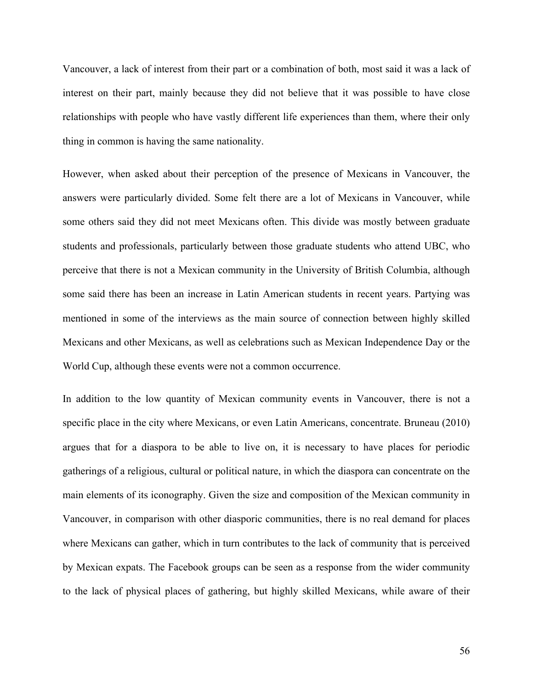Vancouver, a lack of interest from their part or a combination of both, most said it was a lack of interest on their part, mainly because they did not believe that it was possible to have close relationships with people who have vastly different life experiences than them, where their only thing in common is having the same nationality.

However, when asked about their perception of the presence of Mexicans in Vancouver, the answers were particularly divided. Some felt there are a lot of Mexicans in Vancouver, while some others said they did not meet Mexicans often. This divide was mostly between graduate students and professionals, particularly between those graduate students who attend UBC, who perceive that there is not a Mexican community in the University of British Columbia, although some said there has been an increase in Latin American students in recent years. Partying was mentioned in some of the interviews as the main source of connection between highly skilled Mexicans and other Mexicans, as well as celebrations such as Mexican Independence Day or the World Cup, although these events were not a common occurrence.

In addition to the low quantity of Mexican community events in Vancouver, there is not a specific place in the city where Mexicans, or even Latin Americans, concentrate. Bruneau (2010) argues that for a diaspora to be able to live on, it is necessary to have places for periodic gatherings of a religious, cultural or political nature, in which the diaspora can concentrate on the main elements of its iconography. Given the size and composition of the Mexican community in Vancouver, in comparison with other diasporic communities, there is no real demand for places where Mexicans can gather, which in turn contributes to the lack of community that is perceived by Mexican expats. The Facebook groups can be seen as a response from the wider community to the lack of physical places of gathering, but highly skilled Mexicans, while aware of their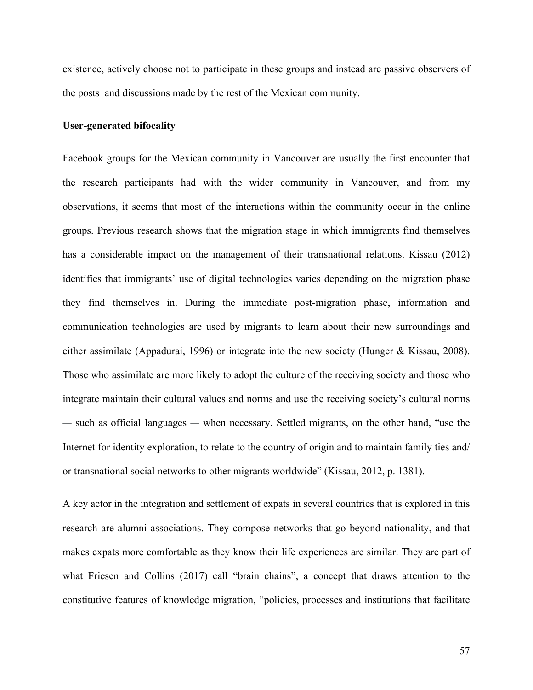existence, actively choose not to participate in these groups and instead are passive observers of the posts and discussions made by the rest of the Mexican community.

### **User-generated bifocality**

Facebook groups for the Mexican community in Vancouver are usually the first encounter that the research participants had with the wider community in Vancouver, and from my observations, it seems that most of the interactions within the community occur in the online groups. Previous research shows that the migration stage in which immigrants find themselves has a considerable impact on the management of their transnational relations. Kissau (2012) identifies that immigrants' use of digital technologies varies depending on the migration phase they find themselves in. During the immediate post-migration phase, information and communication technologies are used by migrants to learn about their new surroundings and either assimilate (Appadurai, 1996) or integrate into the new society (Hunger & Kissau, 2008). Those who assimilate are more likely to adopt the culture of the receiving society and those who integrate maintain their cultural values and norms and use the receiving society's cultural norms — such as official languages — when necessary. Settled migrants, on the other hand, "use the Internet for identity exploration, to relate to the country of origin and to maintain family ties and/ or transnational social networks to other migrants worldwide" (Kissau, 2012, p. 1381).

A key actor in the integration and settlement of expats in several countries that is explored in this research are alumni associations. They compose networks that go beyond nationality, and that makes expats more comfortable as they know their life experiences are similar. They are part of what Friesen and Collins (2017) call "brain chains", a concept that draws attention to the constitutive features of knowledge migration, "policies, processes and institutions that facilitate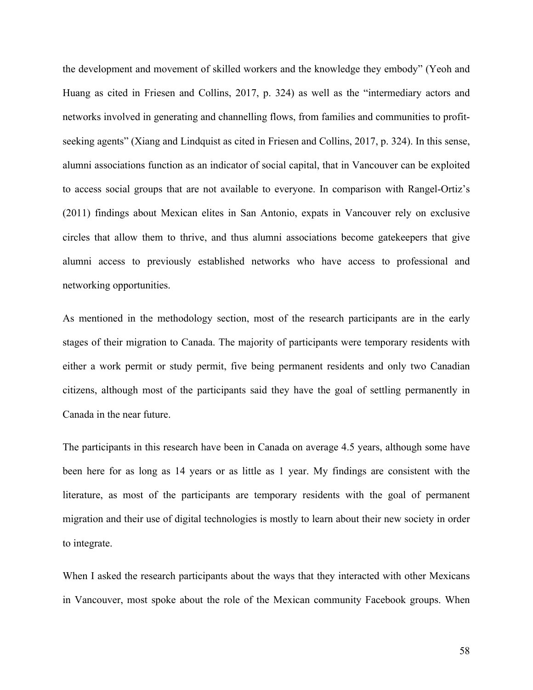the development and movement of skilled workers and the knowledge they embody" (Yeoh and Huang as cited in Friesen and Collins, 2017, p. 324) as well as the "intermediary actors and networks involved in generating and channelling flows, from families and communities to profitseeking agents" (Xiang and Lindquist as cited in Friesen and Collins, 2017, p. 324). In this sense, alumni associations function as an indicator of social capital, that in Vancouver can be exploited to access social groups that are not available to everyone. In comparison with Rangel-Ortiz's (2011) findings about Mexican elites in San Antonio, expats in Vancouver rely on exclusive circles that allow them to thrive, and thus alumni associations become gatekeepers that give alumni access to previously established networks who have access to professional and networking opportunities.

As mentioned in the methodology section, most of the research participants are in the early stages of their migration to Canada. The majority of participants were temporary residents with either a work permit or study permit, five being permanent residents and only two Canadian citizens, although most of the participants said they have the goal of settling permanently in Canada in the near future.

The participants in this research have been in Canada on average 4.5 years, although some have been here for as long as 14 years or as little as 1 year. My findings are consistent with the literature, as most of the participants are temporary residents with the goal of permanent migration and their use of digital technologies is mostly to learn about their new society in order to integrate.

When I asked the research participants about the ways that they interacted with other Mexicans in Vancouver, most spoke about the role of the Mexican community Facebook groups. When

58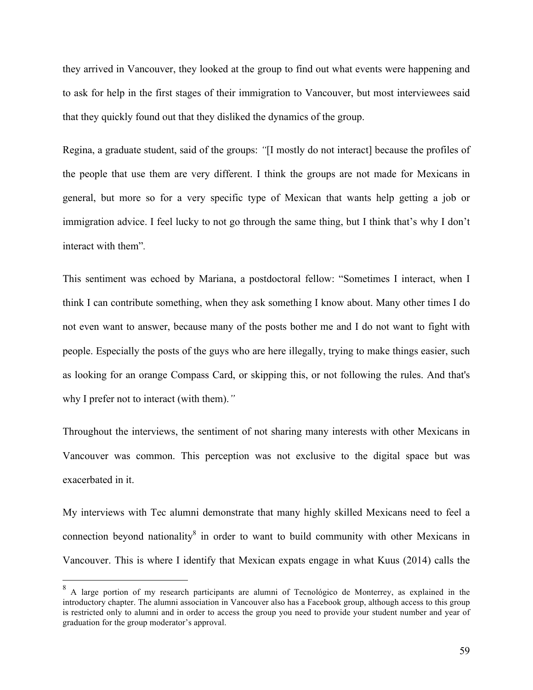they arrived in Vancouver, they looked at the group to find out what events were happening and to ask for help in the first stages of their immigration to Vancouver, but most interviewees said that they quickly found out that they disliked the dynamics of the group.

Regina, a graduate student, said of the groups: *"*[I mostly do not interact] because the profiles of the people that use them are very different. I think the groups are not made for Mexicans in general, but more so for a very specific type of Mexican that wants help getting a job or immigration advice. I feel lucky to not go through the same thing, but I think that's why I don't interact with them"*.* 

This sentiment was echoed by Mariana, a postdoctoral fellow: "Sometimes I interact, when I think I can contribute something, when they ask something I know about. Many other times I do not even want to answer, because many of the posts bother me and I do not want to fight with people. Especially the posts of the guys who are here illegally, trying to make things easier, such as looking for an orange Compass Card, or skipping this, or not following the rules. And that's why I prefer not to interact (with them).*"* 

Throughout the interviews, the sentiment of not sharing many interests with other Mexicans in Vancouver was common. This perception was not exclusive to the digital space but was exacerbated in it.

My interviews with Tec alumni demonstrate that many highly skilled Mexicans need to feel a connection beyond nationality<sup>8</sup> in order to want to build community with other Mexicans in Vancouver. This is where I identify that Mexican expats engage in what Kuus (2014) calls the

<sup>&</sup>lt;sup>8</sup> A large portion of my research participants are alumni of Tecnológico de Monterrey, as explained in the introductory chapter. The alumni association in Vancouver also has a Facebook group, although access to this group is restricted only to alumni and in order to access the group you need to provide your student number and year of graduation for the group moderator's approval.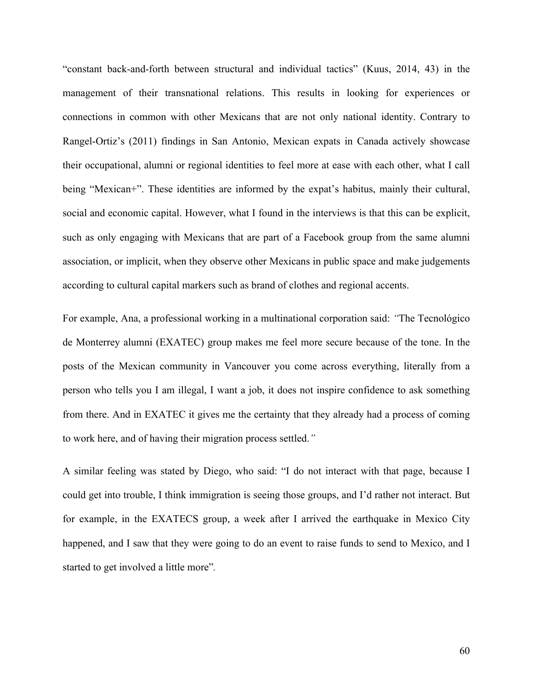"constant back-and-forth between structural and individual tactics" (Kuus, 2014, 43) in the management of their transnational relations. This results in looking for experiences or connections in common with other Mexicans that are not only national identity. Contrary to Rangel-Ortiz's (2011) findings in San Antonio, Mexican expats in Canada actively showcase their occupational, alumni or regional identities to feel more at ease with each other, what I call being "Mexican+". These identities are informed by the expat's habitus, mainly their cultural, social and economic capital. However, what I found in the interviews is that this can be explicit, such as only engaging with Mexicans that are part of a Facebook group from the same alumni association, or implicit, when they observe other Mexicans in public space and make judgements according to cultural capital markers such as brand of clothes and regional accents.

For example, Ana, a professional working in a multinational corporation said: *"*The Tecnológico de Monterrey alumni (EXATEC) group makes me feel more secure because of the tone. In the posts of the Mexican community in Vancouver you come across everything, literally from a person who tells you I am illegal, I want a job, it does not inspire confidence to ask something from there. And in EXATEC it gives me the certainty that they already had a process of coming to work here, and of having their migration process settled.*"*

A similar feeling was stated by Diego, who said: "I do not interact with that page, because I could get into trouble, I think immigration is seeing those groups, and I'd rather not interact. But for example, in the EXATECS group, a week after I arrived the earthquake in Mexico City happened, and I saw that they were going to do an event to raise funds to send to Mexico, and I started to get involved a little more"*.*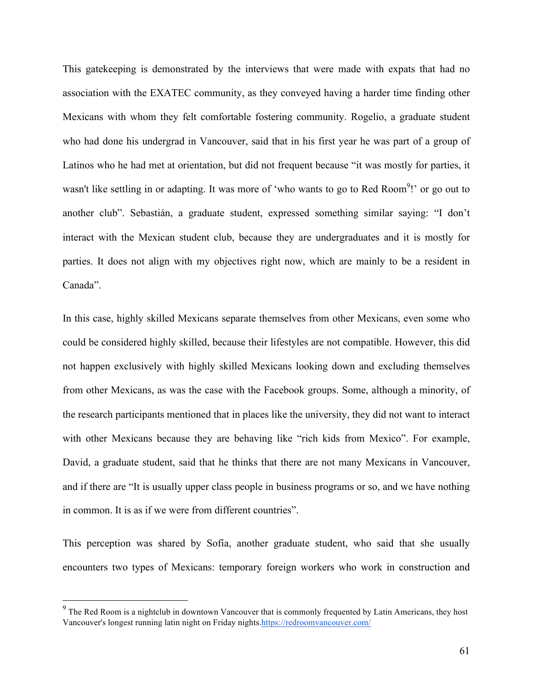This gatekeeping is demonstrated by the interviews that were made with expats that had no association with the EXATEC community, as they conveyed having a harder time finding other Mexicans with whom they felt comfortable fostering community. Rogelio, a graduate student who had done his undergrad in Vancouver, said that in his first year he was part of a group of Latinos who he had met at orientation, but did not frequent because "it was mostly for parties, it wasn't like settling in or adapting. It was more of 'who wants to go to Red Room<sup>9</sup>!' or go out to another club". Sebastián, a graduate student, expressed something similar saying: "I don't interact with the Mexican student club, because they are undergraduates and it is mostly for parties. It does not align with my objectives right now, which are mainly to be a resident in Canada".

In this case, highly skilled Mexicans separate themselves from other Mexicans, even some who could be considered highly skilled, because their lifestyles are not compatible. However, this did not happen exclusively with highly skilled Mexicans looking down and excluding themselves from other Mexicans, as was the case with the Facebook groups. Some, although a minority, of the research participants mentioned that in places like the university, they did not want to interact with other Mexicans because they are behaving like "rich kids from Mexico". For example, David, a graduate student, said that he thinks that there are not many Mexicans in Vancouver, and if there are "It is usually upper class people in business programs or so, and we have nothing in common. It is as if we were from different countries".

This perception was shared by Sofía, another graduate student, who said that she usually encounters two types of Mexicans: temporary foreign workers who work in construction and

<sup>&</sup>lt;sup>9</sup> The Red Room is a nightclub in downtown Vancouver that is commonly frequented by Latin Americans, they host Vancouver's longest running latin night on Friday nights.https://redroomvancouver.com/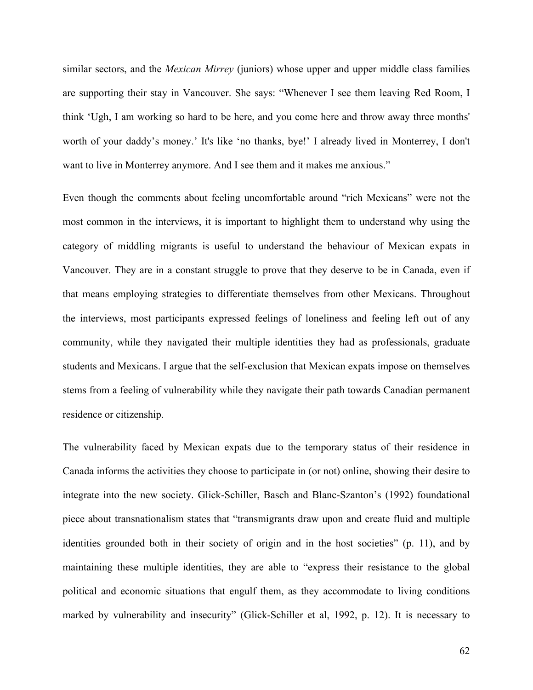similar sectors, and the *Mexican Mirrey* (juniors) whose upper and upper middle class families are supporting their stay in Vancouver. She says: "Whenever I see them leaving Red Room, I think 'Ugh, I am working so hard to be here, and you come here and throw away three months' worth of your daddy's money.' It's like 'no thanks, bye!' I already lived in Monterrey, I don't want to live in Monterrey anymore. And I see them and it makes me anxious."

Even though the comments about feeling uncomfortable around "rich Mexicans" were not the most common in the interviews, it is important to highlight them to understand why using the category of middling migrants is useful to understand the behaviour of Mexican expats in Vancouver. They are in a constant struggle to prove that they deserve to be in Canada, even if that means employing strategies to differentiate themselves from other Mexicans. Throughout the interviews, most participants expressed feelings of loneliness and feeling left out of any community, while they navigated their multiple identities they had as professionals, graduate students and Mexicans. I argue that the self-exclusion that Mexican expats impose on themselves stems from a feeling of vulnerability while they navigate their path towards Canadian permanent residence or citizenship.

The vulnerability faced by Mexican expats due to the temporary status of their residence in Canada informs the activities they choose to participate in (or not) online, showing their desire to integrate into the new society. Glick-Schiller, Basch and Blanc-Szanton's (1992) foundational piece about transnationalism states that "transmigrants draw upon and create fluid and multiple identities grounded both in their society of origin and in the host societies" (p. 11), and by maintaining these multiple identities, they are able to "express their resistance to the global political and economic situations that engulf them, as they accommodate to living conditions marked by vulnerability and insecurity" (Glick-Schiller et al, 1992, p. 12). It is necessary to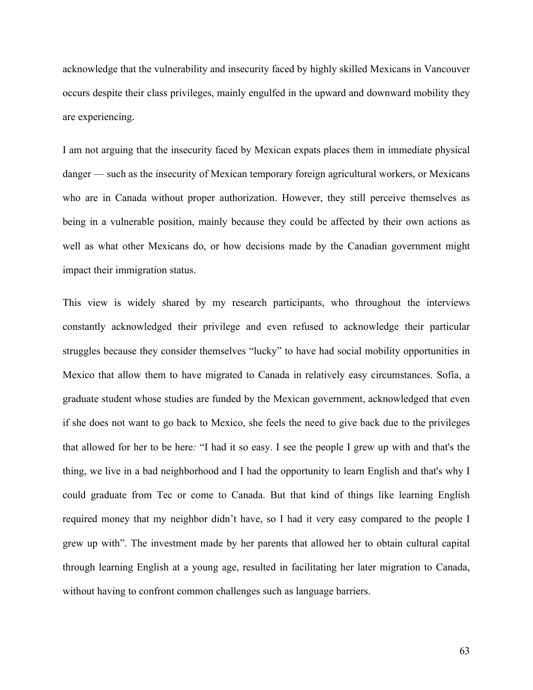acknowledge that the vulnerability and insecurity faced by highly skilled Mexicans in Vancouver occurs despite their class privileges, mainly engulfed in the upward and downward mobility they are experiencing.

I am not arguing that the insecurity faced by Mexican expats places them in immediate physical danger — such as the insecurity of Mexican temporary foreign agricultural workers, or Mexicans who are in Canada without proper authorization. However, they still perceive themselves as being in a vulnerable position, mainly because they could be affected by their own actions as well as what other Mexicans do, or how decisions made by the Canadian government might impact their immigration status.

This view is widely shared by my research participants, who throughout the interviews constantly acknowledged their privilege and even refused to acknowledge their particular struggles because they consider themselves "lucky" to have had social mobility opportunities in Mexico that allow them to have migrated to Canada in relatively easy circumstances. Sofía, a graduate student whose studies are funded by the Mexican government, acknowledged that even if she does not want to go back to Mexico, she feels the need to give back due to the privileges that allowed for her to be here*:* "I had it so easy. I see the people I grew up with and that's the thing, we live in a bad neighborhood and I had the opportunity to learn English and that's why I could graduate from Tec or come to Canada. But that kind of things like learning English required money that my neighbor didn't have, so I had it very easy compared to the people I grew up with". The investment made by her parents that allowed her to obtain cultural capital through learning English at a young age, resulted in facilitating her later migration to Canada, without having to confront common challenges such as language barriers.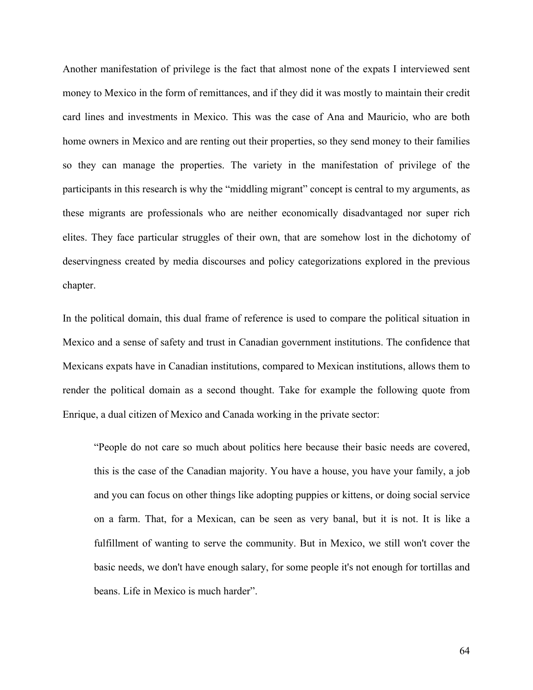Another manifestation of privilege is the fact that almost none of the expats I interviewed sent money to Mexico in the form of remittances, and if they did it was mostly to maintain their credit card lines and investments in Mexico. This was the case of Ana and Mauricio, who are both home owners in Mexico and are renting out their properties, so they send money to their families so they can manage the properties. The variety in the manifestation of privilege of the participants in this research is why the "middling migrant" concept is central to my arguments, as these migrants are professionals who are neither economically disadvantaged nor super rich elites. They face particular struggles of their own, that are somehow lost in the dichotomy of deservingness created by media discourses and policy categorizations explored in the previous chapter.

In the political domain, this dual frame of reference is used to compare the political situation in Mexico and a sense of safety and trust in Canadian government institutions. The confidence that Mexicans expats have in Canadian institutions, compared to Mexican institutions, allows them to render the political domain as a second thought. Take for example the following quote from Enrique, a dual citizen of Mexico and Canada working in the private sector:

"People do not care so much about politics here because their basic needs are covered, this is the case of the Canadian majority. You have a house, you have your family, a job and you can focus on other things like adopting puppies or kittens, or doing social service on a farm. That, for a Mexican, can be seen as very banal, but it is not. It is like a fulfillment of wanting to serve the community. But in Mexico, we still won't cover the basic needs, we don't have enough salary, for some people it's not enough for tortillas and beans. Life in Mexico is much harder".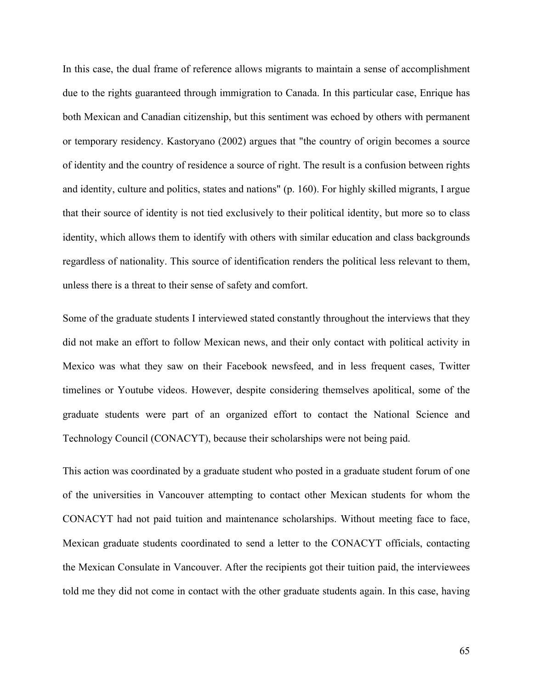In this case, the dual frame of reference allows migrants to maintain a sense of accomplishment due to the rights guaranteed through immigration to Canada. In this particular case, Enrique has both Mexican and Canadian citizenship, but this sentiment was echoed by others with permanent or temporary residency. Kastoryano (2002) argues that "the country of origin becomes a source of identity and the country of residence a source of right. The result is a confusion between rights and identity, culture and politics, states and nations" (p. 160). For highly skilled migrants, I argue that their source of identity is not tied exclusively to their political identity, but more so to class identity, which allows them to identify with others with similar education and class backgrounds regardless of nationality. This source of identification renders the political less relevant to them, unless there is a threat to their sense of safety and comfort.

Some of the graduate students I interviewed stated constantly throughout the interviews that they did not make an effort to follow Mexican news, and their only contact with political activity in Mexico was what they saw on their Facebook newsfeed, and in less frequent cases, Twitter timelines or Youtube videos. However, despite considering themselves apolitical, some of the graduate students were part of an organized effort to contact the National Science and Technology Council (CONACYT), because their scholarships were not being paid.

This action was coordinated by a graduate student who posted in a graduate student forum of one of the universities in Vancouver attempting to contact other Mexican students for whom the CONACYT had not paid tuition and maintenance scholarships. Without meeting face to face, Mexican graduate students coordinated to send a letter to the CONACYT officials, contacting the Mexican Consulate in Vancouver. After the recipients got their tuition paid, the interviewees told me they did not come in contact with the other graduate students again. In this case, having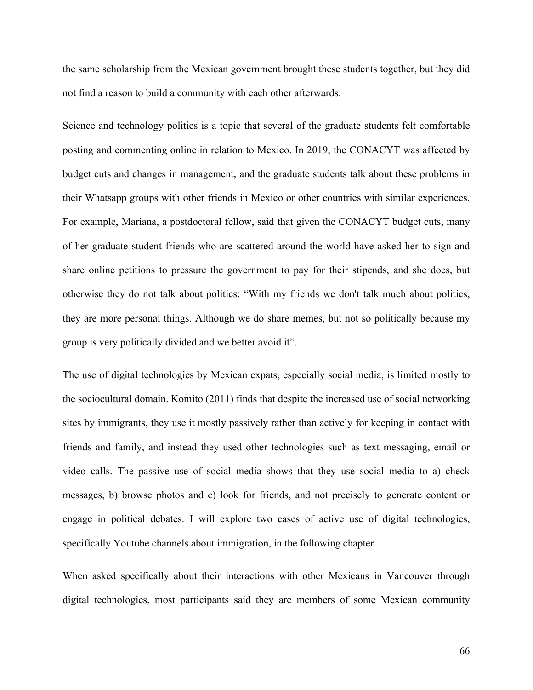the same scholarship from the Mexican government brought these students together, but they did not find a reason to build a community with each other afterwards.

Science and technology politics is a topic that several of the graduate students felt comfortable posting and commenting online in relation to Mexico. In 2019, the CONACYT was affected by budget cuts and changes in management, and the graduate students talk about these problems in their Whatsapp groups with other friends in Mexico or other countries with similar experiences. For example, Mariana, a postdoctoral fellow, said that given the CONACYT budget cuts, many of her graduate student friends who are scattered around the world have asked her to sign and share online petitions to pressure the government to pay for their stipends, and she does, but otherwise they do not talk about politics: "With my friends we don't talk much about politics, they are more personal things. Although we do share memes, but not so politically because my group is very politically divided and we better avoid it".

The use of digital technologies by Mexican expats, especially social media, is limited mostly to the sociocultural domain. Komito (2011) finds that despite the increased use of social networking sites by immigrants, they use it mostly passively rather than actively for keeping in contact with friends and family, and instead they used other technologies such as text messaging, email or video calls. The passive use of social media shows that they use social media to a) check messages, b) browse photos and c) look for friends, and not precisely to generate content or engage in political debates. I will explore two cases of active use of digital technologies, specifically Youtube channels about immigration, in the following chapter.

When asked specifically about their interactions with other Mexicans in Vancouver through digital technologies, most participants said they are members of some Mexican community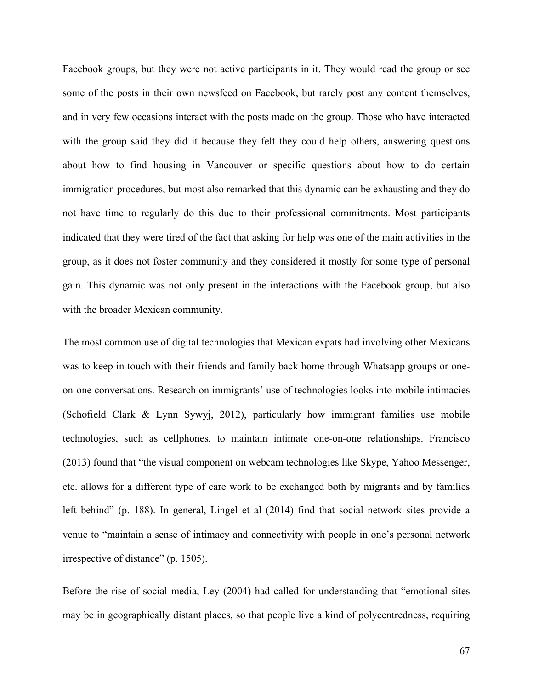Facebook groups, but they were not active participants in it. They would read the group or see some of the posts in their own newsfeed on Facebook, but rarely post any content themselves, and in very few occasions interact with the posts made on the group. Those who have interacted with the group said they did it because they felt they could help others, answering questions about how to find housing in Vancouver or specific questions about how to do certain immigration procedures, but most also remarked that this dynamic can be exhausting and they do not have time to regularly do this due to their professional commitments. Most participants indicated that they were tired of the fact that asking for help was one of the main activities in the group, as it does not foster community and they considered it mostly for some type of personal gain. This dynamic was not only present in the interactions with the Facebook group, but also with the broader Mexican community.

The most common use of digital technologies that Mexican expats had involving other Mexicans was to keep in touch with their friends and family back home through Whatsapp groups or oneon-one conversations. Research on immigrants' use of technologies looks into mobile intimacies (Schofield Clark & Lynn Sywyj, 2012), particularly how immigrant families use mobile technologies, such as cellphones, to maintain intimate one-on-one relationships. Francisco (2013) found that "the visual component on webcam technologies like Skype, Yahoo Messenger, etc. allows for a different type of care work to be exchanged both by migrants and by families left behind" (p. 188). In general, Lingel et al (2014) find that social network sites provide a venue to "maintain a sense of intimacy and connectivity with people in one's personal network irrespective of distance" (p. 1505).

Before the rise of social media, Ley (2004) had called for understanding that "emotional sites may be in geographically distant places, so that people live a kind of polycentredness, requiring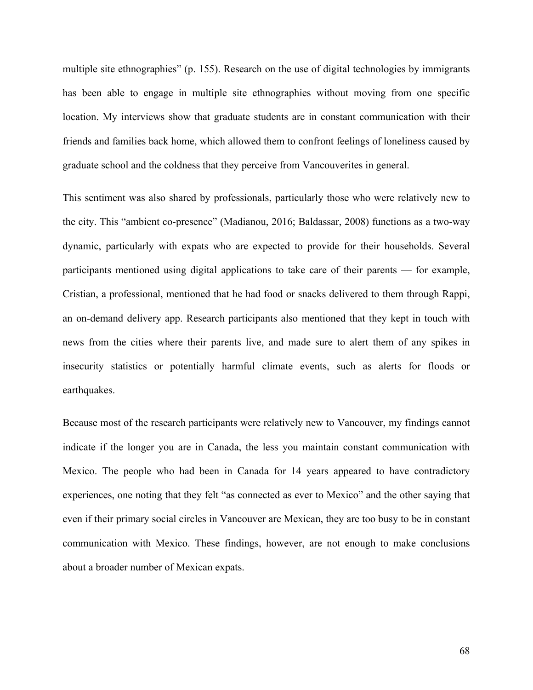multiple site ethnographies" (p. 155). Research on the use of digital technologies by immigrants has been able to engage in multiple site ethnographies without moving from one specific location. My interviews show that graduate students are in constant communication with their friends and families back home, which allowed them to confront feelings of loneliness caused by graduate school and the coldness that they perceive from Vancouverites in general.

This sentiment was also shared by professionals, particularly those who were relatively new to the city. This "ambient co-presence" (Madianou, 2016; Baldassar, 2008) functions as a two-way dynamic, particularly with expats who are expected to provide for their households. Several participants mentioned using digital applications to take care of their parents — for example, Cristian, a professional, mentioned that he had food or snacks delivered to them through Rappi, an on-demand delivery app. Research participants also mentioned that they kept in touch with news from the cities where their parents live, and made sure to alert them of any spikes in insecurity statistics or potentially harmful climate events, such as alerts for floods or earthquakes.

Because most of the research participants were relatively new to Vancouver, my findings cannot indicate if the longer you are in Canada, the less you maintain constant communication with Mexico. The people who had been in Canada for 14 years appeared to have contradictory experiences, one noting that they felt "as connected as ever to Mexico" and the other saying that even if their primary social circles in Vancouver are Mexican, they are too busy to be in constant communication with Mexico. These findings, however, are not enough to make conclusions about a broader number of Mexican expats.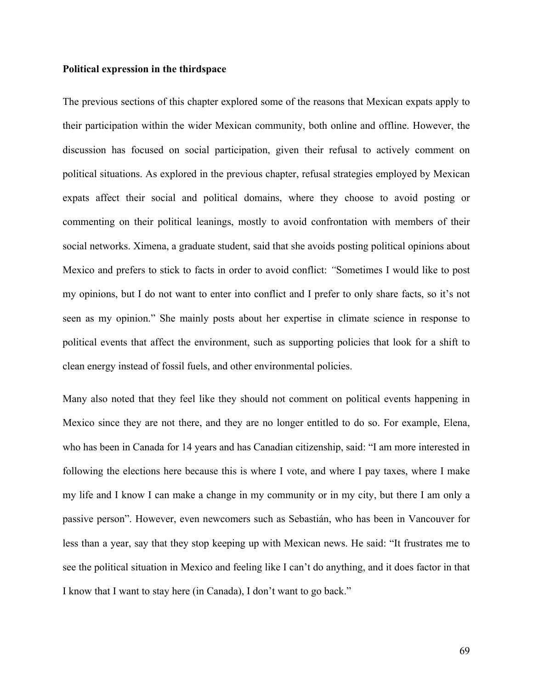#### **Political expression in the thirdspace**

The previous sections of this chapter explored some of the reasons that Mexican expats apply to their participation within the wider Mexican community, both online and offline. However, the discussion has focused on social participation, given their refusal to actively comment on political situations. As explored in the previous chapter, refusal strategies employed by Mexican expats affect their social and political domains, where they choose to avoid posting or commenting on their political leanings, mostly to avoid confrontation with members of their social networks. Ximena, a graduate student, said that she avoids posting political opinions about Mexico and prefers to stick to facts in order to avoid conflict: *"*Sometimes I would like to post my opinions, but I do not want to enter into conflict and I prefer to only share facts, so it's not seen as my opinion." She mainly posts about her expertise in climate science in response to political events that affect the environment, such as supporting policies that look for a shift to clean energy instead of fossil fuels, and other environmental policies.

Many also noted that they feel like they should not comment on political events happening in Mexico since they are not there, and they are no longer entitled to do so. For example, Elena, who has been in Canada for 14 years and has Canadian citizenship, said: "I am more interested in following the elections here because this is where I vote, and where I pay taxes, where I make my life and I know I can make a change in my community or in my city, but there I am only a passive person". However, even newcomers such as Sebastián, who has been in Vancouver for less than a year, say that they stop keeping up with Mexican news. He said: "It frustrates me to see the political situation in Mexico and feeling like I can't do anything, and it does factor in that I know that I want to stay here (in Canada), I don't want to go back."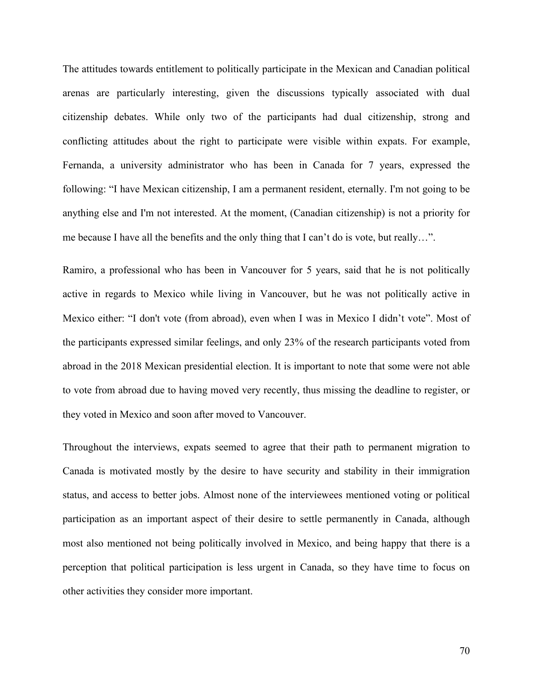The attitudes towards entitlement to politically participate in the Mexican and Canadian political arenas are particularly interesting, given the discussions typically associated with dual citizenship debates. While only two of the participants had dual citizenship, strong and conflicting attitudes about the right to participate were visible within expats. For example, Fernanda, a university administrator who has been in Canada for 7 years, expressed the following: "I have Mexican citizenship, I am a permanent resident, eternally. I'm not going to be anything else and I'm not interested. At the moment, (Canadian citizenship) is not a priority for me because I have all the benefits and the only thing that I can't do is vote, but really…".

Ramiro, a professional who has been in Vancouver for 5 years, said that he is not politically active in regards to Mexico while living in Vancouver, but he was not politically active in Mexico either: "I don't vote (from abroad), even when I was in Mexico I didn't vote". Most of the participants expressed similar feelings, and only 23% of the research participants voted from abroad in the 2018 Mexican presidential election. It is important to note that some were not able to vote from abroad due to having moved very recently, thus missing the deadline to register, or they voted in Mexico and soon after moved to Vancouver.

Throughout the interviews, expats seemed to agree that their path to permanent migration to Canada is motivated mostly by the desire to have security and stability in their immigration status, and access to better jobs. Almost none of the interviewees mentioned voting or political participation as an important aspect of their desire to settle permanently in Canada, although most also mentioned not being politically involved in Mexico, and being happy that there is a perception that political participation is less urgent in Canada, so they have time to focus on other activities they consider more important.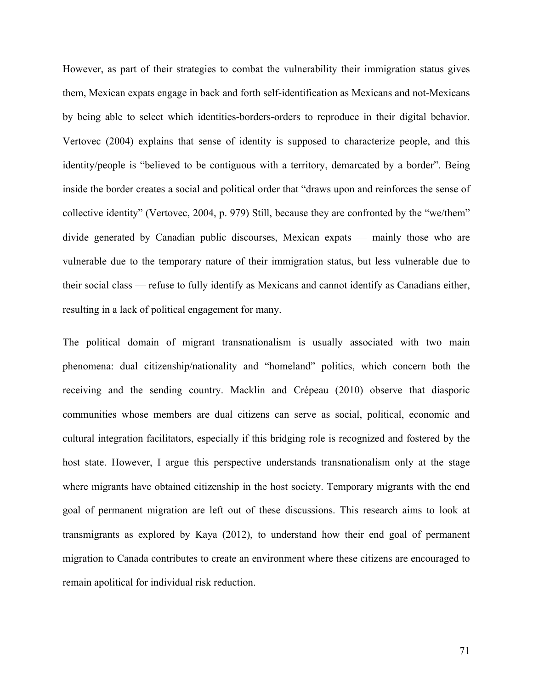However, as part of their strategies to combat the vulnerability their immigration status gives them, Mexican expats engage in back and forth self-identification as Mexicans and not-Mexicans by being able to select which identities-borders-orders to reproduce in their digital behavior. Vertovec (2004) explains that sense of identity is supposed to characterize people, and this identity/people is "believed to be contiguous with a territory, demarcated by a border". Being inside the border creates a social and political order that "draws upon and reinforces the sense of collective identity" (Vertovec, 2004, p. 979) Still, because they are confronted by the "we/them" divide generated by Canadian public discourses, Mexican expats — mainly those who are vulnerable due to the temporary nature of their immigration status, but less vulnerable due to their social class — refuse to fully identify as Mexicans and cannot identify as Canadians either, resulting in a lack of political engagement for many.

The political domain of migrant transnationalism is usually associated with two main phenomena: dual citizenship/nationality and "homeland" politics, which concern both the receiving and the sending country. Macklin and Crépeau (2010) observe that diasporic communities whose members are dual citizens can serve as social, political, economic and cultural integration facilitators, especially if this bridging role is recognized and fostered by the host state. However, I argue this perspective understands transnationalism only at the stage where migrants have obtained citizenship in the host society. Temporary migrants with the end goal of permanent migration are left out of these discussions. This research aims to look at transmigrants as explored by Kaya (2012), to understand how their end goal of permanent migration to Canada contributes to create an environment where these citizens are encouraged to remain apolitical for individual risk reduction.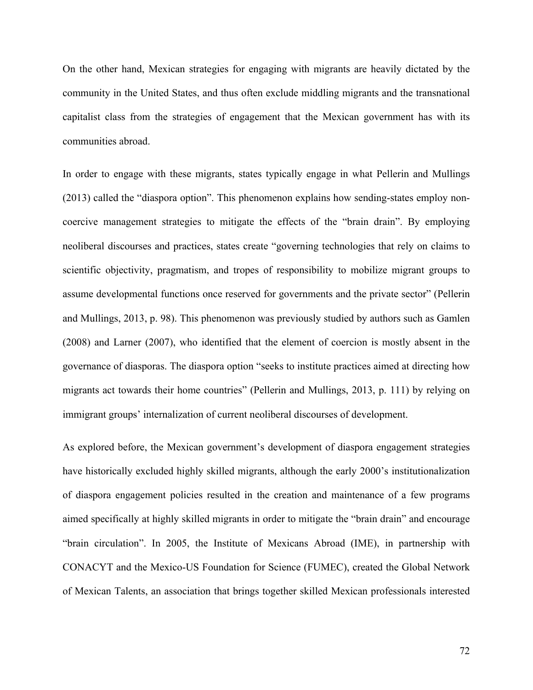On the other hand, Mexican strategies for engaging with migrants are heavily dictated by the community in the United States, and thus often exclude middling migrants and the transnational capitalist class from the strategies of engagement that the Mexican government has with its communities abroad.

In order to engage with these migrants, states typically engage in what Pellerin and Mullings (2013) called the "diaspora option". This phenomenon explains how sending-states employ noncoercive management strategies to mitigate the effects of the "brain drain". By employing neoliberal discourses and practices, states create "governing technologies that rely on claims to scientific objectivity, pragmatism, and tropes of responsibility to mobilize migrant groups to assume developmental functions once reserved for governments and the private sector" (Pellerin and Mullings, 2013, p. 98). This phenomenon was previously studied by authors such as Gamlen (2008) and Larner (2007), who identified that the element of coercion is mostly absent in the governance of diasporas. The diaspora option "seeks to institute practices aimed at directing how migrants act towards their home countries" (Pellerin and Mullings, 2013, p. 111) by relying on immigrant groups' internalization of current neoliberal discourses of development.

As explored before, the Mexican government's development of diaspora engagement strategies have historically excluded highly skilled migrants, although the early 2000's institutionalization of diaspora engagement policies resulted in the creation and maintenance of a few programs aimed specifically at highly skilled migrants in order to mitigate the "brain drain" and encourage "brain circulation". In 2005, the Institute of Mexicans Abroad (IME), in partnership with CONACYT and the Mexico-US Foundation for Science (FUMEC), created the Global Network of Mexican Talents, an association that brings together skilled Mexican professionals interested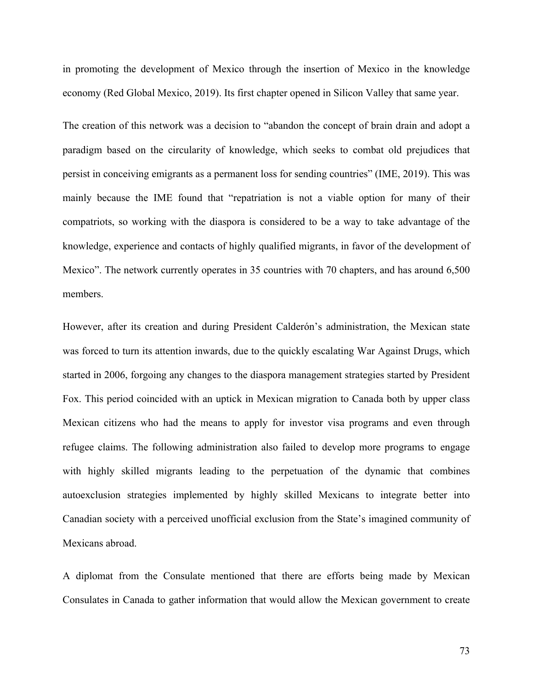in promoting the development of Mexico through the insertion of Mexico in the knowledge economy (Red Global Mexico, 2019). Its first chapter opened in Silicon Valley that same year.

The creation of this network was a decision to "abandon the concept of brain drain and adopt a paradigm based on the circularity of knowledge, which seeks to combat old prejudices that persist in conceiving emigrants as a permanent loss for sending countries" (IME, 2019). This was mainly because the IME found that "repatriation is not a viable option for many of their compatriots, so working with the diaspora is considered to be a way to take advantage of the knowledge, experience and contacts of highly qualified migrants, in favor of the development of Mexico". The network currently operates in 35 countries with 70 chapters, and has around 6,500 members.

However, after its creation and during President Calderón's administration, the Mexican state was forced to turn its attention inwards, due to the quickly escalating War Against Drugs, which started in 2006, forgoing any changes to the diaspora management strategies started by President Fox. This period coincided with an uptick in Mexican migration to Canada both by upper class Mexican citizens who had the means to apply for investor visa programs and even through refugee claims. The following administration also failed to develop more programs to engage with highly skilled migrants leading to the perpetuation of the dynamic that combines autoexclusion strategies implemented by highly skilled Mexicans to integrate better into Canadian society with a perceived unofficial exclusion from the State's imagined community of Mexicans abroad.

A diplomat from the Consulate mentioned that there are efforts being made by Mexican Consulates in Canada to gather information that would allow the Mexican government to create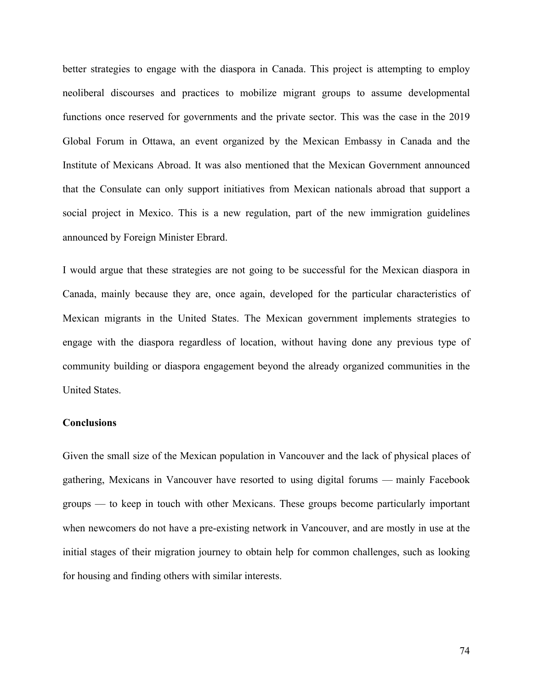better strategies to engage with the diaspora in Canada. This project is attempting to employ neoliberal discourses and practices to mobilize migrant groups to assume developmental functions once reserved for governments and the private sector. This was the case in the 2019 Global Forum in Ottawa, an event organized by the Mexican Embassy in Canada and the Institute of Mexicans Abroad. It was also mentioned that the Mexican Government announced that the Consulate can only support initiatives from Mexican nationals abroad that support a social project in Mexico. This is a new regulation, part of the new immigration guidelines announced by Foreign Minister Ebrard.

I would argue that these strategies are not going to be successful for the Mexican diaspora in Canada, mainly because they are, once again, developed for the particular characteristics of Mexican migrants in the United States. The Mexican government implements strategies to engage with the diaspora regardless of location, without having done any previous type of community building or diaspora engagement beyond the already organized communities in the United States.

# **Conclusions**

Given the small size of the Mexican population in Vancouver and the lack of physical places of gathering, Mexicans in Vancouver have resorted to using digital forums — mainly Facebook groups — to keep in touch with other Mexicans. These groups become particularly important when newcomers do not have a pre-existing network in Vancouver, and are mostly in use at the initial stages of their migration journey to obtain help for common challenges, such as looking for housing and finding others with similar interests.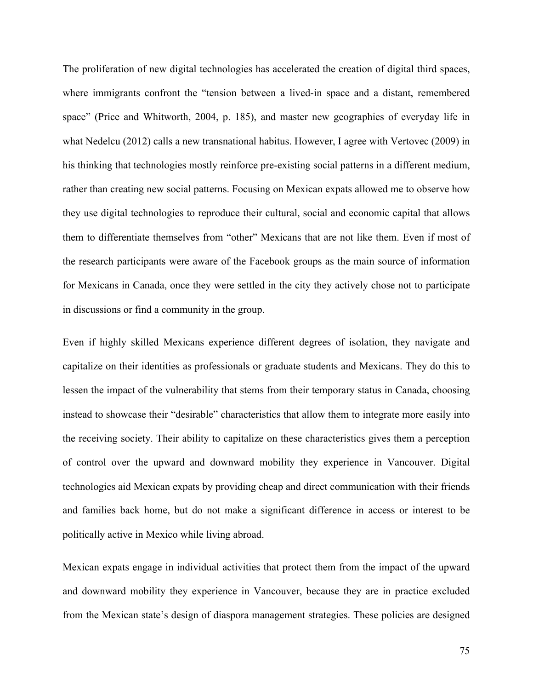The proliferation of new digital technologies has accelerated the creation of digital third spaces, where immigrants confront the "tension between a lived-in space and a distant, remembered space" (Price and Whitworth, 2004, p. 185), and master new geographies of everyday life in what Nedelcu (2012) calls a new transnational habitus. However, I agree with Vertovec (2009) in his thinking that technologies mostly reinforce pre-existing social patterns in a different medium, rather than creating new social patterns. Focusing on Mexican expats allowed me to observe how they use digital technologies to reproduce their cultural, social and economic capital that allows them to differentiate themselves from "other" Mexicans that are not like them. Even if most of the research participants were aware of the Facebook groups as the main source of information for Mexicans in Canada, once they were settled in the city they actively chose not to participate in discussions or find a community in the group.

Even if highly skilled Mexicans experience different degrees of isolation, they navigate and capitalize on their identities as professionals or graduate students and Mexicans. They do this to lessen the impact of the vulnerability that stems from their temporary status in Canada, choosing instead to showcase their "desirable" characteristics that allow them to integrate more easily into the receiving society. Their ability to capitalize on these characteristics gives them a perception of control over the upward and downward mobility they experience in Vancouver. Digital technologies aid Mexican expats by providing cheap and direct communication with their friends and families back home, but do not make a significant difference in access or interest to be politically active in Mexico while living abroad.

Mexican expats engage in individual activities that protect them from the impact of the upward and downward mobility they experience in Vancouver, because they are in practice excluded from the Mexican state's design of diaspora management strategies. These policies are designed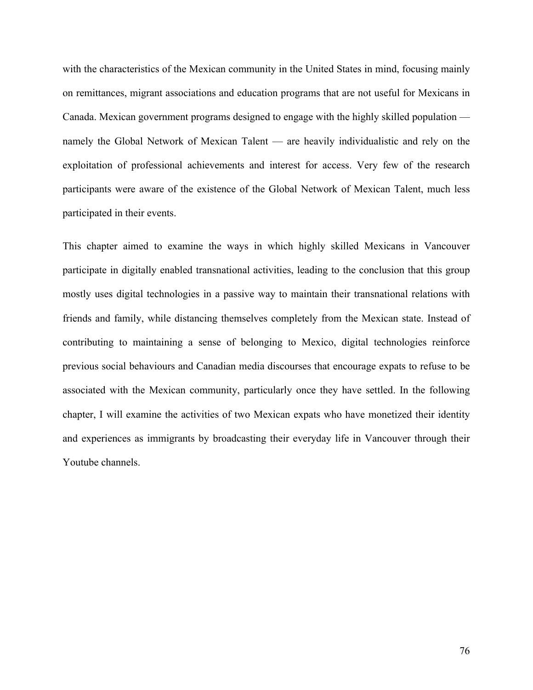with the characteristics of the Mexican community in the United States in mind, focusing mainly on remittances, migrant associations and education programs that are not useful for Mexicans in Canada. Mexican government programs designed to engage with the highly skilled population namely the Global Network of Mexican Talent — are heavily individualistic and rely on the exploitation of professional achievements and interest for access. Very few of the research participants were aware of the existence of the Global Network of Mexican Talent, much less participated in their events.

This chapter aimed to examine the ways in which highly skilled Mexicans in Vancouver participate in digitally enabled transnational activities, leading to the conclusion that this group mostly uses digital technologies in a passive way to maintain their transnational relations with friends and family, while distancing themselves completely from the Mexican state. Instead of contributing to maintaining a sense of belonging to Mexico, digital technologies reinforce previous social behaviours and Canadian media discourses that encourage expats to refuse to be associated with the Mexican community, particularly once they have settled. In the following chapter, I will examine the activities of two Mexican expats who have monetized their identity and experiences as immigrants by broadcasting their everyday life in Vancouver through their Youtube channels.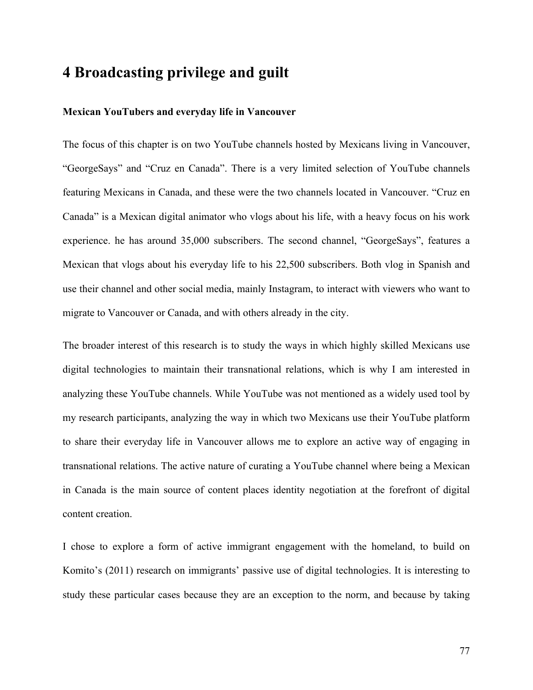# **4 Broadcasting privilege and guilt**

### **Mexican YouTubers and everyday life in Vancouver**

The focus of this chapter is on two YouTube channels hosted by Mexicans living in Vancouver, "GeorgeSays" and "Cruz en Canada". There is a very limited selection of YouTube channels featuring Mexicans in Canada, and these were the two channels located in Vancouver. "Cruz en Canada" is a Mexican digital animator who vlogs about his life, with a heavy focus on his work experience. he has around 35,000 subscribers. The second channel, "GeorgeSays", features a Mexican that vlogs about his everyday life to his 22,500 subscribers. Both vlog in Spanish and use their channel and other social media, mainly Instagram, to interact with viewers who want to migrate to Vancouver or Canada, and with others already in the city.

The broader interest of this research is to study the ways in which highly skilled Mexicans use digital technologies to maintain their transnational relations, which is why I am interested in analyzing these YouTube channels. While YouTube was not mentioned as a widely used tool by my research participants, analyzing the way in which two Mexicans use their YouTube platform to share their everyday life in Vancouver allows me to explore an active way of engaging in transnational relations. The active nature of curating a YouTube channel where being a Mexican in Canada is the main source of content places identity negotiation at the forefront of digital content creation.

I chose to explore a form of active immigrant engagement with the homeland, to build on Komito's (2011) research on immigrants' passive use of digital technologies. It is interesting to study these particular cases because they are an exception to the norm, and because by taking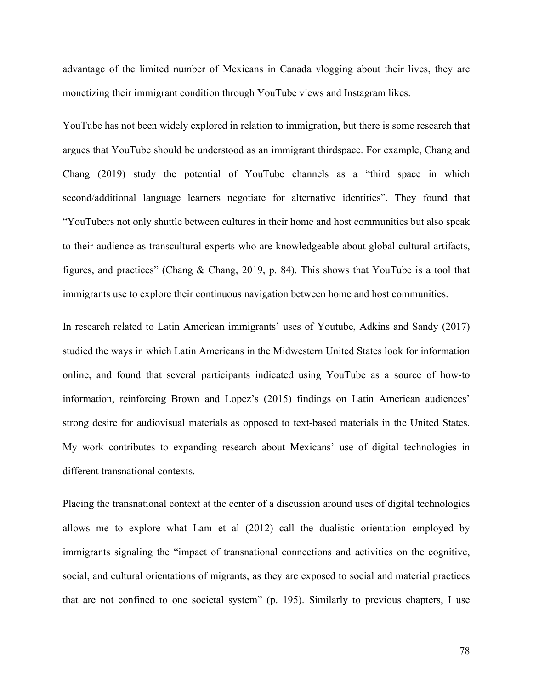advantage of the limited number of Mexicans in Canada vlogging about their lives, they are monetizing their immigrant condition through YouTube views and Instagram likes.

YouTube has not been widely explored in relation to immigration, but there is some research that argues that YouTube should be understood as an immigrant thirdspace. For example, Chang and Chang (2019) study the potential of YouTube channels as a "third space in which second/additional language learners negotiate for alternative identities". They found that "YouTubers not only shuttle between cultures in their home and host communities but also speak to their audience as transcultural experts who are knowledgeable about global cultural artifacts, figures, and practices" (Chang & Chang, 2019, p. 84). This shows that YouTube is a tool that immigrants use to explore their continuous navigation between home and host communities.

In research related to Latin American immigrants' uses of Youtube, Adkins and Sandy (2017) studied the ways in which Latin Americans in the Midwestern United States look for information online, and found that several participants indicated using YouTube as a source of how-to information, reinforcing Brown and Lopez's (2015) findings on Latin American audiences' strong desire for audiovisual materials as opposed to text-based materials in the United States. My work contributes to expanding research about Mexicans' use of digital technologies in different transnational contexts.

Placing the transnational context at the center of a discussion around uses of digital technologies allows me to explore what Lam et al (2012) call the dualistic orientation employed by immigrants signaling the "impact of transnational connections and activities on the cognitive, social, and cultural orientations of migrants, as they are exposed to social and material practices that are not confined to one societal system" (p. 195). Similarly to previous chapters, I use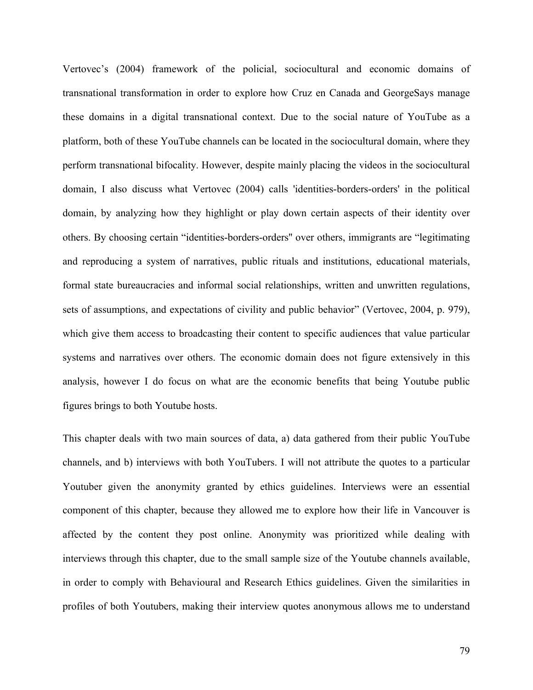Vertovec's (2004) framework of the policial, sociocultural and economic domains of transnational transformation in order to explore how Cruz en Canada and GeorgeSays manage these domains in a digital transnational context. Due to the social nature of YouTube as a platform, both of these YouTube channels can be located in the sociocultural domain, where they perform transnational bifocality. However, despite mainly placing the videos in the sociocultural domain, I also discuss what Vertovec (2004) calls 'identities-borders-orders' in the political domain, by analyzing how they highlight or play down certain aspects of their identity over others. By choosing certain "identities-borders-orders'' over others, immigrants are "legitimating and reproducing a system of narratives, public rituals and institutions, educational materials, formal state bureaucracies and informal social relationships, written and unwritten regulations, sets of assumptions, and expectations of civility and public behavior" (Vertovec, 2004, p. 979), which give them access to broadcasting their content to specific audiences that value particular systems and narratives over others. The economic domain does not figure extensively in this analysis, however I do focus on what are the economic benefits that being Youtube public figures brings to both Youtube hosts.

This chapter deals with two main sources of data, a) data gathered from their public YouTube channels, and b) interviews with both YouTubers. I will not attribute the quotes to a particular Youtuber given the anonymity granted by ethics guidelines. Interviews were an essential component of this chapter, because they allowed me to explore how their life in Vancouver is affected by the content they post online. Anonymity was prioritized while dealing with interviews through this chapter, due to the small sample size of the Youtube channels available, in order to comply with Behavioural and Research Ethics guidelines. Given the similarities in profiles of both Youtubers, making their interview quotes anonymous allows me to understand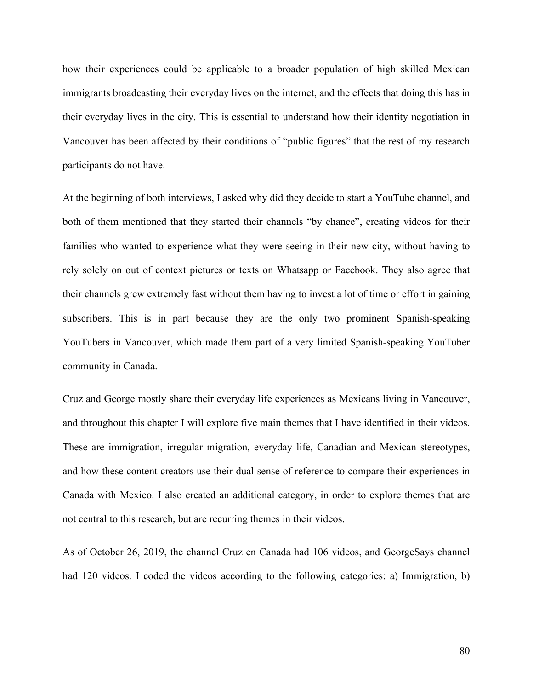how their experiences could be applicable to a broader population of high skilled Mexican immigrants broadcasting their everyday lives on the internet, and the effects that doing this has in their everyday lives in the city. This is essential to understand how their identity negotiation in Vancouver has been affected by their conditions of "public figures" that the rest of my research participants do not have.

At the beginning of both interviews, I asked why did they decide to start a YouTube channel, and both of them mentioned that they started their channels "by chance", creating videos for their families who wanted to experience what they were seeing in their new city, without having to rely solely on out of context pictures or texts on Whatsapp or Facebook. They also agree that their channels grew extremely fast without them having to invest a lot of time or effort in gaining subscribers. This is in part because they are the only two prominent Spanish-speaking YouTubers in Vancouver, which made them part of a very limited Spanish-speaking YouTuber community in Canada.

Cruz and George mostly share their everyday life experiences as Mexicans living in Vancouver, and throughout this chapter I will explore five main themes that I have identified in their videos. These are immigration, irregular migration, everyday life, Canadian and Mexican stereotypes, and how these content creators use their dual sense of reference to compare their experiences in Canada with Mexico. I also created an additional category, in order to explore themes that are not central to this research, but are recurring themes in their videos.

As of October 26, 2019, the channel Cruz en Canada had 106 videos, and GeorgeSays channel had 120 videos. I coded the videos according to the following categories: a) Immigration, b)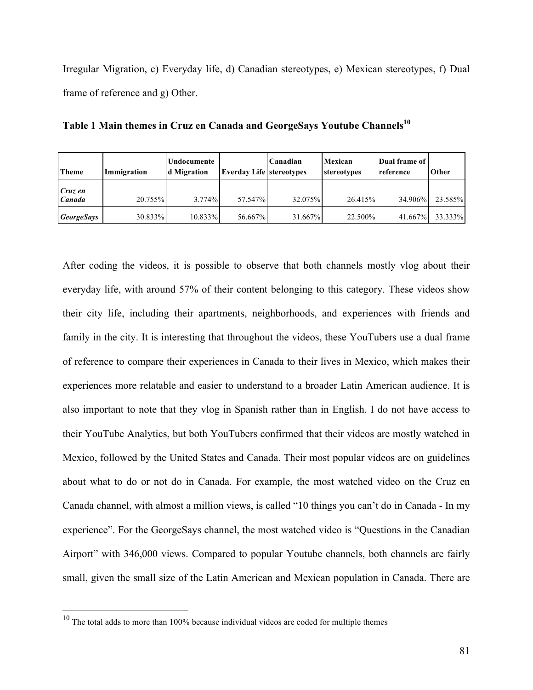Irregular Migration, c) Everyday life, d) Canadian stereotypes, e) Mexican stereotypes, f) Dual frame of reference and g) Other.

| <b>Theme</b>             | Immigration | Undocumente<br>d Migration | <b>Everday Life stereotypes</b> | Canadian | Mexican<br>stereotypes | Dual frame of<br>reference | <b>Other</b> |
|--------------------------|-------------|----------------------------|---------------------------------|----------|------------------------|----------------------------|--------------|
| Cruz en<br>Canada        | 20.755%     | $3.774\%$                  | 57.547%                         | 32.075%  | 26.415%                | 34.906%                    | 23.585%      |
| <i><b>GeorgeSays</b></i> | 30.833%     | $10.833\%$                 | 56.667%                         | 31.667%  | 22.500%                | 41.667%                    | 33.333%      |

Table 1 Main themes in Cruz en Canada and GeorgeSays Youtube Channels<sup>10</sup>

After coding the videos, it is possible to observe that both channels mostly vlog about their everyday life, with around 57% of their content belonging to this category. These videos show their city life, including their apartments, neighborhoods, and experiences with friends and family in the city. It is interesting that throughout the videos, these YouTubers use a dual frame of reference to compare their experiences in Canada to their lives in Mexico, which makes their experiences more relatable and easier to understand to a broader Latin American audience. It is also important to note that they vlog in Spanish rather than in English. I do not have access to their YouTube Analytics, but both YouTubers confirmed that their videos are mostly watched in Mexico, followed by the United States and Canada. Their most popular videos are on guidelines about what to do or not do in Canada. For example, the most watched video on the Cruz en Canada channel, with almost a million views, is called "10 things you can't do in Canada - In my experience". For the GeorgeSays channel, the most watched video is "Questions in the Canadian Airport" with 346,000 views. Compared to popular Youtube channels, both channels are fairly small, given the small size of the Latin American and Mexican population in Canada. There are

<sup>&</sup>lt;sup>10</sup> The total adds to more than 100% because individual videos are coded for multiple themes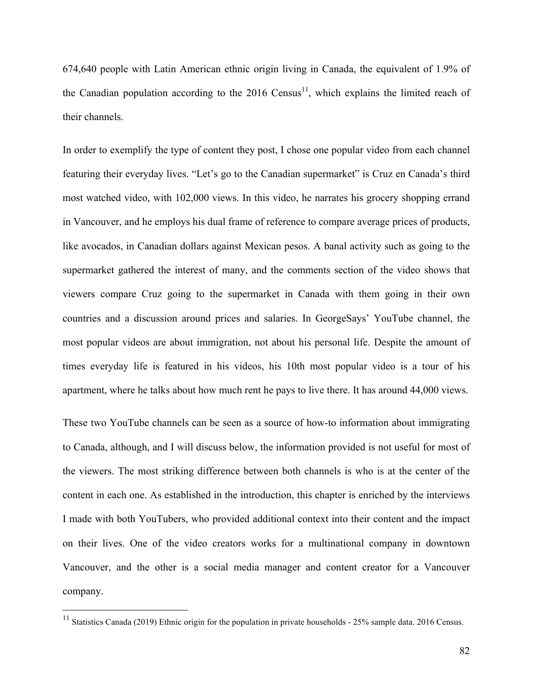674,640 people with Latin American ethnic origin living in Canada, the equivalent of 1.9% of the Canadian population according to the  $2016$  Census<sup>11</sup>, which explains the limited reach of their channels.

In order to exemplify the type of content they post, I chose one popular video from each channel featuring their everyday lives. "Let's go to the Canadian supermarket" is Cruz en Canada's third most watched video, with 102,000 views. In this video, he narrates his grocery shopping errand in Vancouver, and he employs his dual frame of reference to compare average prices of products, like avocados, in Canadian dollars against Mexican pesos. A banal activity such as going to the supermarket gathered the interest of many, and the comments section of the video shows that viewers compare Cruz going to the supermarket in Canada with them going in their own countries and a discussion around prices and salaries. In GeorgeSays' YouTube channel, the most popular videos are about immigration, not about his personal life. Despite the amount of times everyday life is featured in his videos, his 10th most popular video is a tour of his apartment, where he talks about how much rent he pays to live there. It has around 44,000 views.

These two YouTube channels can be seen as a source of how-to information about immigrating to Canada, although, and I will discuss below, the information provided is not useful for most of the viewers. The most striking difference between both channels is who is at the center of the content in each one. As established in the introduction, this chapter is enriched by the interviews I made with both YouTubers, who provided additional context into their content and the impact on their lives. One of the video creators works for a multinational company in downtown Vancouver, and the other is a social media manager and content creator for a Vancouver company.

<sup>&</sup>lt;sup>11</sup> Statistics Canada (2019) Ethnic origin for the population in private households - 25% sample data. 2016 Census.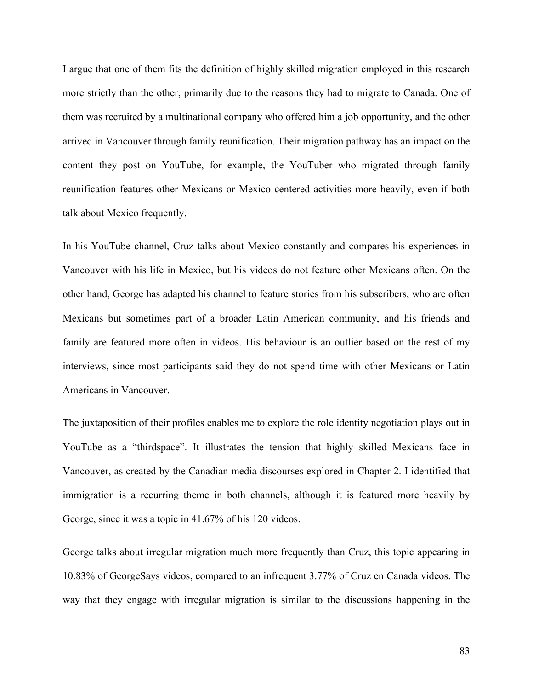I argue that one of them fits the definition of highly skilled migration employed in this research more strictly than the other, primarily due to the reasons they had to migrate to Canada. One of them was recruited by a multinational company who offered him a job opportunity, and the other arrived in Vancouver through family reunification. Their migration pathway has an impact on the content they post on YouTube, for example, the YouTuber who migrated through family reunification features other Mexicans or Mexico centered activities more heavily, even if both talk about Mexico frequently.

In his YouTube channel, Cruz talks about Mexico constantly and compares his experiences in Vancouver with his life in Mexico, but his videos do not feature other Mexicans often. On the other hand, George has adapted his channel to feature stories from his subscribers, who are often Mexicans but sometimes part of a broader Latin American community, and his friends and family are featured more often in videos. His behaviour is an outlier based on the rest of my interviews, since most participants said they do not spend time with other Mexicans or Latin Americans in Vancouver.

The juxtaposition of their profiles enables me to explore the role identity negotiation plays out in YouTube as a "thirdspace". It illustrates the tension that highly skilled Mexicans face in Vancouver, as created by the Canadian media discourses explored in Chapter 2. I identified that immigration is a recurring theme in both channels, although it is featured more heavily by George, since it was a topic in 41.67% of his 120 videos.

George talks about irregular migration much more frequently than Cruz, this topic appearing in 10.83% of GeorgeSays videos, compared to an infrequent 3.77% of Cruz en Canada videos. The way that they engage with irregular migration is similar to the discussions happening in the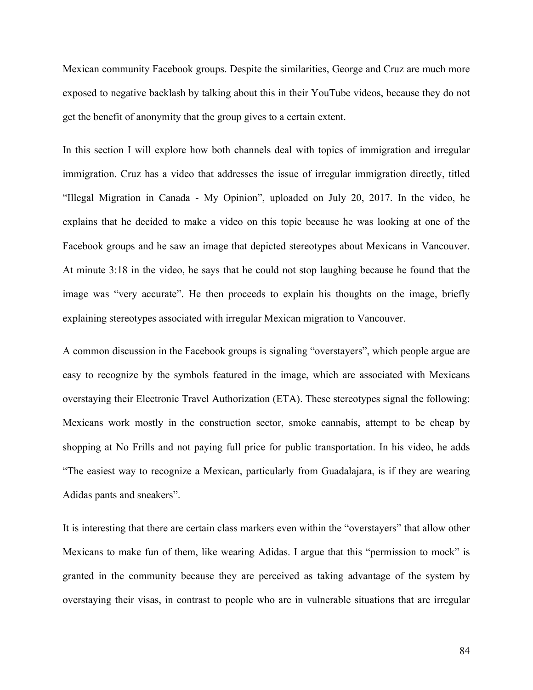Mexican community Facebook groups. Despite the similarities, George and Cruz are much more exposed to negative backlash by talking about this in their YouTube videos, because they do not get the benefit of anonymity that the group gives to a certain extent.

In this section I will explore how both channels deal with topics of immigration and irregular immigration. Cruz has a video that addresses the issue of irregular immigration directly, titled "Illegal Migration in Canada - My Opinion", uploaded on July 20, 2017. In the video, he explains that he decided to make a video on this topic because he was looking at one of the Facebook groups and he saw an image that depicted stereotypes about Mexicans in Vancouver. At minute 3:18 in the video, he says that he could not stop laughing because he found that the image was "very accurate". He then proceeds to explain his thoughts on the image, briefly explaining stereotypes associated with irregular Mexican migration to Vancouver.

A common discussion in the Facebook groups is signaling "overstayers", which people argue are easy to recognize by the symbols featured in the image, which are associated with Mexicans overstaying their Electronic Travel Authorization (ETA). These stereotypes signal the following: Mexicans work mostly in the construction sector, smoke cannabis, attempt to be cheap by shopping at No Frills and not paying full price for public transportation. In his video, he adds "The easiest way to recognize a Mexican, particularly from Guadalajara, is if they are wearing Adidas pants and sneakers".

It is interesting that there are certain class markers even within the "overstayers" that allow other Mexicans to make fun of them, like wearing Adidas. I argue that this "permission to mock" is granted in the community because they are perceived as taking advantage of the system by overstaying their visas, in contrast to people who are in vulnerable situations that are irregular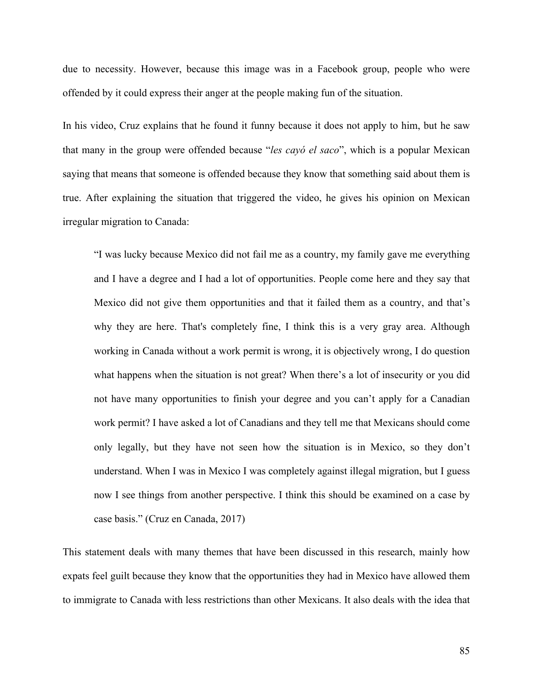due to necessity. However, because this image was in a Facebook group, people who were offended by it could express their anger at the people making fun of the situation.

In his video, Cruz explains that he found it funny because it does not apply to him, but he saw that many in the group were offended because "*les cayó el saco*", which is a popular Mexican saying that means that someone is offended because they know that something said about them is true. After explaining the situation that triggered the video, he gives his opinion on Mexican irregular migration to Canada:

"I was lucky because Mexico did not fail me as a country, my family gave me everything and I have a degree and I had a lot of opportunities. People come here and they say that Mexico did not give them opportunities and that it failed them as a country, and that's why they are here. That's completely fine, I think this is a very gray area. Although working in Canada without a work permit is wrong, it is objectively wrong, I do question what happens when the situation is not great? When there's a lot of insecurity or you did not have many opportunities to finish your degree and you can't apply for a Canadian work permit? I have asked a lot of Canadians and they tell me that Mexicans should come only legally, but they have not seen how the situation is in Mexico, so they don't understand. When I was in Mexico I was completely against illegal migration, but I guess now I see things from another perspective. I think this should be examined on a case by case basis." (Cruz en Canada, 2017)

This statement deals with many themes that have been discussed in this research, mainly how expats feel guilt because they know that the opportunities they had in Mexico have allowed them to immigrate to Canada with less restrictions than other Mexicans. It also deals with the idea that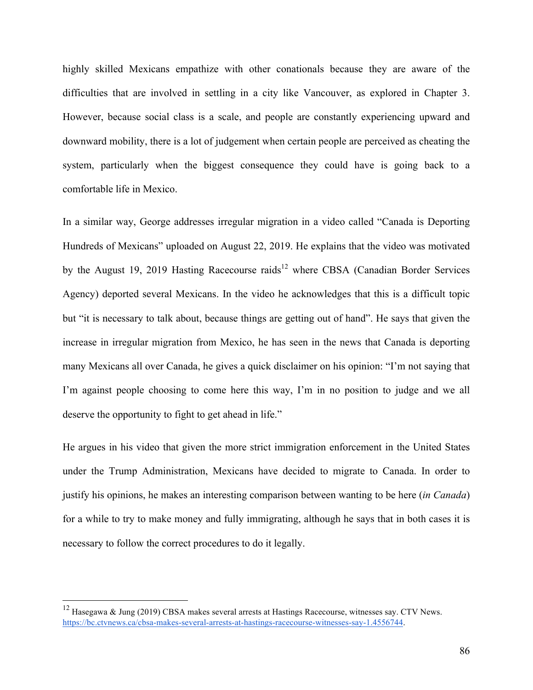highly skilled Mexicans empathize with other conationals because they are aware of the difficulties that are involved in settling in a city like Vancouver, as explored in Chapter 3. However, because social class is a scale, and people are constantly experiencing upward and downward mobility, there is a lot of judgement when certain people are perceived as cheating the system, particularly when the biggest consequence they could have is going back to a comfortable life in Mexico.

In a similar way, George addresses irregular migration in a video called "Canada is Deporting Hundreds of Mexicans" uploaded on August 22, 2019. He explains that the video was motivated by the August 19, 2019 Hasting Racecourse raids<sup>12</sup> where CBSA (Canadian Border Services Agency) deported several Mexicans. In the video he acknowledges that this is a difficult topic but "it is necessary to talk about, because things are getting out of hand". He says that given the increase in irregular migration from Mexico, he has seen in the news that Canada is deporting many Mexicans all over Canada, he gives a quick disclaimer on his opinion: "I'm not saying that I'm against people choosing to come here this way, I'm in no position to judge and we all deserve the opportunity to fight to get ahead in life."

He argues in his video that given the more strict immigration enforcement in the United States under the Trump Administration, Mexicans have decided to migrate to Canada. In order to justify his opinions, he makes an interesting comparison between wanting to be here (*in Canada*) for a while to try to make money and fully immigrating, although he says that in both cases it is necessary to follow the correct procedures to do it legally.

<sup>&</sup>lt;sup>12</sup> Hasegawa & Jung (2019) CBSA makes several arrests at Hastings Racecourse, witnesses say. CTV News. https://bc.ctvnews.ca/cbsa-makes-several-arrests-at-hastings-racecourse-witnesses-say-1.4556744.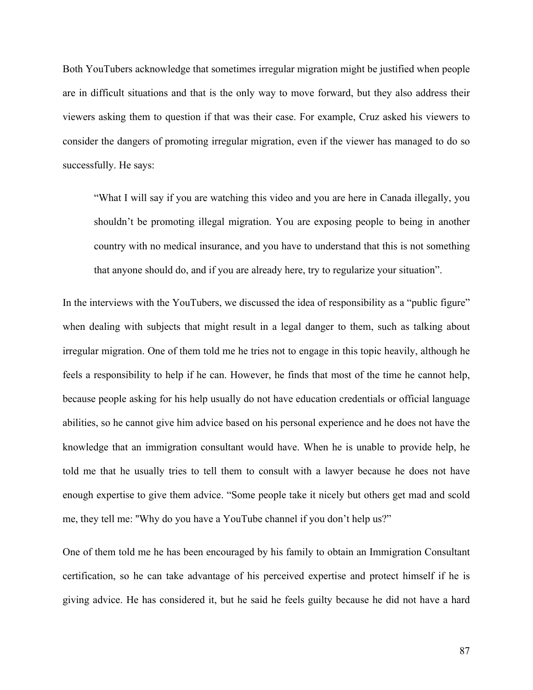Both YouTubers acknowledge that sometimes irregular migration might be justified when people are in difficult situations and that is the only way to move forward, but they also address their viewers asking them to question if that was their case. For example, Cruz asked his viewers to consider the dangers of promoting irregular migration, even if the viewer has managed to do so successfully. He says:

"What I will say if you are watching this video and you are here in Canada illegally, you shouldn't be promoting illegal migration. You are exposing people to being in another country with no medical insurance, and you have to understand that this is not something that anyone should do, and if you are already here, try to regularize your situation".

In the interviews with the YouTubers, we discussed the idea of responsibility as a "public figure" when dealing with subjects that might result in a legal danger to them, such as talking about irregular migration. One of them told me he tries not to engage in this topic heavily, although he feels a responsibility to help if he can. However, he finds that most of the time he cannot help, because people asking for his help usually do not have education credentials or official language abilities, so he cannot give him advice based on his personal experience and he does not have the knowledge that an immigration consultant would have. When he is unable to provide help, he told me that he usually tries to tell them to consult with a lawyer because he does not have enough expertise to give them advice. "Some people take it nicely but others get mad and scold me, they tell me: ''Why do you have a YouTube channel if you don't help us?"

One of them told me he has been encouraged by his family to obtain an Immigration Consultant certification, so he can take advantage of his perceived expertise and protect himself if he is giving advice. He has considered it, but he said he feels guilty because he did not have a hard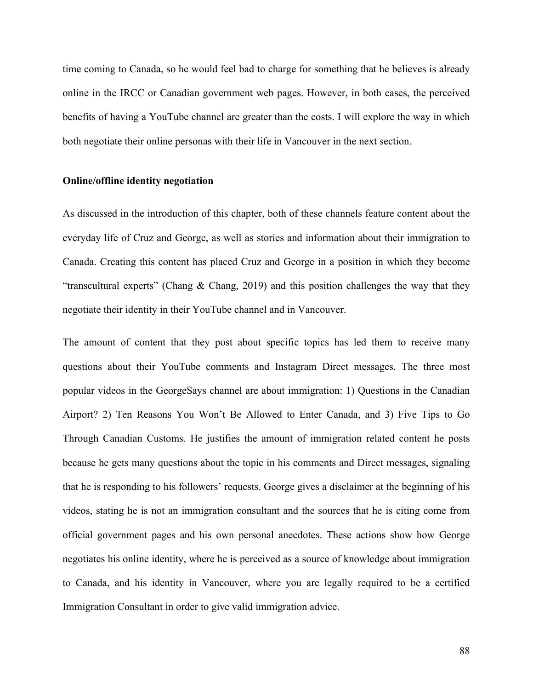time coming to Canada, so he would feel bad to charge for something that he believes is already online in the IRCC or Canadian government web pages. However, in both cases, the perceived benefits of having a YouTube channel are greater than the costs. I will explore the way in which both negotiate their online personas with their life in Vancouver in the next section.

#### **Online/offline identity negotiation**

As discussed in the introduction of this chapter, both of these channels feature content about the everyday life of Cruz and George, as well as stories and information about their immigration to Canada. Creating this content has placed Cruz and George in a position in which they become "transcultural experts" (Chang & Chang, 2019) and this position challenges the way that they negotiate their identity in their YouTube channel and in Vancouver.

The amount of content that they post about specific topics has led them to receive many questions about their YouTube comments and Instagram Direct messages. The three most popular videos in the GeorgeSays channel are about immigration: 1) Questions in the Canadian Airport? 2) Ten Reasons You Won't Be Allowed to Enter Canada, and 3) Five Tips to Go Through Canadian Customs. He justifies the amount of immigration related content he posts because he gets many questions about the topic in his comments and Direct messages, signaling that he is responding to his followers' requests. George gives a disclaimer at the beginning of his videos, stating he is not an immigration consultant and the sources that he is citing come from official government pages and his own personal anecdotes. These actions show how George negotiates his online identity, where he is perceived as a source of knowledge about immigration to Canada, and his identity in Vancouver, where you are legally required to be a certified Immigration Consultant in order to give valid immigration advice.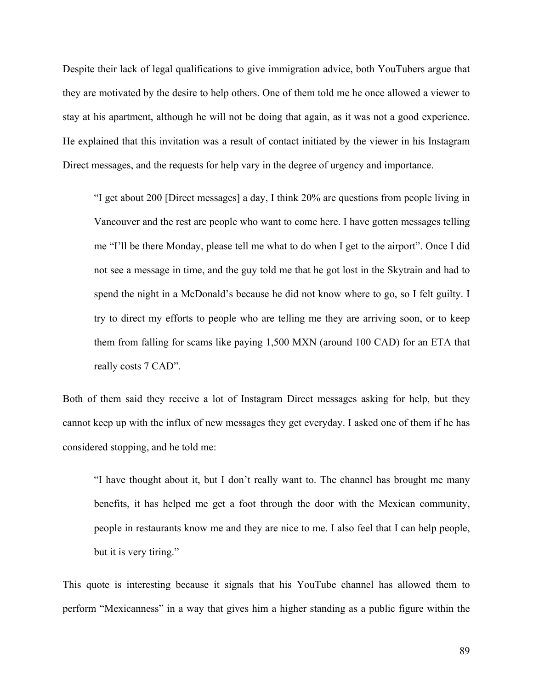Despite their lack of legal qualifications to give immigration advice, both YouTubers argue that they are motivated by the desire to help others. One of them told me he once allowed a viewer to stay at his apartment, although he will not be doing that again, as it was not a good experience. He explained that this invitation was a result of contact initiated by the viewer in his Instagram Direct messages, and the requests for help vary in the degree of urgency and importance.

"I get about 200 [Direct messages] a day, I think 20% are questions from people living in Vancouver and the rest are people who want to come here. I have gotten messages telling me "I'll be there Monday, please tell me what to do when I get to the airport". Once I did not see a message in time, and the guy told me that he got lost in the Skytrain and had to spend the night in a McDonald's because he did not know where to go, so I felt guilty. I try to direct my efforts to people who are telling me they are arriving soon, or to keep them from falling for scams like paying 1,500 MXN (around 100 CAD) for an ETA that really costs 7 CAD".

Both of them said they receive a lot of Instagram Direct messages asking for help, but they cannot keep up with the influx of new messages they get everyday. I asked one of them if he has considered stopping, and he told me:

"I have thought about it, but I don't really want to. The channel has brought me many benefits, it has helped me get a foot through the door with the Mexican community, people in restaurants know me and they are nice to me. I also feel that I can help people, but it is very tiring."

This quote is interesting because it signals that his YouTube channel has allowed them to perform "Mexicanness" in a way that gives him a higher standing as a public figure within the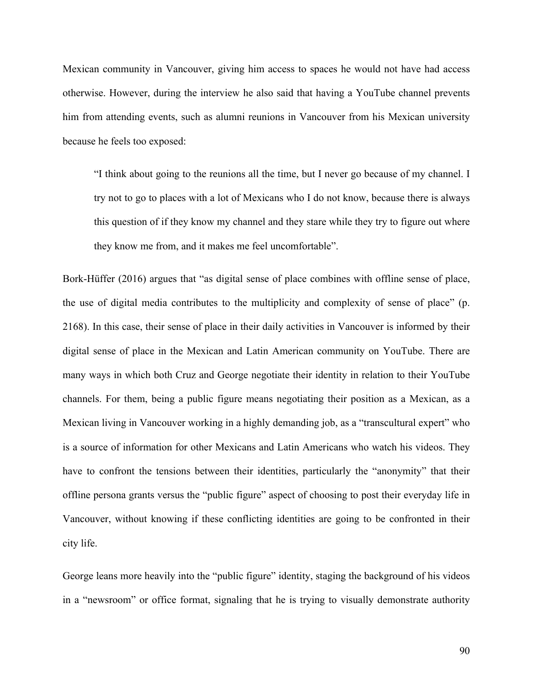Mexican community in Vancouver, giving him access to spaces he would not have had access otherwise. However, during the interview he also said that having a YouTube channel prevents him from attending events, such as alumni reunions in Vancouver from his Mexican university because he feels too exposed:

"I think about going to the reunions all the time, but I never go because of my channel. I try not to go to places with a lot of Mexicans who I do not know, because there is always this question of if they know my channel and they stare while they try to figure out where they know me from, and it makes me feel uncomfortable".

Bork-Hüffer (2016) argues that "as digital sense of place combines with offline sense of place, the use of digital media contributes to the multiplicity and complexity of sense of place" (p. 2168). In this case, their sense of place in their daily activities in Vancouver is informed by their digital sense of place in the Mexican and Latin American community on YouTube. There are many ways in which both Cruz and George negotiate their identity in relation to their YouTube channels. For them, being a public figure means negotiating their position as a Mexican, as a Mexican living in Vancouver working in a highly demanding job, as a "transcultural expert" who is a source of information for other Mexicans and Latin Americans who watch his videos. They have to confront the tensions between their identities, particularly the "anonymity" that their offline persona grants versus the "public figure" aspect of choosing to post their everyday life in Vancouver, without knowing if these conflicting identities are going to be confronted in their city life.

George leans more heavily into the "public figure" identity, staging the background of his videos in a "newsroom" or office format, signaling that he is trying to visually demonstrate authority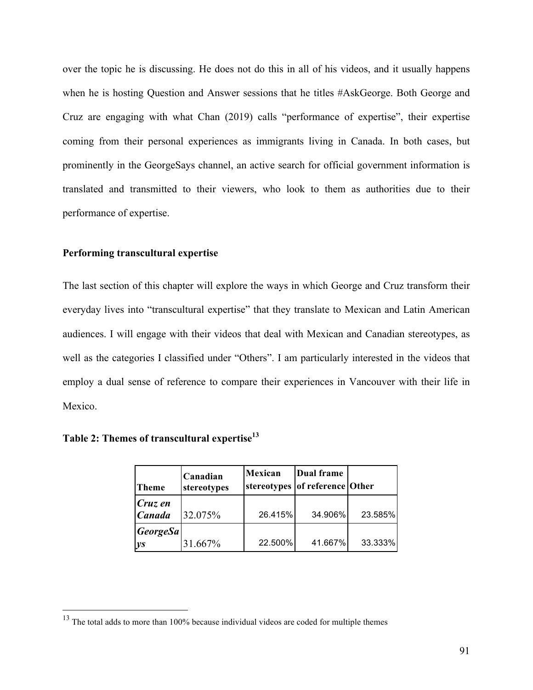over the topic he is discussing. He does not do this in all of his videos, and it usually happens when he is hosting Question and Answer sessions that he titles #AskGeorge. Both George and Cruz are engaging with what Chan (2019) calls "performance of expertise", their expertise coming from their personal experiences as immigrants living in Canada. In both cases, but prominently in the GeorgeSays channel, an active search for official government information is translated and transmitted to their viewers, who look to them as authorities due to their performance of expertise.

#### **Performing transcultural expertise**

The last section of this chapter will explore the ways in which George and Cruz transform their everyday lives into "transcultural expertise" that they translate to Mexican and Latin American audiences. I will engage with their videos that deal with Mexican and Canadian stereotypes, as well as the categories I classified under "Others". I am particularly interested in the videos that employ a dual sense of reference to compare their experiences in Vancouver with their life in Mexico.

|  |  |  |  | Table 2: Themes of transcultural expertise <sup>13</sup> |
|--|--|--|--|----------------------------------------------------------|
|--|--|--|--|----------------------------------------------------------|

| <b>Theme</b>                                      | Canadian<br>stereotypes | Mexican | Dual frame<br>stereotypes of reference Other |         |
|---------------------------------------------------|-------------------------|---------|----------------------------------------------|---------|
| Cruz en<br><b>Canada</b>                          | 32.075%                 | 26.415% | 34.906%                                      | 23.585% |
| $\vert George Sa \vert$<br>$\mathbf{y}\mathbf{s}$ | 31.667%                 | 22.500% | 41.667%                                      | 33.333% |

<sup>&</sup>lt;sup>13</sup> The total adds to more than 100% because individual videos are coded for multiple themes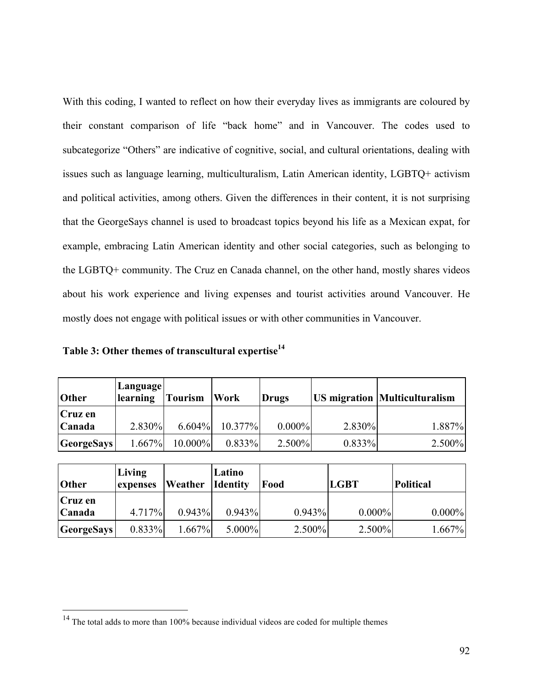With this coding, I wanted to reflect on how their everyday lives as immigrants are coloured by their constant comparison of life "back home" and in Vancouver. The codes used to subcategorize "Others" are indicative of cognitive, social, and cultural orientations, dealing with issues such as language learning, multiculturalism, Latin American identity, LGBTQ+ activism and political activities, among others. Given the differences in their content, it is not surprising that the GeorgeSays channel is used to broadcast topics beyond his life as a Mexican expat, for example, embracing Latin American identity and other social categories, such as belonging to the LGBTQ+ community. The Cruz en Canada channel, on the other hand, mostly shares videos about his work experience and living expenses and tourist activities around Vancouver. He mostly does not engage with political issues or with other communities in Vancouver.

|  | Table 3: Other themes of transcultural expertise <sup>14</sup> |  |
|--|----------------------------------------------------------------|--|
|  |                                                                |  |

| Other             | Language<br>learning | Tourism    | Work       | <b>Drugs</b> |        | <b>US migration Multiculturalism</b> |
|-------------------|----------------------|------------|------------|--------------|--------|--------------------------------------|
| Cruz en           |                      |            |            |              |        |                                      |
| Canada            | $2.830\%$            | 6.604%     | $10.377\%$ | 0.000%       | 2.830% | 1.887%                               |
| <b>GeorgeSays</b> | $1.667\%$            | $10.000\%$ | $0.833\%$  | 2.500%       | 0.833% | 2.500%                               |

| <b>Other</b>      | Living<br>expenses | Weather   | Latino<br><b>Identity</b> | Food   | <b>LGBT</b> | <b>Political</b> |
|-------------------|--------------------|-----------|---------------------------|--------|-------------|------------------|
| Cruz en           |                    |           |                           |        |             |                  |
| Canada            | 4.717%             | 0.943%    | 0.943%                    | 0.943% | $0.000\%$   | $0.000\%$        |
| <b>GeorgeSays</b> | 0.833%             | $1.667\%$ | 5.000%                    | 2.500% | $2.500\%$   | 1.667%           |

<sup>&</sup>lt;sup>14</sup> The total adds to more than 100% because individual videos are coded for multiple themes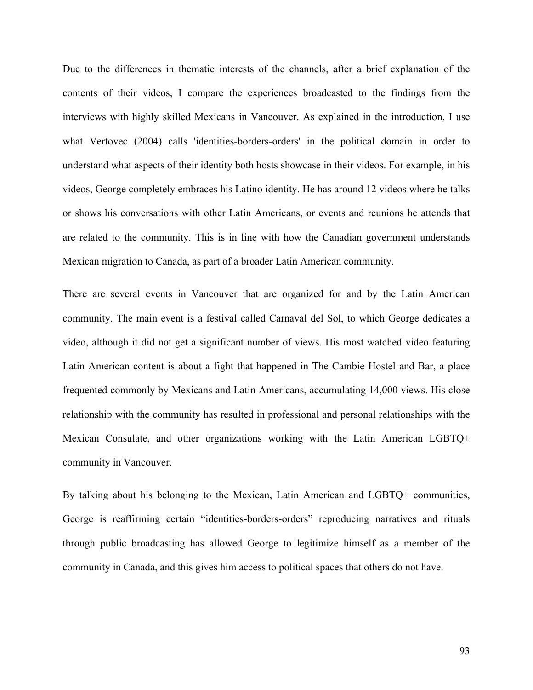Due to the differences in thematic interests of the channels, after a brief explanation of the contents of their videos, I compare the experiences broadcasted to the findings from the interviews with highly skilled Mexicans in Vancouver. As explained in the introduction, I use what Vertovec (2004) calls 'identities-borders-orders' in the political domain in order to understand what aspects of their identity both hosts showcase in their videos. For example, in his videos, George completely embraces his Latino identity. He has around 12 videos where he talks or shows his conversations with other Latin Americans, or events and reunions he attends that are related to the community. This is in line with how the Canadian government understands Mexican migration to Canada, as part of a broader Latin American community.

There are several events in Vancouver that are organized for and by the Latin American community. The main event is a festival called Carnaval del Sol, to which George dedicates a video, although it did not get a significant number of views. His most watched video featuring Latin American content is about a fight that happened in The Cambie Hostel and Bar, a place frequented commonly by Mexicans and Latin Americans, accumulating 14,000 views. His close relationship with the community has resulted in professional and personal relationships with the Mexican Consulate, and other organizations working with the Latin American LGBTQ+ community in Vancouver.

By talking about his belonging to the Mexican, Latin American and LGBTQ+ communities, George is reaffirming certain "identities-borders-orders" reproducing narratives and rituals through public broadcasting has allowed George to legitimize himself as a member of the community in Canada, and this gives him access to political spaces that others do not have.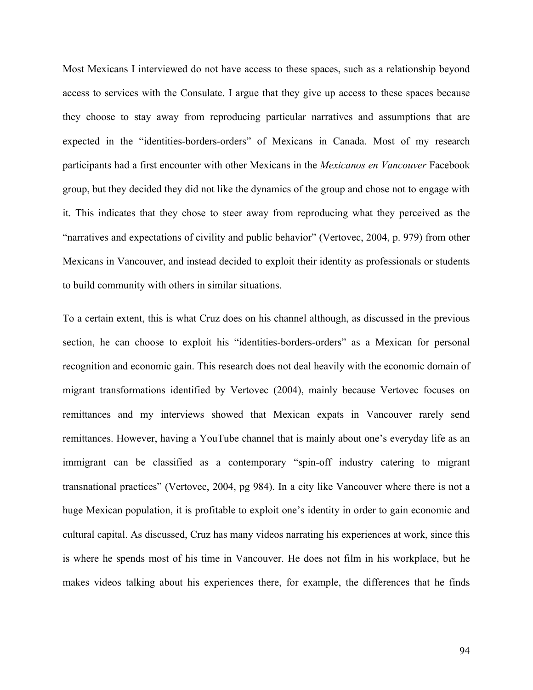Most Mexicans I interviewed do not have access to these spaces, such as a relationship beyond access to services with the Consulate. I argue that they give up access to these spaces because they choose to stay away from reproducing particular narratives and assumptions that are expected in the "identities-borders-orders" of Mexicans in Canada. Most of my research participants had a first encounter with other Mexicans in the *Mexicanos en Vancouver* Facebook group, but they decided they did not like the dynamics of the group and chose not to engage with it. This indicates that they chose to steer away from reproducing what they perceived as the "narratives and expectations of civility and public behavior" (Vertovec, 2004, p. 979) from other Mexicans in Vancouver, and instead decided to exploit their identity as professionals or students to build community with others in similar situations.

To a certain extent, this is what Cruz does on his channel although, as discussed in the previous section, he can choose to exploit his "identities-borders-orders" as a Mexican for personal recognition and economic gain. This research does not deal heavily with the economic domain of migrant transformations identified by Vertovec (2004), mainly because Vertovec focuses on remittances and my interviews showed that Mexican expats in Vancouver rarely send remittances. However, having a YouTube channel that is mainly about one's everyday life as an immigrant can be classified as a contemporary "spin-off industry catering to migrant transnational practices" (Vertovec, 2004, pg 984). In a city like Vancouver where there is not a huge Mexican population, it is profitable to exploit one's identity in order to gain economic and cultural capital. As discussed, Cruz has many videos narrating his experiences at work, since this is where he spends most of his time in Vancouver. He does not film in his workplace, but he makes videos talking about his experiences there, for example, the differences that he finds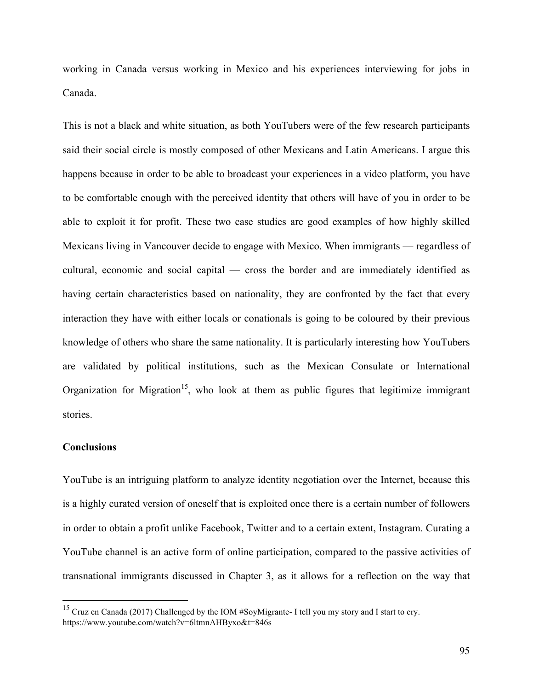working in Canada versus working in Mexico and his experiences interviewing for jobs in Canada.

This is not a black and white situation, as both YouTubers were of the few research participants said their social circle is mostly composed of other Mexicans and Latin Americans. I argue this happens because in order to be able to broadcast your experiences in a video platform, you have to be comfortable enough with the perceived identity that others will have of you in order to be able to exploit it for profit. These two case studies are good examples of how highly skilled Mexicans living in Vancouver decide to engage with Mexico. When immigrants — regardless of cultural, economic and social capital — cross the border and are immediately identified as having certain characteristics based on nationality, they are confronted by the fact that every interaction they have with either locals or conationals is going to be coloured by their previous knowledge of others who share the same nationality. It is particularly interesting how YouTubers are validated by political institutions, such as the Mexican Consulate or International Organization for Migration<sup>15</sup>, who look at them as public figures that legitimize immigrant stories.

## **Conclusions**

YouTube is an intriguing platform to analyze identity negotiation over the Internet, because this is a highly curated version of oneself that is exploited once there is a certain number of followers in order to obtain a profit unlike Facebook, Twitter and to a certain extent, Instagram. Curating a YouTube channel is an active form of online participation, compared to the passive activities of transnational immigrants discussed in Chapter 3, as it allows for a reflection on the way that

 <sup>15</sup> Cruz en Canada (2017) Challenged by the IOM #SoyMigrante- I tell you my story and I start to cry. https://www.youtube.com/watch?v=6ltmnAHByxo&t=846s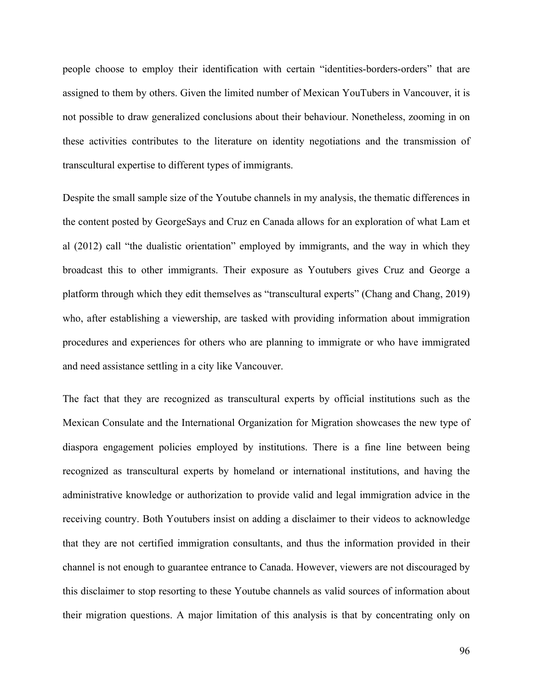people choose to employ their identification with certain "identities-borders-orders" that are assigned to them by others. Given the limited number of Mexican YouTubers in Vancouver, it is not possible to draw generalized conclusions about their behaviour. Nonetheless, zooming in on these activities contributes to the literature on identity negotiations and the transmission of transcultural expertise to different types of immigrants.

Despite the small sample size of the Youtube channels in my analysis, the thematic differences in the content posted by GeorgeSays and Cruz en Canada allows for an exploration of what Lam et al (2012) call "the dualistic orientation" employed by immigrants, and the way in which they broadcast this to other immigrants. Their exposure as Youtubers gives Cruz and George a platform through which they edit themselves as "transcultural experts" (Chang and Chang, 2019) who, after establishing a viewership, are tasked with providing information about immigration procedures and experiences for others who are planning to immigrate or who have immigrated and need assistance settling in a city like Vancouver.

The fact that they are recognized as transcultural experts by official institutions such as the Mexican Consulate and the International Organization for Migration showcases the new type of diaspora engagement policies employed by institutions. There is a fine line between being recognized as transcultural experts by homeland or international institutions, and having the administrative knowledge or authorization to provide valid and legal immigration advice in the receiving country. Both Youtubers insist on adding a disclaimer to their videos to acknowledge that they are not certified immigration consultants, and thus the information provided in their channel is not enough to guarantee entrance to Canada. However, viewers are not discouraged by this disclaimer to stop resorting to these Youtube channels as valid sources of information about their migration questions. A major limitation of this analysis is that by concentrating only on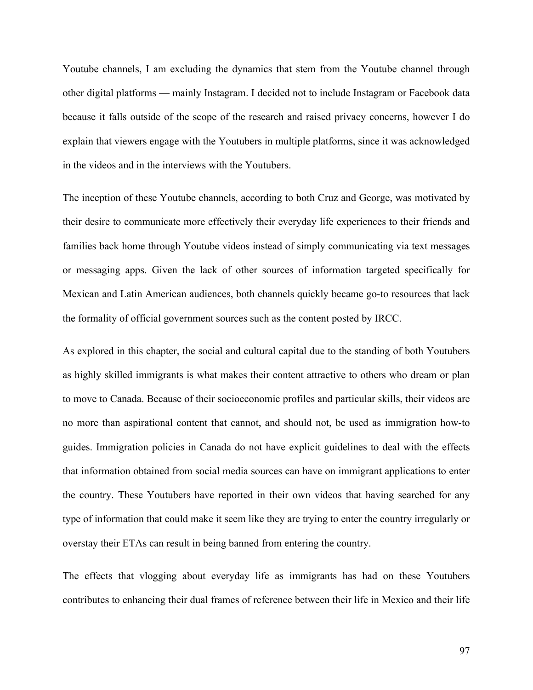Youtube channels, I am excluding the dynamics that stem from the Youtube channel through other digital platforms — mainly Instagram. I decided not to include Instagram or Facebook data because it falls outside of the scope of the research and raised privacy concerns, however I do explain that viewers engage with the Youtubers in multiple platforms, since it was acknowledged in the videos and in the interviews with the Youtubers.

The inception of these Youtube channels, according to both Cruz and George, was motivated by their desire to communicate more effectively their everyday life experiences to their friends and families back home through Youtube videos instead of simply communicating via text messages or messaging apps. Given the lack of other sources of information targeted specifically for Mexican and Latin American audiences, both channels quickly became go-to resources that lack the formality of official government sources such as the content posted by IRCC.

As explored in this chapter, the social and cultural capital due to the standing of both Youtubers as highly skilled immigrants is what makes their content attractive to others who dream or plan to move to Canada. Because of their socioeconomic profiles and particular skills, their videos are no more than aspirational content that cannot, and should not, be used as immigration how-to guides. Immigration policies in Canada do not have explicit guidelines to deal with the effects that information obtained from social media sources can have on immigrant applications to enter the country. These Youtubers have reported in their own videos that having searched for any type of information that could make it seem like they are trying to enter the country irregularly or overstay their ETAs can result in being banned from entering the country.

The effects that vlogging about everyday life as immigrants has had on these Youtubers contributes to enhancing their dual frames of reference between their life in Mexico and their life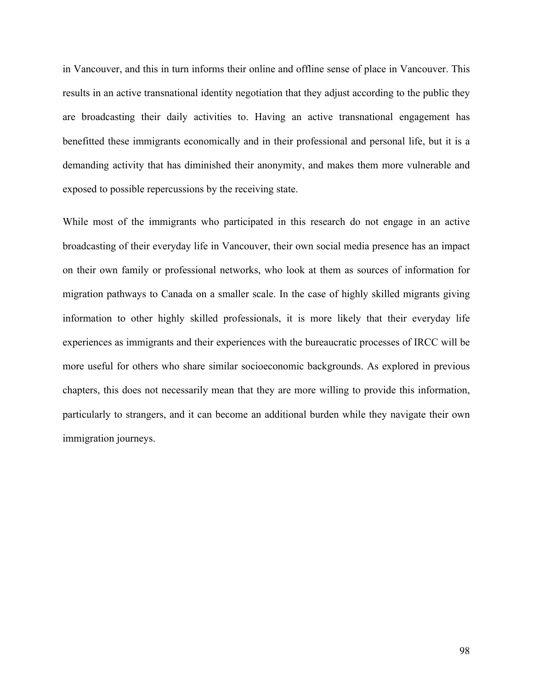in Vancouver, and this in turn informs their online and offline sense of place in Vancouver. This results in an active transnational identity negotiation that they adjust according to the public they are broadcasting their daily activities to. Having an active transnational engagement has benefitted these immigrants economically and in their professional and personal life, but it is a demanding activity that has diminished their anonymity, and makes them more vulnerable and exposed to possible repercussions by the receiving state.

While most of the immigrants who participated in this research do not engage in an active broadcasting of their everyday life in Vancouver, their own social media presence has an impact on their own family or professional networks, who look at them as sources of information for migration pathways to Canada on a smaller scale. In the case of highly skilled migrants giving information to other highly skilled professionals, it is more likely that their everyday life experiences as immigrants and their experiences with the bureaucratic processes of IRCC will be more useful for others who share similar socioeconomic backgrounds. As explored in previous chapters, this does not necessarily mean that they are more willing to provide this information, particularly to strangers, and it can become an additional burden while they navigate their own immigration journeys.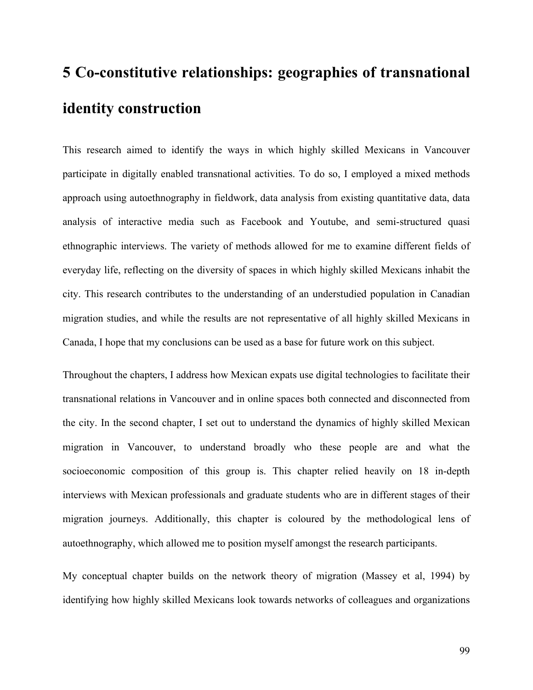## **5 Co-constitutive relationships: geographies of transnational identity construction**

This research aimed to identify the ways in which highly skilled Mexicans in Vancouver participate in digitally enabled transnational activities. To do so, I employed a mixed methods approach using autoethnography in fieldwork, data analysis from existing quantitative data, data analysis of interactive media such as Facebook and Youtube, and semi-structured quasi ethnographic interviews. The variety of methods allowed for me to examine different fields of everyday life, reflecting on the diversity of spaces in which highly skilled Mexicans inhabit the city. This research contributes to the understanding of an understudied population in Canadian migration studies, and while the results are not representative of all highly skilled Mexicans in Canada, I hope that my conclusions can be used as a base for future work on this subject.

Throughout the chapters, I address how Mexican expats use digital technologies to facilitate their transnational relations in Vancouver and in online spaces both connected and disconnected from the city. In the second chapter, I set out to understand the dynamics of highly skilled Mexican migration in Vancouver, to understand broadly who these people are and what the socioeconomic composition of this group is. This chapter relied heavily on 18 in-depth interviews with Mexican professionals and graduate students who are in different stages of their migration journeys. Additionally, this chapter is coloured by the methodological lens of autoethnography, which allowed me to position myself amongst the research participants.

My conceptual chapter builds on the network theory of migration (Massey et al, 1994) by identifying how highly skilled Mexicans look towards networks of colleagues and organizations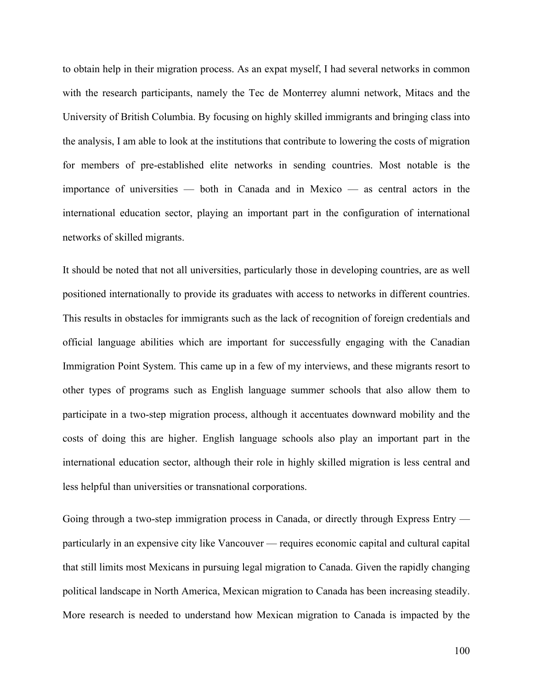to obtain help in their migration process. As an expat myself, I had several networks in common with the research participants, namely the Tec de Monterrey alumni network, Mitacs and the University of British Columbia. By focusing on highly skilled immigrants and bringing class into the analysis, I am able to look at the institutions that contribute to lowering the costs of migration for members of pre-established elite networks in sending countries. Most notable is the importance of universities — both in Canada and in Mexico — as central actors in the international education sector, playing an important part in the configuration of international networks of skilled migrants.

It should be noted that not all universities, particularly those in developing countries, are as well positioned internationally to provide its graduates with access to networks in different countries. This results in obstacles for immigrants such as the lack of recognition of foreign credentials and official language abilities which are important for successfully engaging with the Canadian Immigration Point System. This came up in a few of my interviews, and these migrants resort to other types of programs such as English language summer schools that also allow them to participate in a two-step migration process, although it accentuates downward mobility and the costs of doing this are higher. English language schools also play an important part in the international education sector, although their role in highly skilled migration is less central and less helpful than universities or transnational corporations.

Going through a two-step immigration process in Canada, or directly through Express Entry particularly in an expensive city like Vancouver — requires economic capital and cultural capital that still limits most Mexicans in pursuing legal migration to Canada. Given the rapidly changing political landscape in North America, Mexican migration to Canada has been increasing steadily. More research is needed to understand how Mexican migration to Canada is impacted by the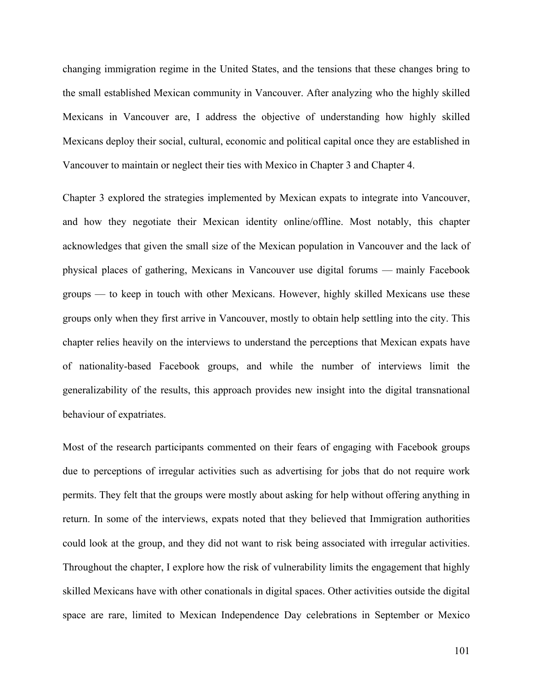changing immigration regime in the United States, and the tensions that these changes bring to the small established Mexican community in Vancouver. After analyzing who the highly skilled Mexicans in Vancouver are, I address the objective of understanding how highly skilled Mexicans deploy their social, cultural, economic and political capital once they are established in Vancouver to maintain or neglect their ties with Mexico in Chapter 3 and Chapter 4.

Chapter 3 explored the strategies implemented by Mexican expats to integrate into Vancouver, and how they negotiate their Mexican identity online/offline. Most notably, this chapter acknowledges that given the small size of the Mexican population in Vancouver and the lack of physical places of gathering, Mexicans in Vancouver use digital forums — mainly Facebook groups — to keep in touch with other Mexicans. However, highly skilled Mexicans use these groups only when they first arrive in Vancouver, mostly to obtain help settling into the city. This chapter relies heavily on the interviews to understand the perceptions that Mexican expats have of nationality-based Facebook groups, and while the number of interviews limit the generalizability of the results, this approach provides new insight into the digital transnational behaviour of expatriates.

Most of the research participants commented on their fears of engaging with Facebook groups due to perceptions of irregular activities such as advertising for jobs that do not require work permits. They felt that the groups were mostly about asking for help without offering anything in return. In some of the interviews, expats noted that they believed that Immigration authorities could look at the group, and they did not want to risk being associated with irregular activities. Throughout the chapter, I explore how the risk of vulnerability limits the engagement that highly skilled Mexicans have with other conationals in digital spaces. Other activities outside the digital space are rare, limited to Mexican Independence Day celebrations in September or Mexico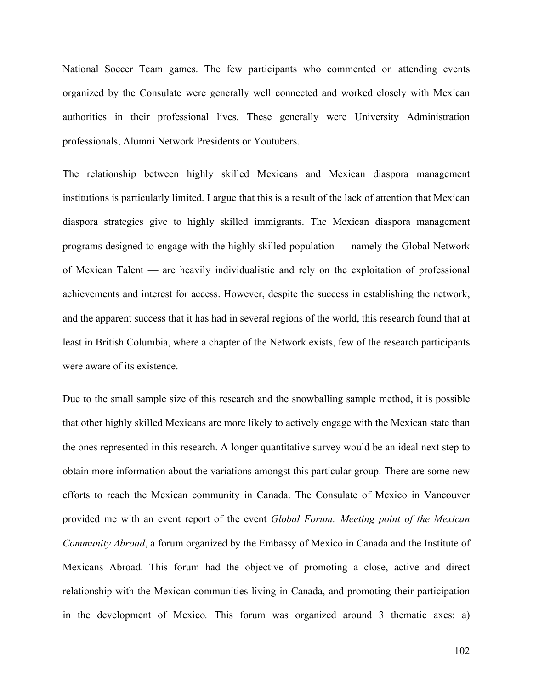National Soccer Team games. The few participants who commented on attending events organized by the Consulate were generally well connected and worked closely with Mexican authorities in their professional lives. These generally were University Administration professionals, Alumni Network Presidents or Youtubers.

The relationship between highly skilled Mexicans and Mexican diaspora management institutions is particularly limited. I argue that this is a result of the lack of attention that Mexican diaspora strategies give to highly skilled immigrants. The Mexican diaspora management programs designed to engage with the highly skilled population — namely the Global Network of Mexican Talent — are heavily individualistic and rely on the exploitation of professional achievements and interest for access. However, despite the success in establishing the network, and the apparent success that it has had in several regions of the world, this research found that at least in British Columbia, where a chapter of the Network exists, few of the research participants were aware of its existence.

Due to the small sample size of this research and the snowballing sample method, it is possible that other highly skilled Mexicans are more likely to actively engage with the Mexican state than the ones represented in this research. A longer quantitative survey would be an ideal next step to obtain more information about the variations amongst this particular group. There are some new efforts to reach the Mexican community in Canada. The Consulate of Mexico in Vancouver provided me with an event report of the event *Global Forum: Meeting point of the Mexican Community Abroad*, a forum organized by the Embassy of Mexico in Canada and the Institute of Mexicans Abroad. This forum had the objective of promoting a close, active and direct relationship with the Mexican communities living in Canada, and promoting their participation in the development of Mexico*.* This forum was organized around 3 thematic axes: a)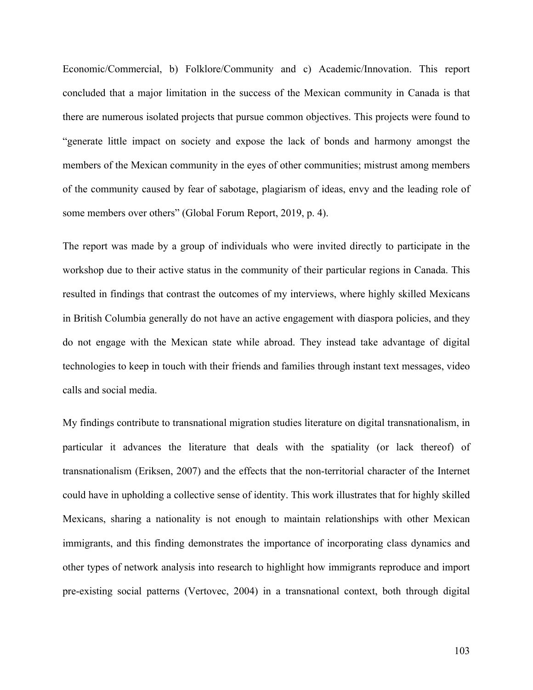Economic/Commercial, b) Folklore/Community and c) Academic/Innovation. This report concluded that a major limitation in the success of the Mexican community in Canada is that there are numerous isolated projects that pursue common objectives. This projects were found to "generate little impact on society and expose the lack of bonds and harmony amongst the members of the Mexican community in the eyes of other communities; mistrust among members of the community caused by fear of sabotage, plagiarism of ideas, envy and the leading role of some members over others" (Global Forum Report, 2019, p. 4).

The report was made by a group of individuals who were invited directly to participate in the workshop due to their active status in the community of their particular regions in Canada. This resulted in findings that contrast the outcomes of my interviews, where highly skilled Mexicans in British Columbia generally do not have an active engagement with diaspora policies, and they do not engage with the Mexican state while abroad. They instead take advantage of digital technologies to keep in touch with their friends and families through instant text messages, video calls and social media.

My findings contribute to transnational migration studies literature on digital transnationalism, in particular it advances the literature that deals with the spatiality (or lack thereof) of transnationalism (Eriksen, 2007) and the effects that the non-territorial character of the Internet could have in upholding a collective sense of identity. This work illustrates that for highly skilled Mexicans, sharing a nationality is not enough to maintain relationships with other Mexican immigrants, and this finding demonstrates the importance of incorporating class dynamics and other types of network analysis into research to highlight how immigrants reproduce and import pre-existing social patterns (Vertovec, 2004) in a transnational context, both through digital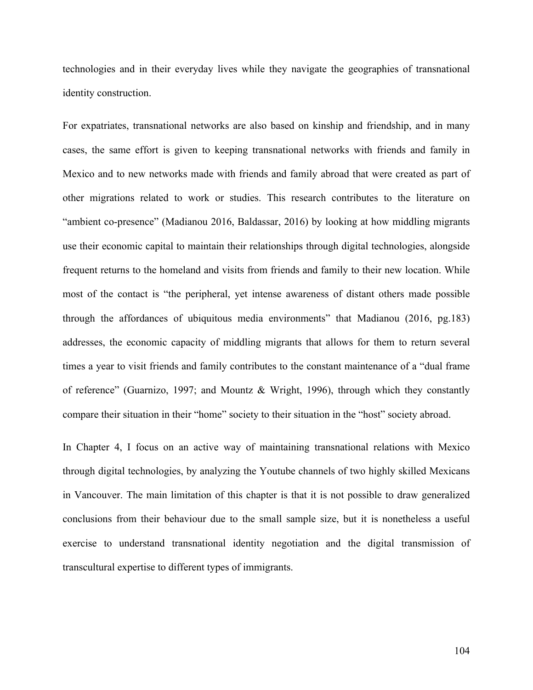technologies and in their everyday lives while they navigate the geographies of transnational identity construction.

For expatriates, transnational networks are also based on kinship and friendship, and in many cases, the same effort is given to keeping transnational networks with friends and family in Mexico and to new networks made with friends and family abroad that were created as part of other migrations related to work or studies. This research contributes to the literature on "ambient co-presence" (Madianou 2016, Baldassar, 2016) by looking at how middling migrants use their economic capital to maintain their relationships through digital technologies, alongside frequent returns to the homeland and visits from friends and family to their new location. While most of the contact is "the peripheral, yet intense awareness of distant others made possible through the affordances of ubiquitous media environments" that Madianou (2016, pg.183) addresses, the economic capacity of middling migrants that allows for them to return several times a year to visit friends and family contributes to the constant maintenance of a "dual frame of reference" (Guarnizo, 1997; and Mountz & Wright, 1996), through which they constantly compare their situation in their "home" society to their situation in the "host" society abroad.

In Chapter 4, I focus on an active way of maintaining transnational relations with Mexico through digital technologies, by analyzing the Youtube channels of two highly skilled Mexicans in Vancouver. The main limitation of this chapter is that it is not possible to draw generalized conclusions from their behaviour due to the small sample size, but it is nonetheless a useful exercise to understand transnational identity negotiation and the digital transmission of transcultural expertise to different types of immigrants.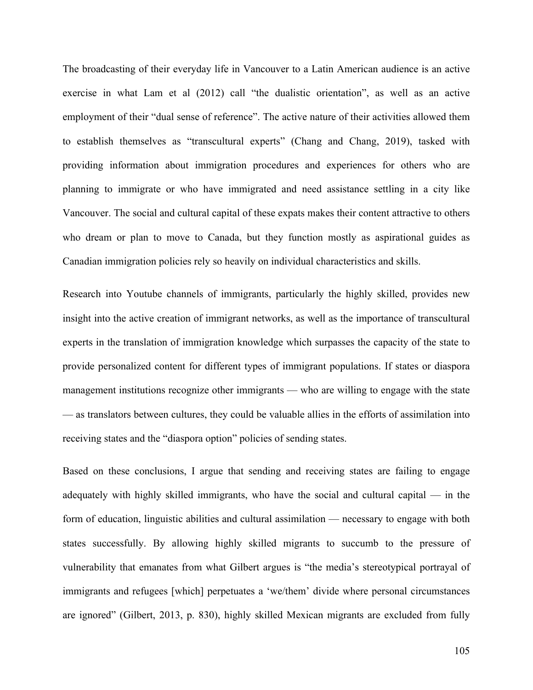The broadcasting of their everyday life in Vancouver to a Latin American audience is an active exercise in what Lam et al (2012) call "the dualistic orientation", as well as an active employment of their "dual sense of reference". The active nature of their activities allowed them to establish themselves as "transcultural experts" (Chang and Chang, 2019), tasked with providing information about immigration procedures and experiences for others who are planning to immigrate or who have immigrated and need assistance settling in a city like Vancouver. The social and cultural capital of these expats makes their content attractive to others who dream or plan to move to Canada, but they function mostly as aspirational guides as Canadian immigration policies rely so heavily on individual characteristics and skills.

Research into Youtube channels of immigrants, particularly the highly skilled, provides new insight into the active creation of immigrant networks, as well as the importance of transcultural experts in the translation of immigration knowledge which surpasses the capacity of the state to provide personalized content for different types of immigrant populations. If states or diaspora management institutions recognize other immigrants — who are willing to engage with the state — as translators between cultures, they could be valuable allies in the efforts of assimilation into receiving states and the "diaspora option" policies of sending states.

Based on these conclusions, I argue that sending and receiving states are failing to engage adequately with highly skilled immigrants, who have the social and cultural capital — in the form of education, linguistic abilities and cultural assimilation — necessary to engage with both states successfully. By allowing highly skilled migrants to succumb to the pressure of vulnerability that emanates from what Gilbert argues is "the media's stereotypical portrayal of immigrants and refugees [which] perpetuates a 'we/them' divide where personal circumstances are ignored" (Gilbert, 2013, p. 830), highly skilled Mexican migrants are excluded from fully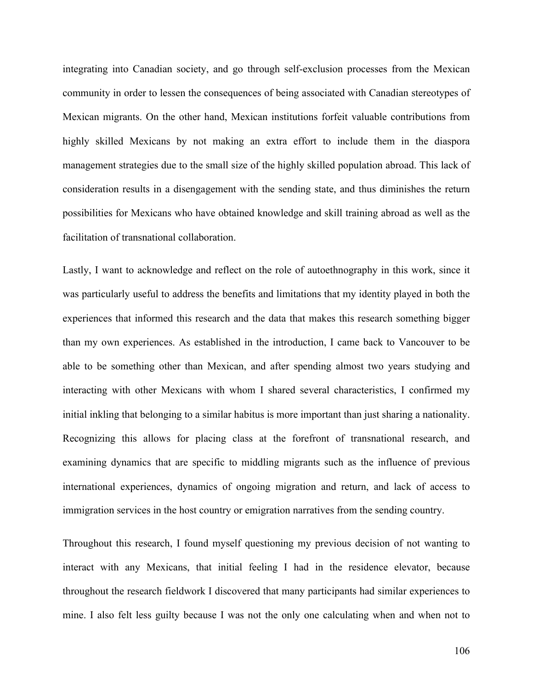integrating into Canadian society, and go through self-exclusion processes from the Mexican community in order to lessen the consequences of being associated with Canadian stereotypes of Mexican migrants. On the other hand, Mexican institutions forfeit valuable contributions from highly skilled Mexicans by not making an extra effort to include them in the diaspora management strategies due to the small size of the highly skilled population abroad. This lack of consideration results in a disengagement with the sending state, and thus diminishes the return possibilities for Mexicans who have obtained knowledge and skill training abroad as well as the facilitation of transnational collaboration.

Lastly, I want to acknowledge and reflect on the role of autoethnography in this work, since it was particularly useful to address the benefits and limitations that my identity played in both the experiences that informed this research and the data that makes this research something bigger than my own experiences. As established in the introduction, I came back to Vancouver to be able to be something other than Mexican, and after spending almost two years studying and interacting with other Mexicans with whom I shared several characteristics, I confirmed my initial inkling that belonging to a similar habitus is more important than just sharing a nationality. Recognizing this allows for placing class at the forefront of transnational research, and examining dynamics that are specific to middling migrants such as the influence of previous international experiences, dynamics of ongoing migration and return, and lack of access to immigration services in the host country or emigration narratives from the sending country.

Throughout this research, I found myself questioning my previous decision of not wanting to interact with any Mexicans, that initial feeling I had in the residence elevator, because throughout the research fieldwork I discovered that many participants had similar experiences to mine. I also felt less guilty because I was not the only one calculating when and when not to

106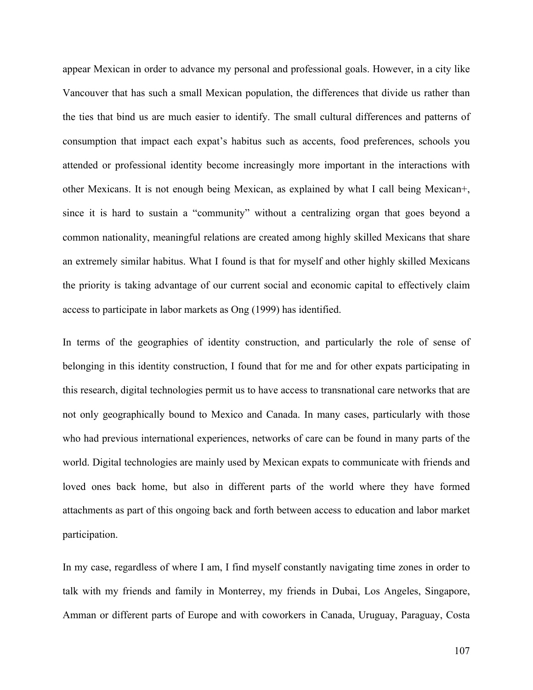appear Mexican in order to advance my personal and professional goals. However, in a city like Vancouver that has such a small Mexican population, the differences that divide us rather than the ties that bind us are much easier to identify. The small cultural differences and patterns of consumption that impact each expat's habitus such as accents, food preferences, schools you attended or professional identity become increasingly more important in the interactions with other Mexicans. It is not enough being Mexican, as explained by what I call being Mexican+, since it is hard to sustain a "community" without a centralizing organ that goes beyond a common nationality, meaningful relations are created among highly skilled Mexicans that share an extremely similar habitus. What I found is that for myself and other highly skilled Mexicans the priority is taking advantage of our current social and economic capital to effectively claim access to participate in labor markets as Ong (1999) has identified.

In terms of the geographies of identity construction, and particularly the role of sense of belonging in this identity construction, I found that for me and for other expats participating in this research, digital technologies permit us to have access to transnational care networks that are not only geographically bound to Mexico and Canada. In many cases, particularly with those who had previous international experiences, networks of care can be found in many parts of the world. Digital technologies are mainly used by Mexican expats to communicate with friends and loved ones back home, but also in different parts of the world where they have formed attachments as part of this ongoing back and forth between access to education and labor market participation.

In my case, regardless of where I am, I find myself constantly navigating time zones in order to talk with my friends and family in Monterrey, my friends in Dubai, Los Angeles, Singapore, Amman or different parts of Europe and with coworkers in Canada, Uruguay, Paraguay, Costa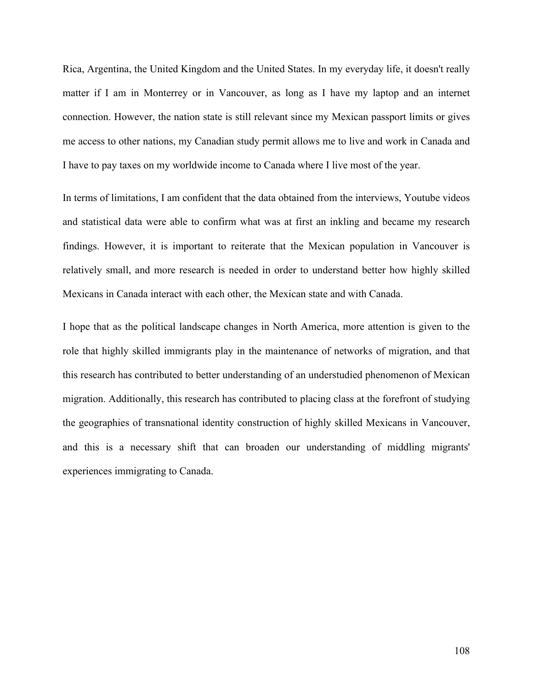Rica, Argentina, the United Kingdom and the United States. In my everyday life, it doesn't really matter if I am in Monterrey or in Vancouver, as long as I have my laptop and an internet connection. However, the nation state is still relevant since my Mexican passport limits or gives me access to other nations, my Canadian study permit allows me to live and work in Canada and I have to pay taxes on my worldwide income to Canada where I live most of the year.

In terms of limitations, I am confident that the data obtained from the interviews, Youtube videos and statistical data were able to confirm what was at first an inkling and became my research findings. However, it is important to reiterate that the Mexican population in Vancouver is relatively small, and more research is needed in order to understand better how highly skilled Mexicans in Canada interact with each other, the Mexican state and with Canada.

I hope that as the political landscape changes in North America, more attention is given to the role that highly skilled immigrants play in the maintenance of networks of migration, and that this research has contributed to better understanding of an understudied phenomenon of Mexican migration. Additionally, this research has contributed to placing class at the forefront of studying the geographies of transnational identity construction of highly skilled Mexicans in Vancouver, and this is a necessary shift that can broaden our understanding of middling migrants' experiences immigrating to Canada.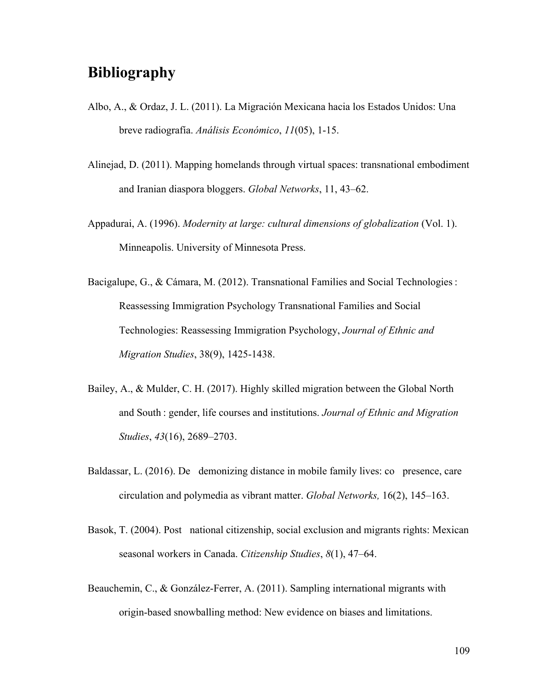## **Bibliography**

- Albo, A., & Ordaz, J. L. (2011). La Migración Mexicana hacia los Estados Unidos: Una breve radiografía. *Análisis Económico*, *11*(05), 1-15.
- Alinejad, D. (2011). Mapping homelands through virtual spaces: transnational embodiment and Iranian diaspora bloggers. *Global Networks*, 11, 43–62.
- Appadurai, A. (1996). *Modernity at large: cultural dimensions of globalization* (Vol. 1). Minneapolis. University of Minnesota Press.
- Bacigalupe, G., & Cámara, M. (2012). Transnational Families and Social Technologies : Reassessing Immigration Psychology Transnational Families and Social Technologies: Reassessing Immigration Psychology, *Journal of Ethnic and Migration Studies*, 38(9), 1425-1438.
- Bailey, A., & Mulder, C. H. (2017). Highly skilled migration between the Global North and South : gender, life courses and institutions. *Journal of Ethnic and Migration Studies*, *43*(16), 2689–2703.
- Baldassar, L.  $(2016)$ . De demonizing distance in mobile family lives: co presence, care circulation and polymedia as vibrant matter. *Global Networks,* 16(2), 145–163.
- Basok, T. (2004). Post national citizenship, social exclusion and migrants rights: Mexican seasonal workers in Canada. *Citizenship Studies*, *8*(1), 47–64.
- Beauchemin, C., & González-Ferrer, A. (2011). Sampling international migrants with origin-based snowballing method: New evidence on biases and limitations.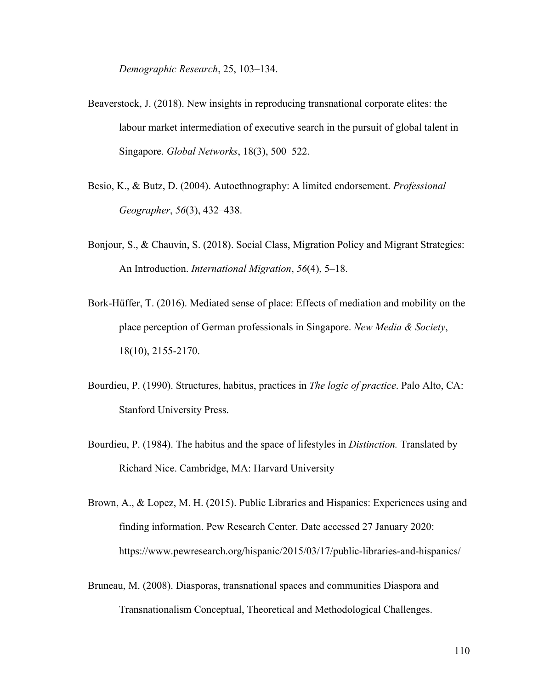*Demographic Research*, 25, 103–134.

- Beaverstock, J. (2018). New insights in reproducing transnational corporate elites: the labour market intermediation of executive search in the pursuit of global talent in Singapore. *Global Networks*, 18(3), 500–522.
- Besio, K., & Butz, D. (2004). Autoethnography: A limited endorsement. *Professional Geographer*, *56*(3), 432–438.
- Bonjour, S., & Chauvin, S. (2018). Social Class, Migration Policy and Migrant Strategies: An Introduction. *International Migration*, *56*(4), 5–18.
- Bork-Hüffer, T. (2016). Mediated sense of place: Effects of mediation and mobility on the place perception of German professionals in Singapore. *New Media & Society*, 18(10), 2155-2170.
- Bourdieu, P. (1990). Structures, habitus, practices in *The logic of practice*. Palo Alto, CA: Stanford University Press.
- Bourdieu, P. (1984). The habitus and the space of lifestyles in *Distinction.* Translated by Richard Nice. Cambridge, MA: Harvard University
- Brown, A., & Lopez, M. H. (2015). Public Libraries and Hispanics: Experiences using and finding information. Pew Research Center. Date accessed 27 January 2020: https://www.pewresearch.org/hispanic/2015/03/17/public-libraries-and-hispanics/
- Bruneau, M. (2008). Diasporas, transnational spaces and communities Diaspora and Transnationalism Conceptual, Theoretical and Methodological Challenges.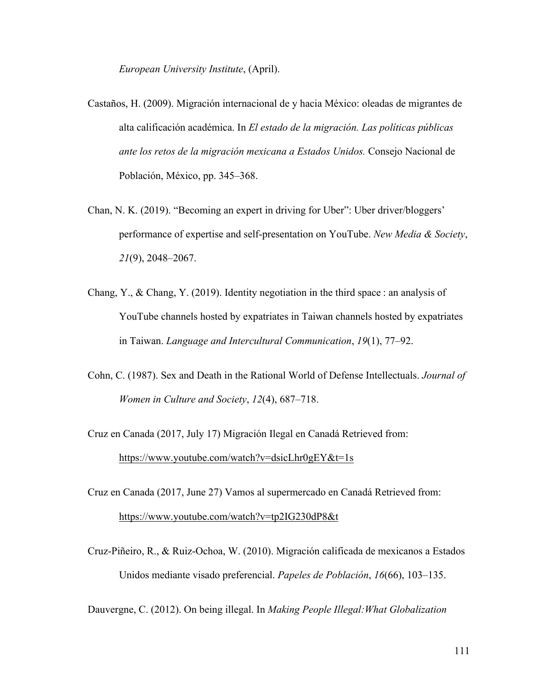*European University Institute*, (April).

- Castaños, H. (2009). Migración internacional de y hacia México: oleadas de migrantes de alta calificación académica. In *El estado de la migración. Las políticas públicas ante los retos de la migración mexicana a Estados Unidos.* Consejo Nacional de Población, México, pp. 345–368.
- Chan, N. K. (2019). "Becoming an expert in driving for Uber": Uber driver/bloggers' performance of expertise and self-presentation on YouTube. *New Media & Society*, *21*(9), 2048–2067.
- Chang, Y., & Chang, Y. (2019). Identity negotiation in the third space : an analysis of YouTube channels hosted by expatriates in Taiwan channels hosted by expatriates in Taiwan. *Language and Intercultural Communication*, *19*(1), 77–92.
- Cohn, C. (1987). Sex and Death in the Rational World of Defense Intellectuals. *Journal of Women in Culture and Society*, *12*(4), 687–718.
- Cruz en Canada (2017, July 17) Migración Ilegal en Canadá Retrieved from: https://www.youtube.com/watch?v=dsicLhr0gEY&t=1s
- Cruz en Canada (2017, June 27) Vamos al supermercado en Canadá Retrieved from: https://www.youtube.com/watch?v=tp2IG230dP8&t
- Cruz-Piñeiro, R., & Ruiz-Ochoa, W. (2010). Migración calificada de mexicanos a Estados Unidos mediante visado preferencial. *Papeles de Población*, *16*(66), 103–135.

Dauvergne, C. (2012). On being illegal. In *Making People Illegal:What Globalization*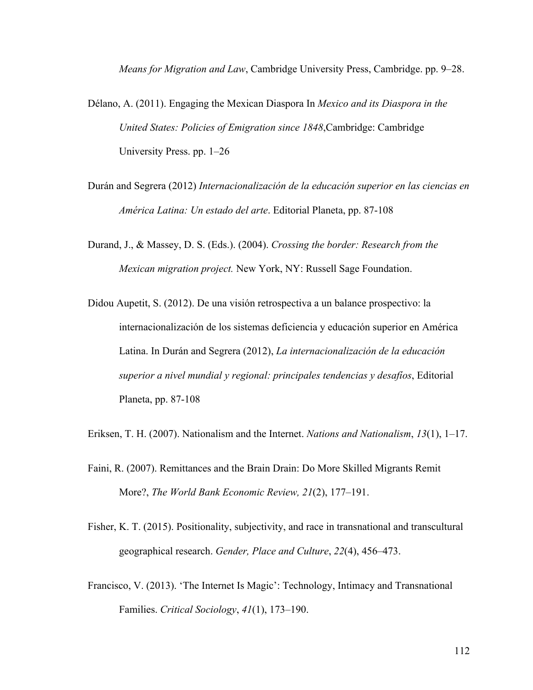*Means for Migration and Law*, Cambridge University Press, Cambridge. pp. 9–28.

- Délano, A. (2011). Engaging the Mexican Diaspora In *Mexico and its Diaspora in the United States: Policies of Emigration since 1848*,Cambridge: Cambridge University Press. pp. 1–26
- Durán and Segrera (2012) *Internacionalización de la educación superior en las ciencias en América Latina: Un estado del arte*. Editorial Planeta, pp. 87-108
- Durand, J., & Massey, D. S. (Eds.). (2004). *Crossing the border: Research from the Mexican migration project.* New York, NY: Russell Sage Foundation.
- Didou Aupetit, S. (2012). De una visión retrospectiva a un balance prospectivo: la internacionalización de los sistemas deficiencia y educación superior en América Latina. In Durán and Segrera (2012), *La internacionalización de la educación superior a nivel mundial y regional: principales tendencias y desafíos*, Editorial Planeta, pp. 87-108
- Eriksen, T. H. (2007). Nationalism and the Internet. *Nations and Nationalism*, *13*(1), 1–17.
- Faini, R. (2007). Remittances and the Brain Drain: Do More Skilled Migrants Remit More?, *The World Bank Economic Review, 21*(2), 177–191.
- Fisher, K. T. (2015). Positionality, subjectivity, and race in transnational and transcultural geographical research. *Gender, Place and Culture*, *22*(4), 456–473.
- Francisco, V. (2013). 'The Internet Is Magic': Technology, Intimacy and Transnational Families. *Critical Sociology*, *41*(1), 173–190.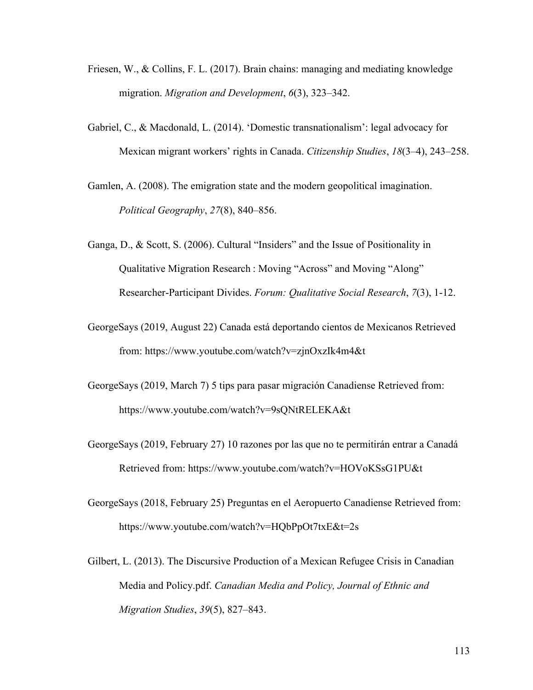- Friesen, W., & Collins, F. L. (2017). Brain chains: managing and mediating knowledge migration. *Migration and Development*, *6*(3), 323–342.
- Gabriel, C., & Macdonald, L. (2014). 'Domestic transnationalism': legal advocacy for Mexican migrant workers' rights in Canada. *Citizenship Studies*, *18*(3–4), 243–258.
- Gamlen, A. (2008). The emigration state and the modern geopolitical imagination. *Political Geography*, *27*(8), 840–856.
- Ganga, D., & Scott, S. (2006). Cultural "Insiders" and the Issue of Positionality in Qualitative Migration Research : Moving "Across" and Moving "Along" Researcher-Participant Divides. *Forum: Qualitative Social Research*, *7*(3), 1-12.
- GeorgeSays (2019, August 22) Canada está deportando cientos de Mexicanos Retrieved from: https://www.youtube.com/watch?v=zjnOxzIk4m4&t
- GeorgeSays (2019, March 7) 5 tips para pasar migración Canadiense Retrieved from: https://www.youtube.com/watch?v=9sQNtRELEKA&t
- GeorgeSays (2019, February 27) 10 razones por las que no te permitirán entrar a Canadá Retrieved from: https://www.youtube.com/watch?v=HOVoKSsG1PU&t
- GeorgeSays (2018, February 25) Preguntas en el Aeropuerto Canadiense Retrieved from: https://www.youtube.com/watch?v=HQbPpOt7txE&t=2s
- Gilbert, L. (2013). The Discursive Production of a Mexican Refugee Crisis in Canadian Media and Policy.pdf. *Canadian Media and Policy, Journal of Ethnic and Migration Studies*, *39*(5), 827–843.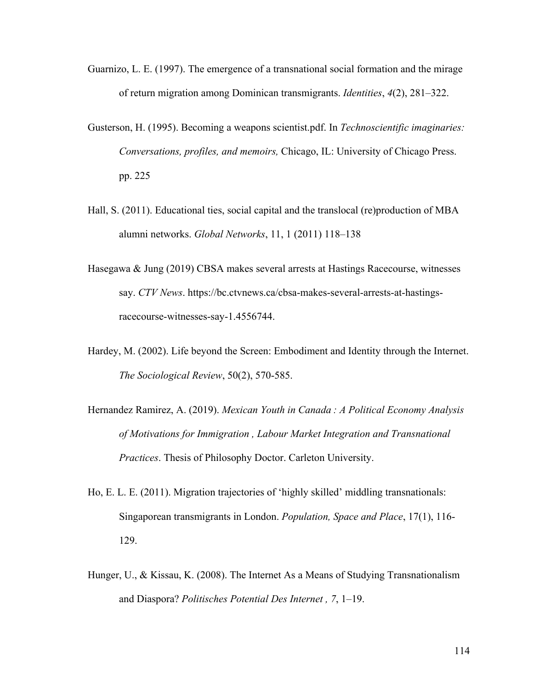- Guarnizo, L. E. (1997). The emergence of a transnational social formation and the mirage of return migration among Dominican transmigrants. *Identities*, *4*(2), 281–322.
- Gusterson, H. (1995). Becoming a weapons scientist.pdf. In *Technoscientific imaginaries: Conversations, profiles, and memoirs,* Chicago, IL: University of Chicago Press. pp. 225
- Hall, S. (2011). Educational ties, social capital and the translocal (re)production of MBA alumni networks. *Global Networks*, 11, 1 (2011) 118–138
- Hasegawa & Jung (2019) CBSA makes several arrests at Hastings Racecourse, witnesses say. *CTV News*. https://bc.ctvnews.ca/cbsa-makes-several-arrests-at-hastingsracecourse-witnesses-say-1.4556744.
- Hardey, M. (2002). Life beyond the Screen: Embodiment and Identity through the Internet. *The Sociological Review*, 50(2), 570-585.
- Hernandez Ramirez, A. (2019). *Mexican Youth in Canada : A Political Economy Analysis of Motivations for Immigration , Labour Market Integration and Transnational Practices*. Thesis of Philosophy Doctor. Carleton University.
- Ho, E. L. E. (2011). Migration trajectories of 'highly skilled' middling transnationals: Singaporean transmigrants in London. *Population, Space and Place*, 17(1), 116- 129.
- Hunger, U., & Kissau, K. (2008). The Internet As a Means of Studying Transnationalism and Diaspora? *Politisches Potential Des Internet , 7*, 1–19.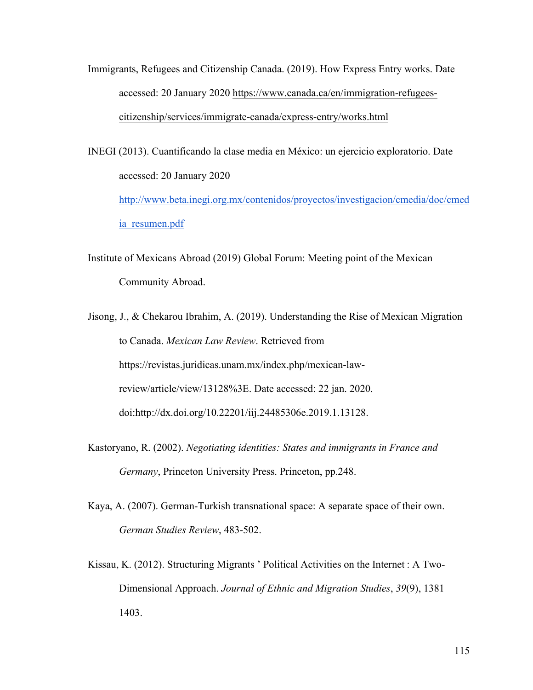Immigrants, Refugees and Citizenship Canada. (2019). How Express Entry works. Date accessed: 20 January 2020 https://www.canada.ca/en/immigration-refugeescitizenship/services/immigrate-canada/express-entry/works.html

INEGI (2013). Cuantificando la clase media en México: un ejercicio exploratorio. Date accessed: 20 January 2020 http://www.beta.inegi.org.mx/contenidos/proyectos/investigacion/cmedia/doc/cmed ia resumen.pdf

Institute of Mexicans Abroad (2019) Global Forum: Meeting point of the Mexican Community Abroad.

Jisong, J., & Chekarou Ibrahim, A. (2019). Understanding the Rise of Mexican Migration to Canada. *Mexican Law Review*. Retrieved from https://revistas.juridicas.unam.mx/index.php/mexican-lawreview/article/view/13128%3E. Date accessed: 22 jan. 2020. doi:http://dx.doi.org/10.22201/iij.24485306e.2019.1.13128.

- Kastoryano, R. (2002). *Negotiating identities: States and immigrants in France and Germany*, Princeton University Press. Princeton, pp.248.
- Kaya, A. (2007). German-Turkish transnational space: A separate space of their own. *German Studies Review*, 483-502.
- Kissau, K. (2012). Structuring Migrants ' Political Activities on the Internet : A Two-Dimensional Approach. *Journal of Ethnic and Migration Studies*, *39*(9), 1381– 1403.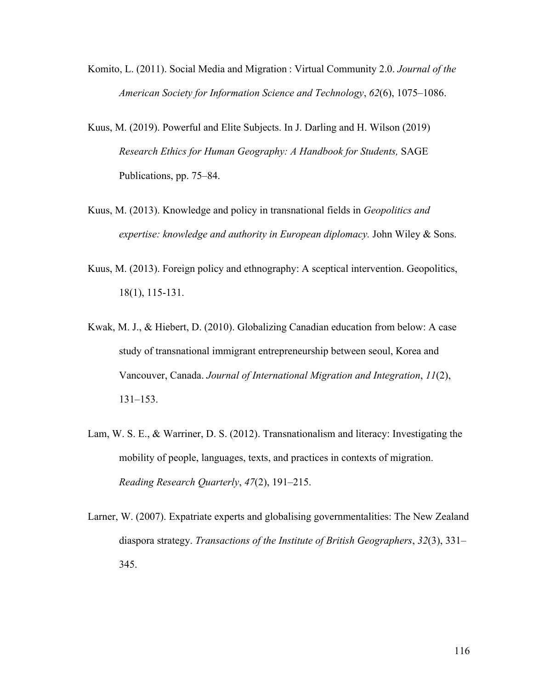- Komito, L. (2011). Social Media and Migration : Virtual Community 2.0. *Journal of the American Society for Information Science and Technology*, *62*(6), 1075–1086.
- Kuus, M. (2019). Powerful and Elite Subjects. In J. Darling and H. Wilson (2019) *Research Ethics for Human Geography: A Handbook for Students,* SAGE Publications, pp. 75–84.
- Kuus, M. (2013). Knowledge and policy in transnational fields in *Geopolitics and expertise: knowledge and authority in European diplomacy.* John Wiley & Sons.
- Kuus, M. (2013). Foreign policy and ethnography: A sceptical intervention. Geopolitics, 18(1), 115-131.
- Kwak, M. J., & Hiebert, D. (2010). Globalizing Canadian education from below: A case study of transnational immigrant entrepreneurship between seoul, Korea and Vancouver, Canada. *Journal of International Migration and Integration*, *11*(2), 131–153.
- Lam, W. S. E., & Warriner, D. S. (2012). Transnationalism and literacy: Investigating the mobility of people, languages, texts, and practices in contexts of migration. *Reading Research Quarterly*, *47*(2), 191–215.
- Larner, W. (2007). Expatriate experts and globalising governmentalities: The New Zealand diaspora strategy. *Transactions of the Institute of British Geographers*, *32*(3), 331– 345.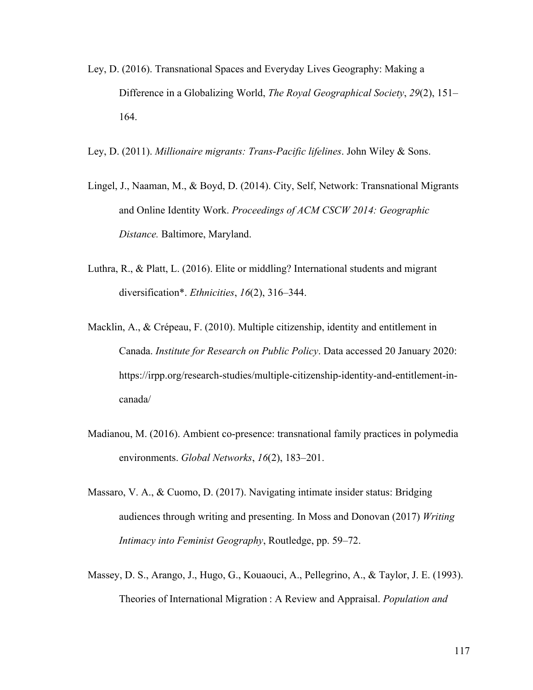- Ley, D. (2016). Transnational Spaces and Everyday Lives Geography: Making a Difference in a Globalizing World, *The Royal Geographical Society*, *29*(2), 151– 164.
- Ley, D. (2011). *Millionaire migrants: Trans-Pacific lifelines*. John Wiley & Sons.
- Lingel, J., Naaman, M., & Boyd, D. (2014). City, Self, Network: Transnational Migrants and Online Identity Work. *Proceedings of ACM CSCW 2014: Geographic Distance.* Baltimore, Maryland.
- Luthra, R., & Platt, L. (2016). Elite or middling? International students and migrant diversification\*. *Ethnicities*, *16*(2), 316–344.
- Macklin, A., & Crépeau, F. (2010). Multiple citizenship, identity and entitlement in Canada. *Institute for Research on Public Policy*. Data accessed 20 January 2020: https://irpp.org/research-studies/multiple-citizenship-identity-and-entitlement-incanada/
- Madianou, M. (2016). Ambient co-presence: transnational family practices in polymedia environments. *Global Networks*, *16*(2), 183–201.
- Massaro, V. A., & Cuomo, D. (2017). Navigating intimate insider status: Bridging audiences through writing and presenting. In Moss and Donovan (2017) *Writing Intimacy into Feminist Geography*, Routledge, pp. 59–72.
- Massey, D. S., Arango, J., Hugo, G., Kouaouci, A., Pellegrino, A., & Taylor, J. E. (1993). Theories of International Migration : A Review and Appraisal. *Population and*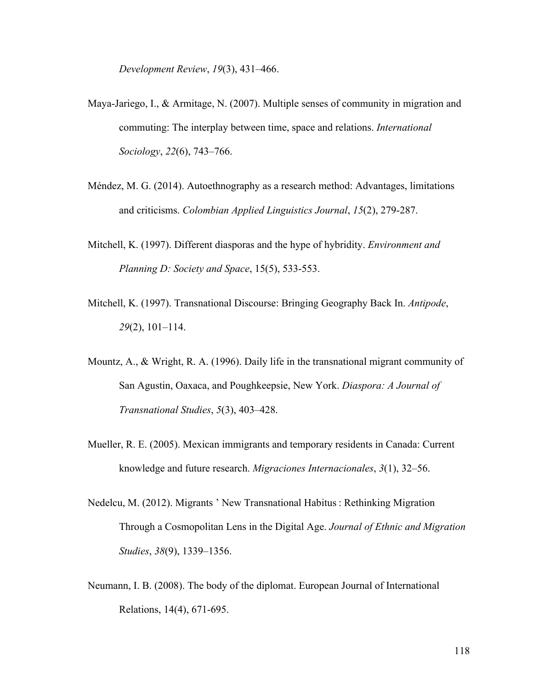*Development Review*, *19*(3), 431–466.

- Maya-Jariego, I., & Armitage, N. (2007). Multiple senses of community in migration and commuting: The interplay between time, space and relations. *International Sociology*, *22*(6), 743–766.
- Méndez, M. G. (2014). Autoethnography as a research method: Advantages, limitations and criticisms. *Colombian Applied Linguistics Journal*, *15*(2), 279-287.
- Mitchell, K. (1997). Different diasporas and the hype of hybridity. *Environment and Planning D: Society and Space*, 15(5), 533-553.
- Mitchell, K. (1997). Transnational Discourse: Bringing Geography Back In. *Antipode*, *29*(2), 101–114.
- Mountz, A., & Wright, R. A. (1996). Daily life in the transnational migrant community of San Agustin, Oaxaca, and Poughkeepsie, New York. *Diaspora: A Journal of Transnational Studies*, *5*(3), 403–428.
- Mueller, R. E. (2005). Mexican immigrants and temporary residents in Canada: Current knowledge and future research. *Migraciones Internacionales*, *3*(1), 32–56.
- Nedelcu, M. (2012). Migrants ' New Transnational Habitus : Rethinking Migration Through a Cosmopolitan Lens in the Digital Age. *Journal of Ethnic and Migration Studies*, *38*(9), 1339–1356.
- Neumann, I. B. (2008). The body of the diplomat. European Journal of International Relations, 14(4), 671-695.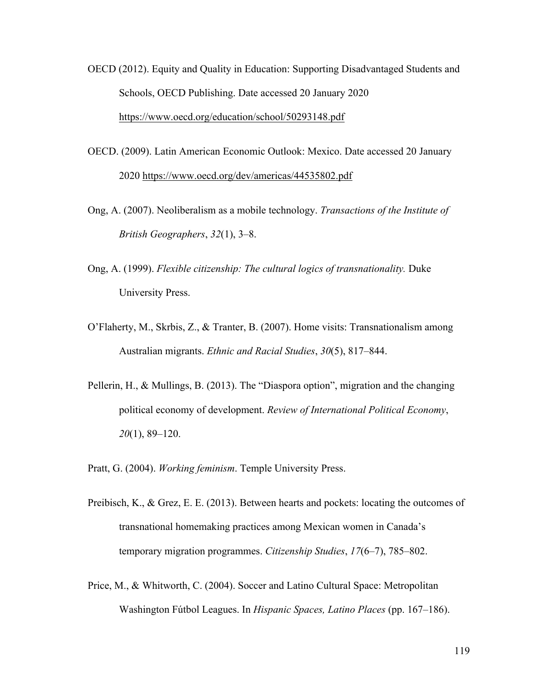- OECD (2012). Equity and Quality in Education: Supporting Disadvantaged Students and Schools, OECD Publishing. Date accessed 20 January 2020 https://www.oecd.org/education/school/50293148.pdf
- OECD. (2009). Latin American Economic Outlook: Mexico. Date accessed 20 January 2020 https://www.oecd.org/dev/americas/44535802.pdf
- Ong, A. (2007). Neoliberalism as a mobile technology. *Transactions of the Institute of British Geographers*, *32*(1), 3–8.
- Ong, A. (1999). *Flexible citizenship: The cultural logics of transnationality.* Duke University Press.
- O'Flaherty, M., Skrbis, Z., & Tranter, B. (2007). Home visits: Transnationalism among Australian migrants. *Ethnic and Racial Studies*, *30*(5), 817–844.
- Pellerin, H., & Mullings, B. (2013). The "Diaspora option", migration and the changing political economy of development. *Review of International Political Economy*, *20*(1), 89–120.
- Pratt, G. (2004). *Working feminism*. Temple University Press.
- Preibisch, K., & Grez, E. E. (2013). Between hearts and pockets: locating the outcomes of transnational homemaking practices among Mexican women in Canada's temporary migration programmes. *Citizenship Studies*, *17*(6–7), 785–802.
- Price, M., & Whitworth, C. (2004). Soccer and Latino Cultural Space: Metropolitan Washington Fútbol Leagues. In *Hispanic Spaces, Latino Places* (pp. 167–186).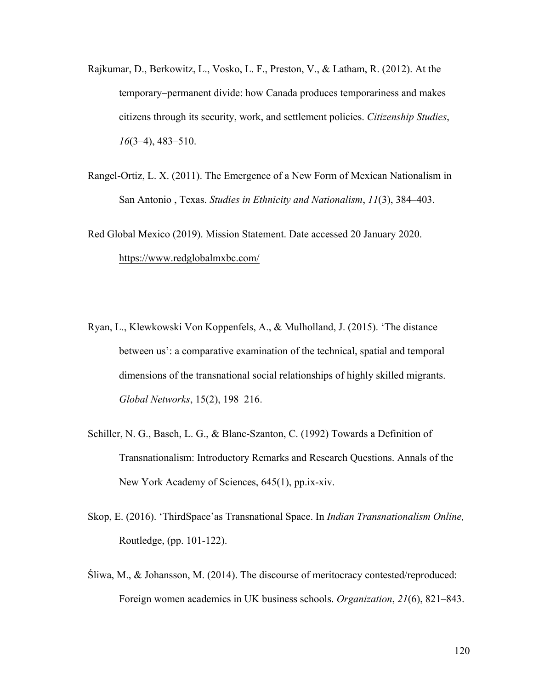- Rajkumar, D., Berkowitz, L., Vosko, L. F., Preston, V., & Latham, R. (2012). At the temporary–permanent divide: how Canada produces temporariness and makes citizens through its security, work, and settlement policies. *Citizenship Studies*, *16*(3–4), 483–510.
- Rangel-Ortiz, L. X. (2011). The Emergence of a New Form of Mexican Nationalism in San Antonio , Texas. *Studies in Ethnicity and Nationalism*, *11*(3), 384–403.
- Red Global Mexico (2019). Mission Statement. Date accessed 20 January 2020. https://www.redglobalmxbc.com/
- Ryan, L., Klewkowski Von Koppenfels, A., & Mulholland, J. (2015). 'The distance between us': a comparative examination of the technical, spatial and temporal dimensions of the transnational social relationships of highly skilled migrants. *Global Networks*, 15(2), 198–216.
- Schiller, N. G., Basch, L. G., & Blanc-Szanton, C. (1992) Towards a Definition of Transnationalism: Introductory Remarks and Research Questions. Annals of the New York Academy of Sciences, 645(1), pp.ix-xiv.
- Skop, E. (2016). 'ThirdSpace'as Transnational Space. In *Indian Transnationalism Online,*  Routledge, (pp. 101-122).
- Śliwa, M., & Johansson, M. (2014). The discourse of meritocracy contested/reproduced: Foreign women academics in UK business schools. *Organization*, *21*(6), 821–843.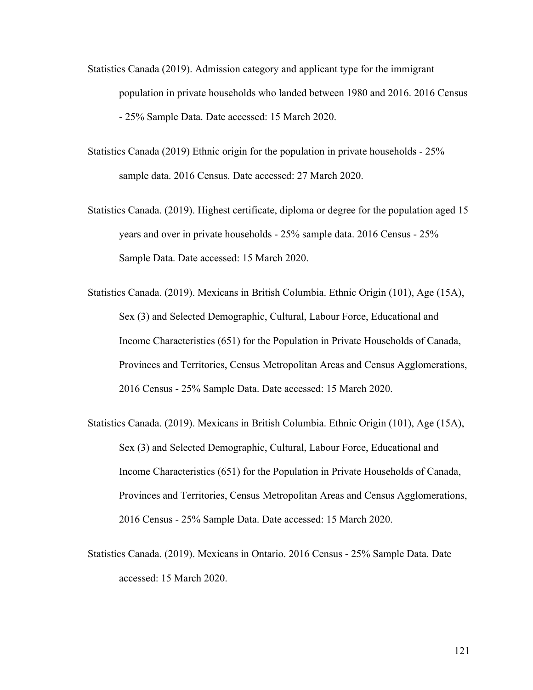- Statistics Canada (2019). Admission category and applicant type for the immigrant population in private households who landed between 1980 and 2016. 2016 Census - 25% Sample Data. Date accessed: 15 March 2020.
- Statistics Canada (2019) Ethnic origin for the population in private households 25% sample data. 2016 Census. Date accessed: 27 March 2020.
- Statistics Canada. (2019). Highest certificate, diploma or degree for the population aged 15 years and over in private households - 25% sample data. 2016 Census - 25% Sample Data. Date accessed: 15 March 2020.
- Statistics Canada. (2019). Mexicans in British Columbia. Ethnic Origin (101), Age (15A), Sex (3) and Selected Demographic, Cultural, Labour Force, Educational and Income Characteristics (651) for the Population in Private Households of Canada, Provinces and Territories, Census Metropolitan Areas and Census Agglomerations, 2016 Census - 25% Sample Data. Date accessed: 15 March 2020.
- Statistics Canada. (2019). Mexicans in British Columbia. Ethnic Origin (101), Age (15A), Sex (3) and Selected Demographic, Cultural, Labour Force, Educational and Income Characteristics (651) for the Population in Private Households of Canada, Provinces and Territories, Census Metropolitan Areas and Census Agglomerations, 2016 Census - 25% Sample Data. Date accessed: 15 March 2020.
- Statistics Canada. (2019). Mexicans in Ontario. 2016 Census 25% Sample Data. Date accessed: 15 March 2020.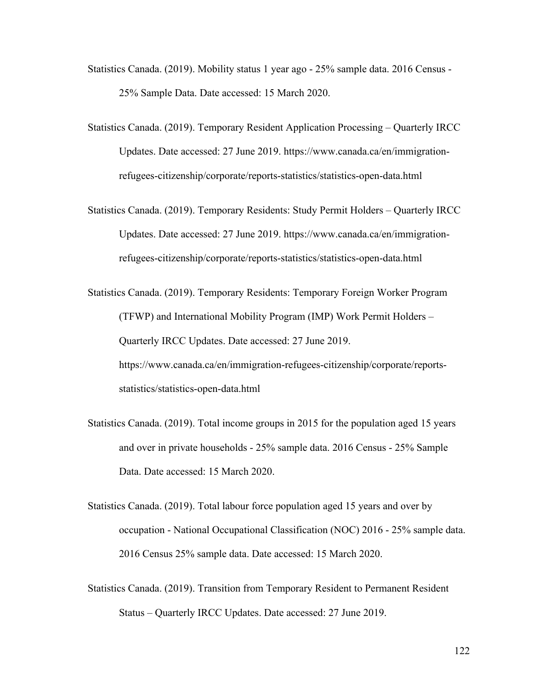- Statistics Canada. (2019). Mobility status 1 year ago 25% sample data. 2016 Census 25% Sample Data. Date accessed: 15 March 2020.
- Statistics Canada. (2019). Temporary Resident Application Processing Quarterly IRCC Updates. Date accessed: 27 June 2019. https://www.canada.ca/en/immigrationrefugees-citizenship/corporate/reports-statistics/statistics-open-data.html
- Statistics Canada. (2019). Temporary Residents: Study Permit Holders Quarterly IRCC Updates. Date accessed: 27 June 2019. https://www.canada.ca/en/immigrationrefugees-citizenship/corporate/reports-statistics/statistics-open-data.html
- Statistics Canada. (2019). Temporary Residents: Temporary Foreign Worker Program (TFWP) and International Mobility Program (IMP) Work Permit Holders – Quarterly IRCC Updates. Date accessed: 27 June 2019. https://www.canada.ca/en/immigration-refugees-citizenship/corporate/reportsstatistics/statistics-open-data.html
- Statistics Canada. (2019). Total income groups in 2015 for the population aged 15 years and over in private households - 25% sample data. 2016 Census - 25% Sample Data. Date accessed: 15 March 2020.
- Statistics Canada. (2019). Total labour force population aged 15 years and over by occupation - National Occupational Classification (NOC) 2016 - 25% sample data. 2016 Census 25% sample data. Date accessed: 15 March 2020.
- Statistics Canada. (2019). Transition from Temporary Resident to Permanent Resident Status – Quarterly IRCC Updates. Date accessed: 27 June 2019.

122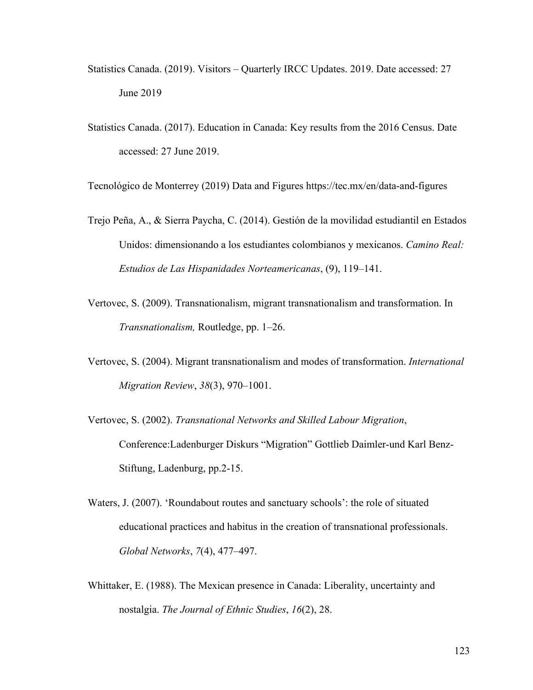- Statistics Canada. (2019). Visitors Quarterly IRCC Updates. 2019. Date accessed: 27 June 2019
- Statistics Canada. (2017). Education in Canada: Key results from the 2016 Census. Date accessed: 27 June 2019.

Tecnológico de Monterrey (2019) Data and Figures https://tec.mx/en/data-and-figures

- Trejo Peña, A., & Sierra Paycha, C. (2014). Gestión de la movilidad estudiantil en Estados Unidos: dimensionando a los estudiantes colombianos y mexicanos. *Camino Real: Estudios de Las Hispanidades Norteamericanas*, (9), 119–141.
- Vertovec, S. (2009). Transnationalism, migrant transnationalism and transformation. In *Transnationalism,* Routledge, pp. 1–26.
- Vertovec, S. (2004). Migrant transnationalism and modes of transformation. *International Migration Review*, *38*(3), 970–1001.
- Vertovec, S. (2002). *Transnational Networks and Skilled Labour Migration*, Conference:Ladenburger Diskurs "Migration" Gottlieb Daimler-und Karl Benz-Stiftung, Ladenburg, pp.2-15.
- Waters, J. (2007). 'Roundabout routes and sanctuary schools': the role of situated educational practices and habitus in the creation of transnational professionals. *Global Networks*, *7*(4), 477–497.
- Whittaker, E. (1988). The Mexican presence in Canada: Liberality, uncertainty and nostalgia. *The Journal of Ethnic Studies*, *16*(2), 28.